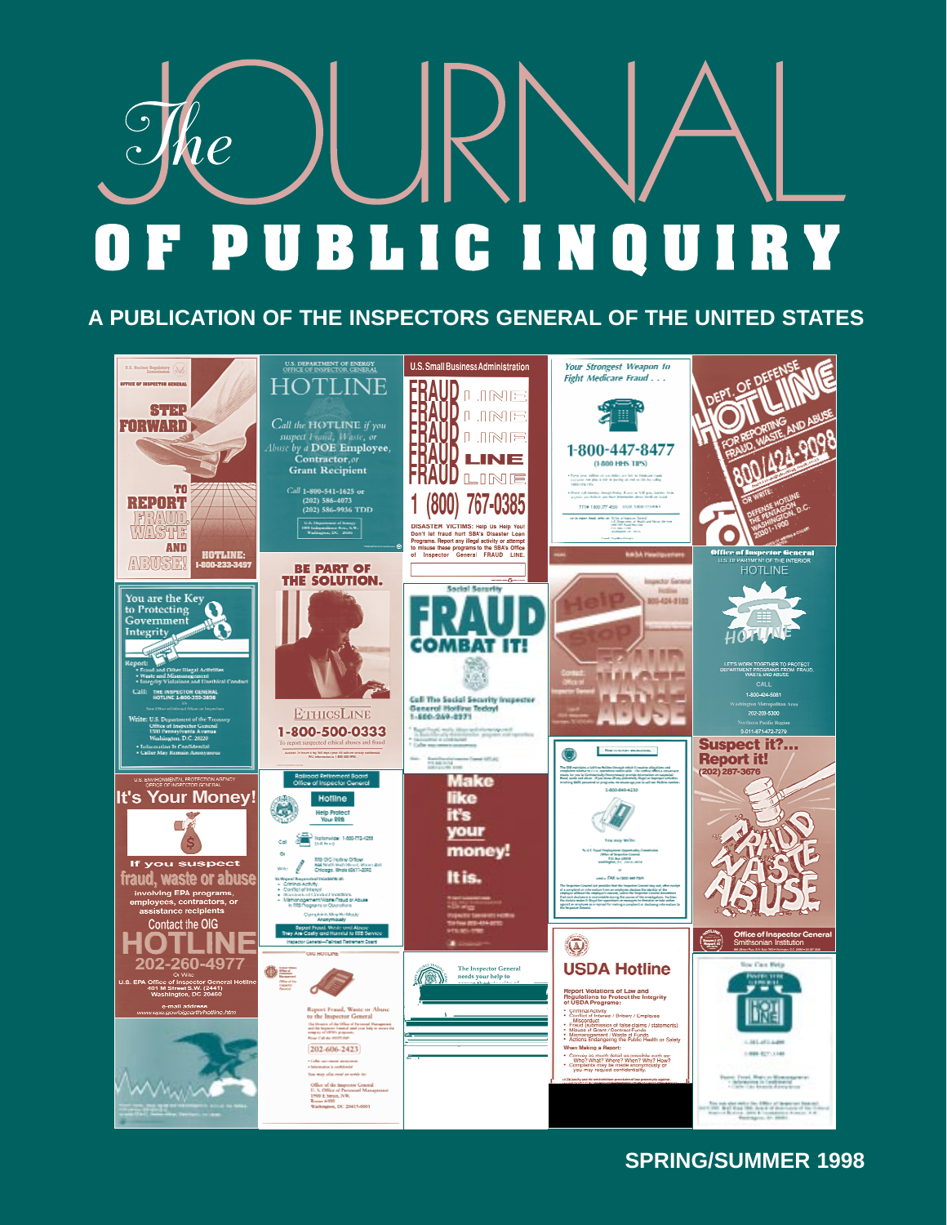# $\partial\!\!\!\int_{\mathcal{H}}\!\!\!\!\!\!e$ **PUBLICINQUIRY**  $\mathbf{F}$

## **A PUBLICATION OF THE INSPECTORS GENERAL OF THE UNITED STATES**



## **SPRING/SUMMER 1998**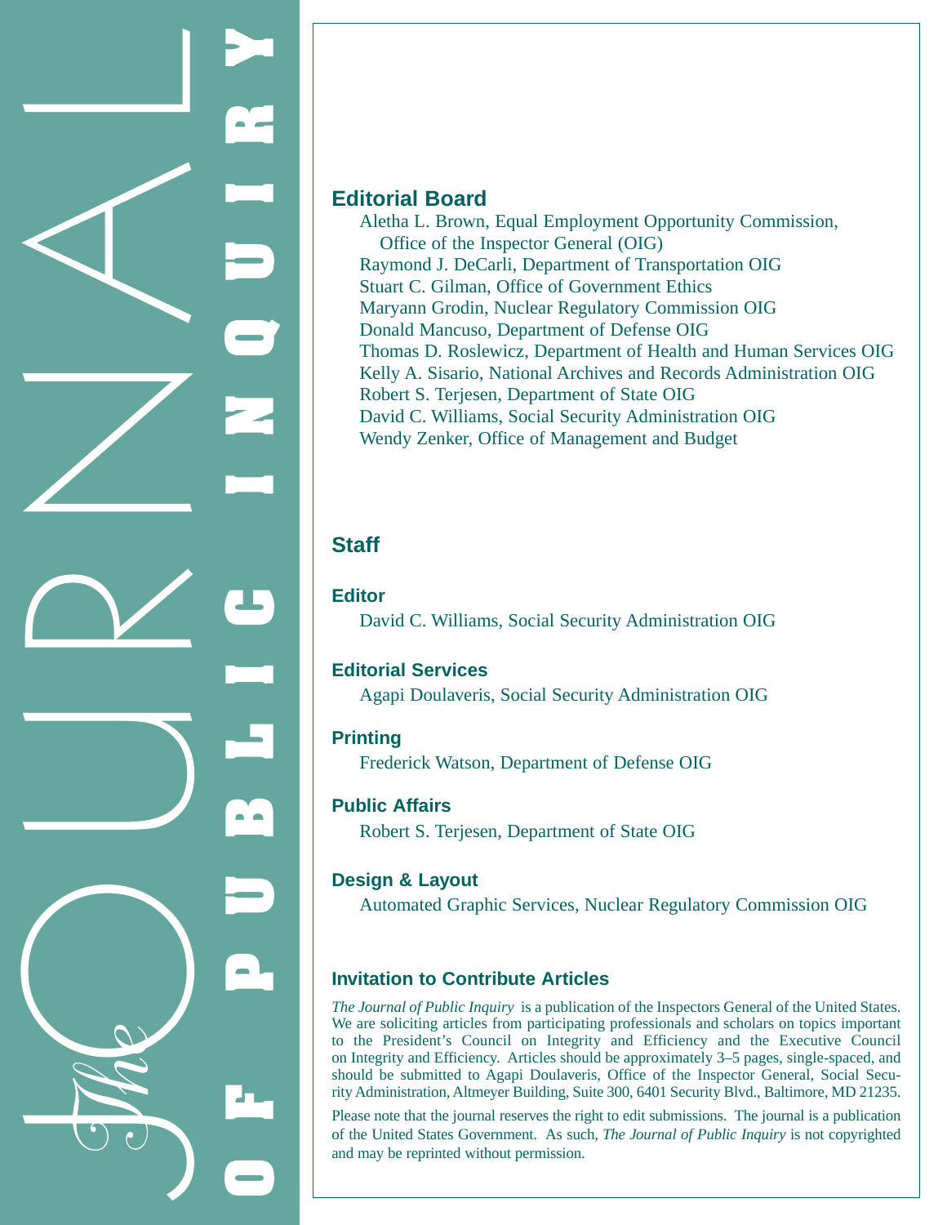

### **Editorial Board**

Aletha L. Brown, Equal Employment Opportunity Commission, Office of the Inspector General (OIG) Raymond J. DeCarli, Department of Transportation OIG Stuart C. Gilman, Office of Government Ethics Maryann Grodin, Nuclear Regulatory Commission OIG Donald Mancuso, Department of Defense OIG Thomas D. Roslewicz, Department of Health and Human Services OIG Kelly A. Sisario, National Archives and Records Administration OIG Robert S. Terjesen, Department of State OIG David C. Williams, Social Security Administration OIG Wendy Zenker, Office of Management and Budget

## **Staff**

**Editor**

David C. Williams, Social Security Administration OIG

### **Editorial Services**

Agapi Doulaveris, Social Security Administration OIG

### **Printing**

Frederick Watson, Department of Defense OIG

### **Public Affairs**

Robert S. Terjesen, Department of State OIG

### **Design & Layout**

Automated Graphic Services, Nuclear Regulatory Commission OIG

### **Invitation to Contribute Articles**

*The Journal of Public Inquiry* is a publication of the Inspectors General of the United States. We are soliciting articles from participating professionals and scholars on topics important to the President's Council on Integrity and Efficiency and the Executive Council on Integrity and Efficiency. Articles should be approximately 3–5 pages, single-spaced, and should be submitted to Agapi Doulaveris, Office of the Inspector General, Social Security Administration, Altmeyer Building, Suite 300, 6401 Security Blvd., Baltimore, MD 21235.

Please note that the journal reserves the right to edit submissions. The journal is a publication of the United States Government. As such, *The Journal of Public Inquiry* is not copyrighted and may be reprinted without permission.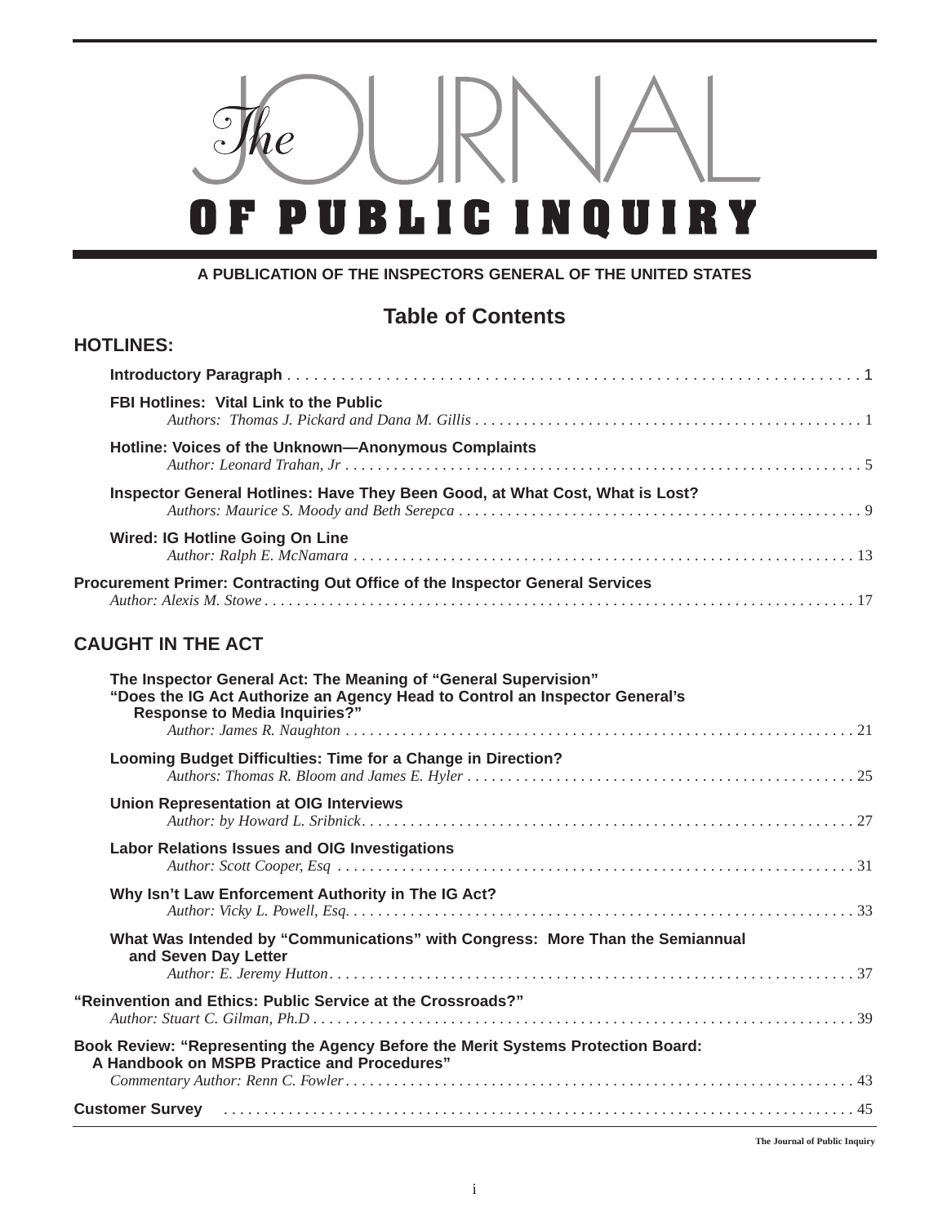

### **A PUBLICATION OF THE INSPECTORS GENERAL OF THE UNITED STATES**

## **Table of Contents**

### **HOTLINES:**

| <b>FBI Hotlines: Vital Link to the Public</b>                                |  |
|------------------------------------------------------------------------------|--|
| Hotline: Voices of the Unknown-Anonymous Complaints                          |  |
| Inspector General Hotlines: Have They Been Good, at What Cost, What is Lost? |  |
| <b>Wired: IG Hotline Going On Line</b>                                       |  |
| Procurement Primer: Contracting Out Office of the Inspector General Services |  |

## **CAUGHT IN THE ACT**

| The Inspector General Act: The Meaning of "General Supervision"<br>"Does the IG Act Authorize an Agency Head to Control an Inspector General's<br><b>Response to Media Inquiries?"</b> |  |
|----------------------------------------------------------------------------------------------------------------------------------------------------------------------------------------|--|
| Looming Budget Difficulties: Time for a Change in Direction?                                                                                                                           |  |
| <b>Union Representation at OIG Interviews</b>                                                                                                                                          |  |
| <b>Labor Relations Issues and OIG Investigations</b>                                                                                                                                   |  |
| Why Isn't Law Enforcement Authority in The IG Act?                                                                                                                                     |  |
| What Was Intended by "Communications" with Congress: More Than the Semiannual<br>and Seven Day Letter                                                                                  |  |
| "Reinvention and Ethics: Public Service at the Crossroads?"                                                                                                                            |  |
| Book Review: "Representing the Agency Before the Merit Systems Protection Board:<br>A Handbook on MSPB Practice and Procedures"                                                        |  |
| Customer Survey (alternative and the contract of the contract of the contract of the contract of the contract o                                                                        |  |

**The Journal of Public Inquiry**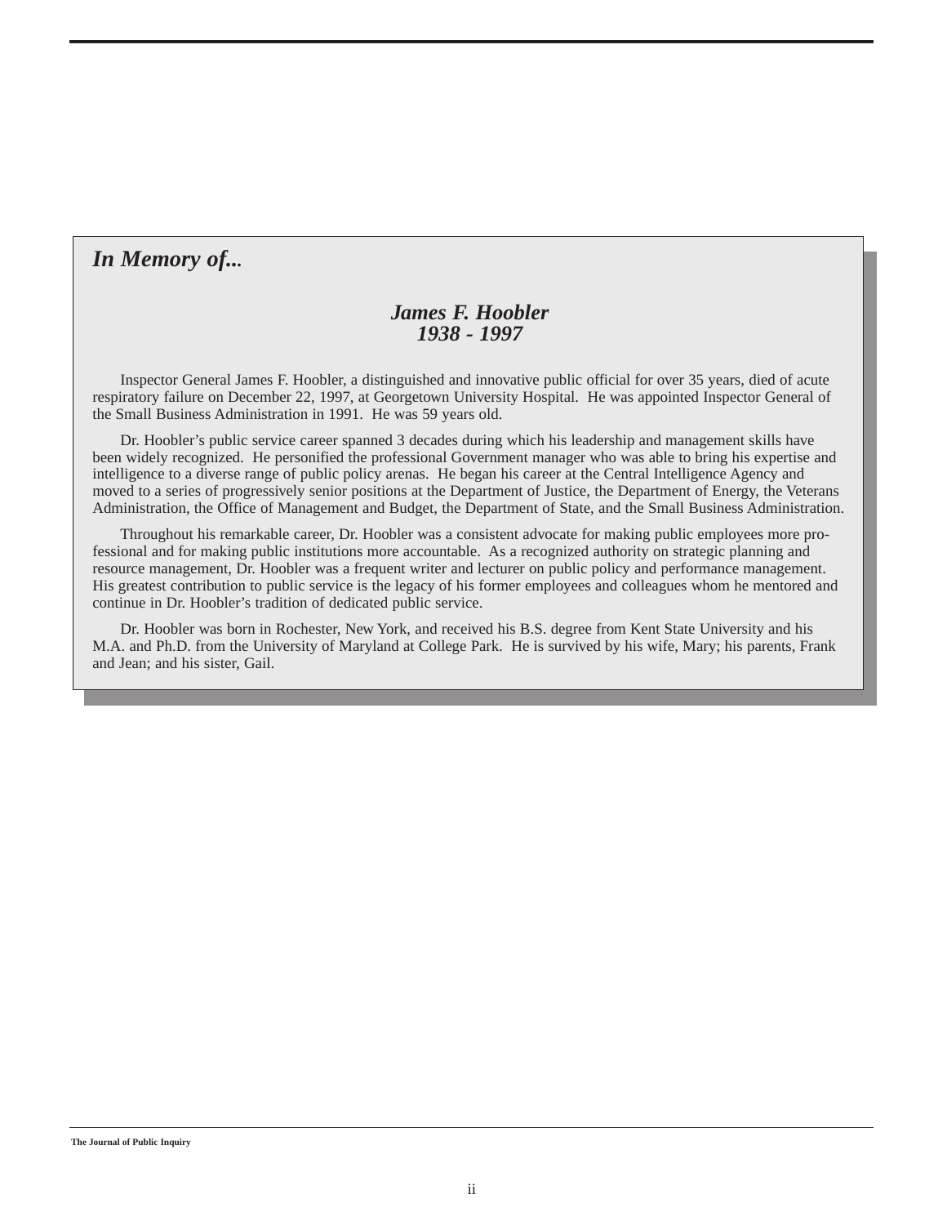## *In Memory of...*

### *James F. Hoobler 1938 - 1997*

Inspector General James F. Hoobler, a distinguished and innovative public official for over 35 years, died of acute respiratory failure on December 22, 1997, at Georgetown University Hospital. He was appointed Inspector General of the Small Business Administration in 1991. He was 59 years old.

Dr. Hoobler's public service career spanned 3 decades during which his leadership and management skills have been widely recognized. He personified the professional Government manager who was able to bring his expertise and intelligence to a diverse range of public policy arenas. He began his career at the Central Intelligence Agency and moved to a series of progressively senior positions at the Department of Justice, the Department of Energy, the Veterans Administration, the Office of Management and Budget, the Department of State, and the Small Business Administration.

Throughout his remarkable career, Dr. Hoobler was a consistent advocate for making public employees more professional and for making public institutions more accountable. As a recognized authority on strategic planning and resource management, Dr. Hoobler was a frequent writer and lecturer on public policy and performance management. His greatest contribution to public service is the legacy of his former employees and colleagues whom he mentored and continue in Dr. Hoobler's tradition of dedicated public service.

Dr. Hoobler was born in Rochester, New York, and received his B.S. degree from Kent State University and his M.A. and Ph.D. from the University of Maryland at College Park. He is survived by his wife, Mary; his parents, Frank and Jean; and his sister, Gail.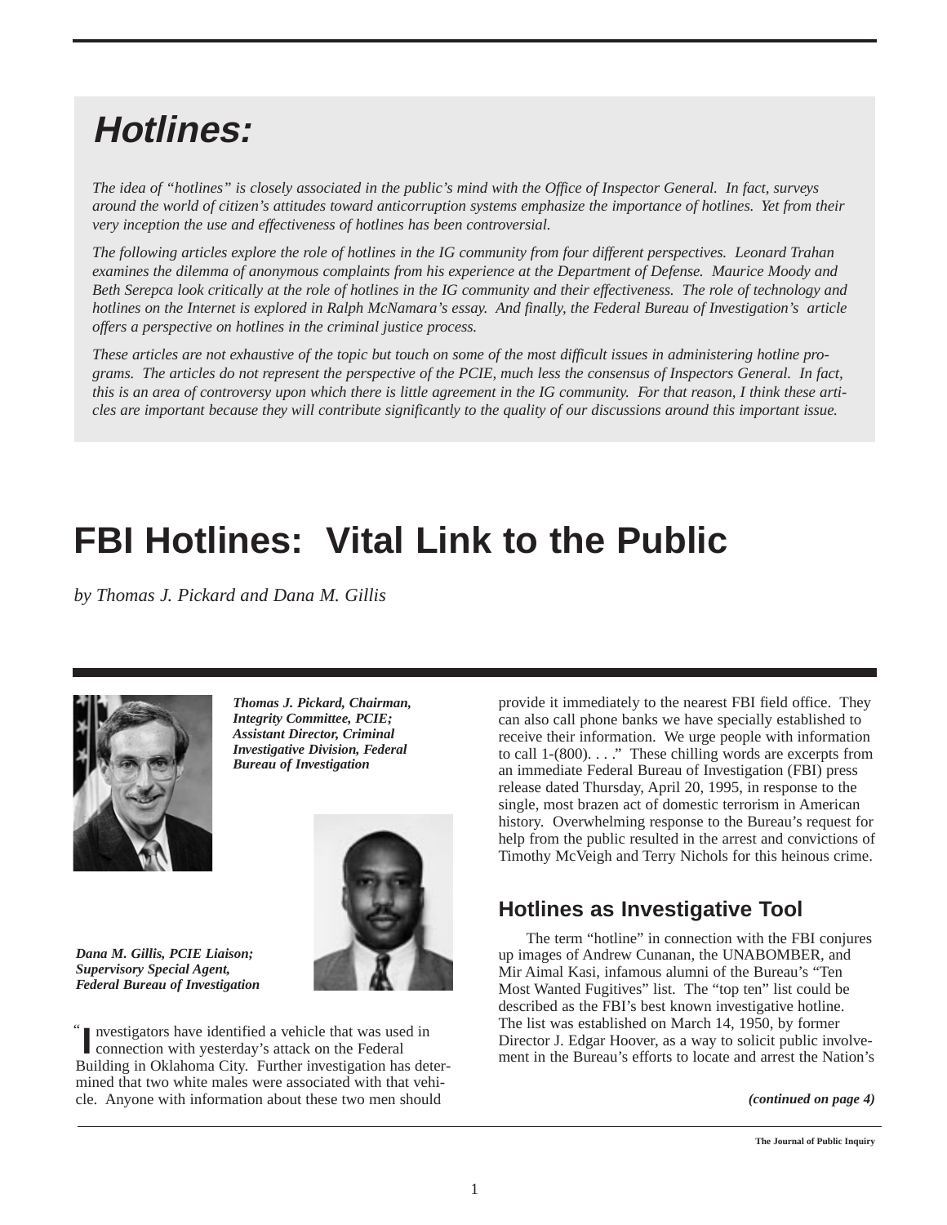## **Hotlines:**

*The idea of "hotlines" is closely associated in the public's mind with the Office of Inspector General. In fact, surveys around the world of citizen's attitudes toward anticorruption systems emphasize the importance of hotlines. Yet from their very inception the use and effectiveness of hotlines has been controversial.*

*The following articles explore the role of hotlines in the IG community from four different perspectives. Leonard Trahan examines the dilemma of anonymous complaints from his experience at the Department of Defense. Maurice Moody and Beth Serepca look critically at the role of hotlines in the IG community and their effectiveness. The role of technology and hotlines on the Internet is explored in Ralph McNamara's essay. And finally, the Federal Bureau of Investigation's article offers a perspective on hotlines in the criminal justice process.*

*These articles are not exhaustive of the topic but touch on some of the most difficult issues in administering hotline programs. The articles do not represent the perspective of the PCIE, much less the consensus of Inspectors General. In fact, this is an area of controversy upon which there is little agreement in the IG community. For that reason, I think these articles are important because they will contribute significantly to the quality of our discussions around this important issue.*

## **FBI Hotlines: Vital Link to the Public**

*by Thomas J. Pickard and Dana M. Gillis*



*Thomas J. Pickard, Chairman, Integrity Committee, PCIE; Assistant Director, Criminal Investigative Division, Federal*



*Dana M. Gillis, PCIE Liaison; Supervisory Special Agent, Federal Bureau of Investigation*

nvestigators have identified a vehicle that was used in **I** nvestigators have identified a vehicle that was use connection with yesterday's attack on the Federal Building in Oklahoma City. Further investigation has determined that two white males were associated with that vehicle. Anyone with information about these two men should "

provide it immediately to the nearest FBI field office. They can also call phone banks we have specially established to receive their information. We urge people with information to call 1-(800). . . ." These chilling words are excerpts from an immediate Federal Bureau of Investigation (FBI) press release dated Thursday, April 20, 1995, in response to the single, most brazen act of domestic terrorism in American history. Overwhelming response to the Bureau's request for help from the public resulted in the arrest and convictions of Timothy McVeigh and Terry Nichols for this heinous crime.

## **Hotlines as Investigative Tool**

The term "hotline" in connection with the FBI conjures up images of Andrew Cunanan, the UNABOMBER, and Mir Aimal Kasi, infamous alumni of the Bureau's "Ten Most Wanted Fugitives" list. The "top ten" list could be described as the FBI's best known investigative hotline. The list was established on March 14, 1950, by former Director J. Edgar Hoover, as a way to solicit public involvement in the Bureau's efforts to locate and arrest the Nation's

*(continued on page 4)*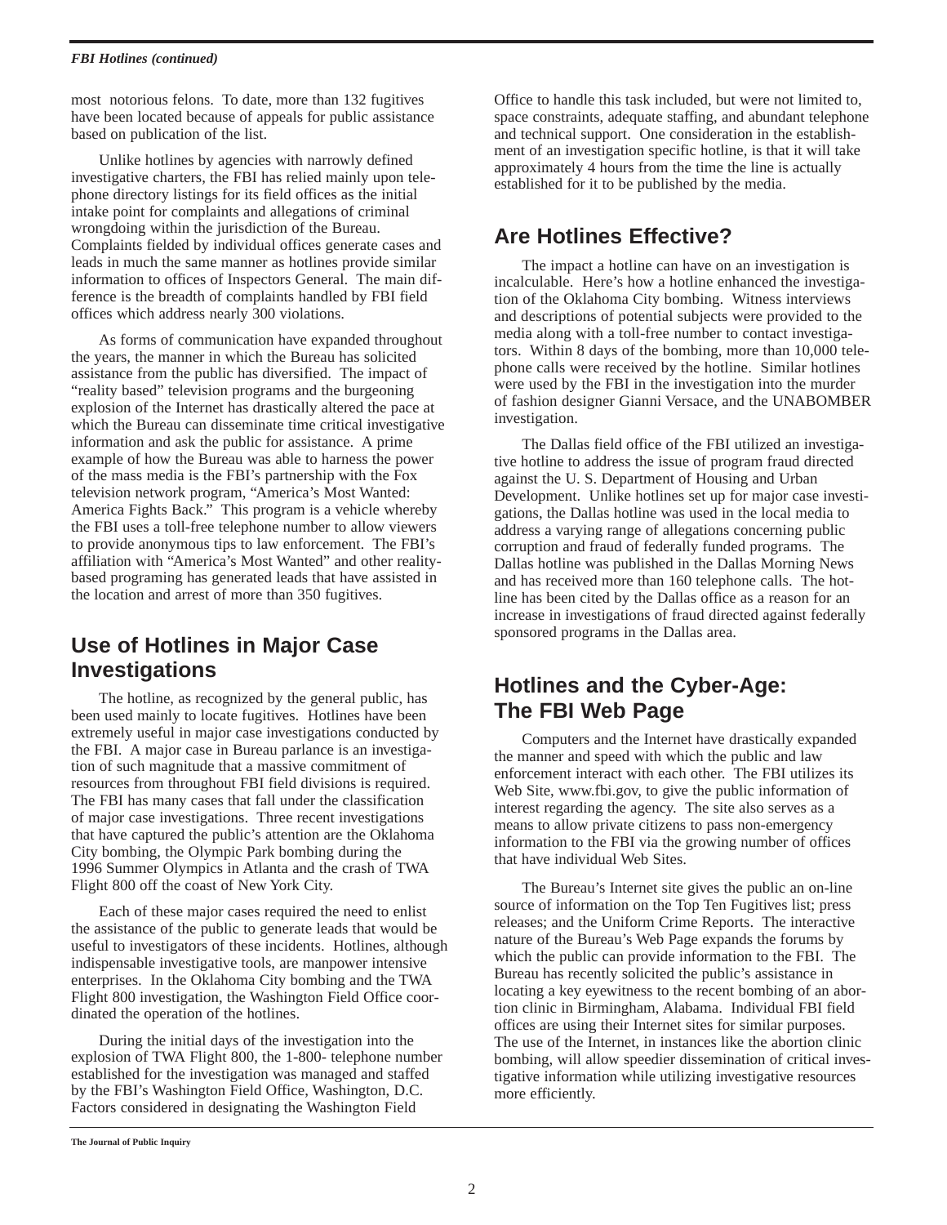#### *FBI Hotlines (continued)*

most notorious felons. To date, more than 132 fugitives have been located because of appeals for public assistance based on publication of the list.

Unlike hotlines by agencies with narrowly defined investigative charters, the FBI has relied mainly upon telephone directory listings for its field offices as the initial intake point for complaints and allegations of criminal wrongdoing within the jurisdiction of the Bureau. Complaints fielded by individual offices generate cases and leads in much the same manner as hotlines provide similar information to offices of Inspectors General. The main difference is the breadth of complaints handled by FBI field offices which address nearly 300 violations.

As forms of communication have expanded throughout the years, the manner in which the Bureau has solicited assistance from the public has diversified. The impact of "reality based" television programs and the burgeoning explosion of the Internet has drastically altered the pace at which the Bureau can disseminate time critical investigative information and ask the public for assistance. A prime example of how the Bureau was able to harness the power of the mass media is the FBI's partnership with the Fox television network program, "America's Most Wanted: America Fights Back." This program is a vehicle whereby the FBI uses a toll-free telephone number to allow viewers to provide anonymous tips to law enforcement. The FBI's affiliation with "America's Most Wanted" and other realitybased programing has generated leads that have assisted in the location and arrest of more than 350 fugitives.

## **Use of Hotlines in Major Case Investigations**

The hotline, as recognized by the general public, has been used mainly to locate fugitives. Hotlines have been extremely useful in major case investigations conducted by the FBI. A major case in Bureau parlance is an investigation of such magnitude that a massive commitment of resources from throughout FBI field divisions is required. The FBI has many cases that fall under the classification of major case investigations. Three recent investigations that have captured the public's attention are the Oklahoma City bombing, the Olympic Park bombing during the 1996 Summer Olympics in Atlanta and the crash of TWA Flight 800 off the coast of New York City.

Each of these major cases required the need to enlist the assistance of the public to generate leads that would be useful to investigators of these incidents. Hotlines, although indispensable investigative tools, are manpower intensive enterprises. In the Oklahoma City bombing and the TWA Flight 800 investigation, the Washington Field Office coordinated the operation of the hotlines.

During the initial days of the investigation into the explosion of TWA Flight 800, the 1-800- telephone number established for the investigation was managed and staffed by the FBI's Washington Field Office, Washington, D.C. Factors considered in designating the Washington Field

Office to handle this task included, but were not limited to, space constraints, adequate staffing, and abundant telephone and technical support. One consideration in the establishment of an investigation specific hotline, is that it will take approximately 4 hours from the time the line is actually established for it to be published by the media.

## **Are Hotlines Effective?**

The impact a hotline can have on an investigation is incalculable. Here's how a hotline enhanced the investigation of the Oklahoma City bombing. Witness interviews and descriptions of potential subjects were provided to the media along with a toll-free number to contact investigators. Within 8 days of the bombing, more than 10,000 telephone calls were received by the hotline. Similar hotlines were used by the FBI in the investigation into the murder of fashion designer Gianni Versace, and the UNABOMBER investigation.

The Dallas field office of the FBI utilized an investigative hotline to address the issue of program fraud directed against the U. S. Department of Housing and Urban Development. Unlike hotlines set up for major case investigations, the Dallas hotline was used in the local media to address a varying range of allegations concerning public corruption and fraud of federally funded programs. The Dallas hotline was published in the Dallas Morning News and has received more than 160 telephone calls. The hotline has been cited by the Dallas office as a reason for an increase in investigations of fraud directed against federally sponsored programs in the Dallas area.

## **Hotlines and the Cyber-Age: The FBI Web Page**

Computers and the Internet have drastically expanded the manner and speed with which the public and law enforcement interact with each other. The FBI utilizes its Web Site, www.fbi.gov, to give the public information of interest regarding the agency. The site also serves as a means to allow private citizens to pass non-emergency information to the FBI via the growing number of offices that have individual Web Sites.

The Bureau's Internet site gives the public an on-line source of information on the Top Ten Fugitives list; press releases; and the Uniform Crime Reports. The interactive nature of the Bureau's Web Page expands the forums by which the public can provide information to the FBI. The Bureau has recently solicited the public's assistance in locating a key eyewitness to the recent bombing of an abortion clinic in Birmingham, Alabama. Individual FBI field offices are using their Internet sites for similar purposes. The use of the Internet, in instances like the abortion clinic bombing, will allow speedier dissemination of critical investigative information while utilizing investigative resources more efficiently.

**The Journal of Public Inquiry**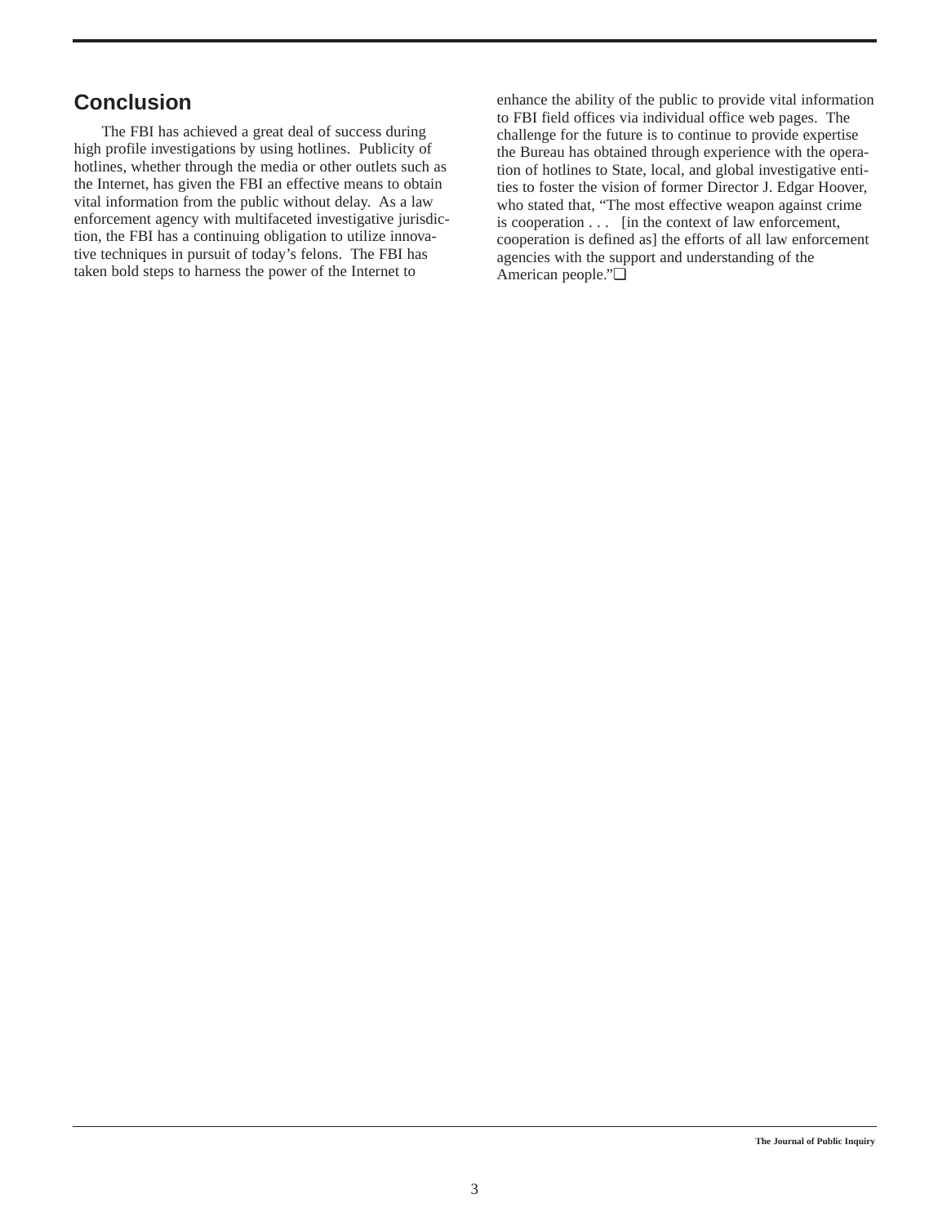## **Conclusion**

The FBI has achieved a great deal of success during high profile investigations by using hotlines. Publicity of hotlines, whether through the media or other outlets such as the Internet, has given the FBI an effective means to obtain vital information from the public without delay. As a law enforcement agency with multifaceted investigative jurisdiction, the FBI has a continuing obligation to utilize innovative techniques in pursuit of today's felons. The FBI has taken bold steps to harness the power of the Internet to

enhance the ability of the public to provide vital information to FBI field offices via individual office web pages. The challenge for the future is to continue to provide expertise the Bureau has obtained through experience with the operation of hotlines to State, local, and global investigative entities to foster the vision of former Director J. Edgar Hoover, who stated that, "The most effective weapon against crime is cooperation . . . [in the context of law enforcement, cooperation is defined as] the efforts of all law enforcement agencies with the support and understanding of the American people."❏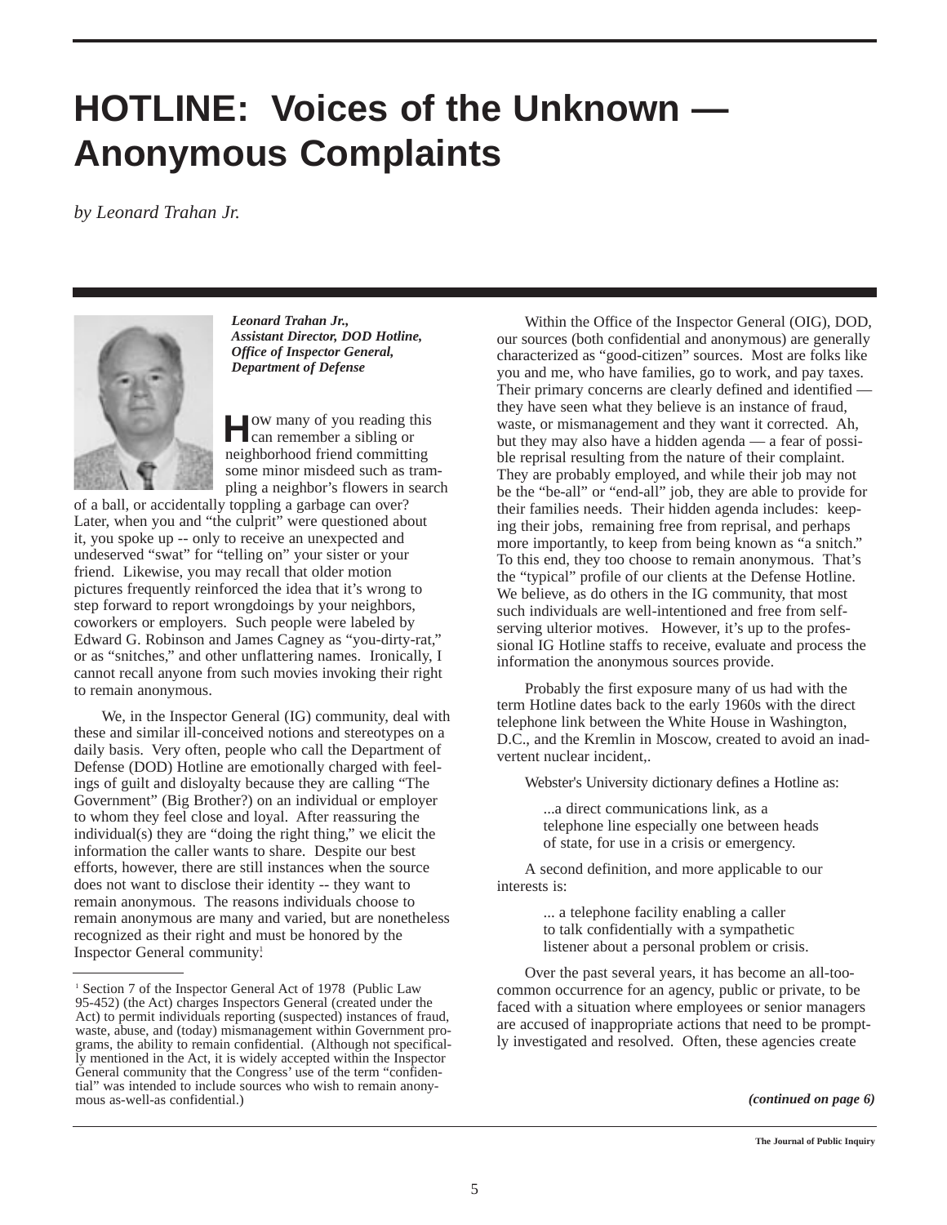## **HOTLINE: Voices of the Unknown — Anonymous Complaints**

*by Leonard Trahan Jr.*



*Leonard Trahan Jr., Assistant Director, DOD Hotline, Office of Inspector General, Department of Defense*

**H**ow many of you reading this can remember a sibling or neighborhood friend committing some minor misdeed such as trampling a neighbor's flowers in search

of a ball, or accidentally toppling a garbage can over? Later, when you and "the culprit" were questioned about it, you spoke up -- only to receive an unexpected and undeserved "swat" for "telling on" your sister or your friend. Likewise, you may recall that older motion pictures frequently reinforced the idea that it's wrong to step forward to report wrongdoings by your neighbors, coworkers or employers. Such people were labeled by Edward G. Robinson and James Cagney as "you-dirty-rat," or as "snitches," and other unflattering names. Ironically, I cannot recall anyone from such movies invoking their right to remain anonymous.

We, in the Inspector General (IG) community, deal with these and similar ill-conceived notions and stereotypes on a daily basis. Very often, people who call the Department of Defense (DOD) Hotline are emotionally charged with feelings of guilt and disloyalty because they are calling "The Government" (Big Brother?) on an individual or employer to whom they feel close and loyal. After reassuring the individual(s) they are "doing the right thing," we elicit the information the caller wants to share. Despite our best efforts, however, there are still instances when the source does not want to disclose their identity -- they want to remain anonymous. The reasons individuals choose to remain anonymous are many and varied, but are nonetheless recognized as their right and must be honored by the Inspector General community!

Within the Office of the Inspector General (OIG), DOD, our sources (both confidential and anonymous) are generally characterized as "good-citizen" sources. Most are folks like you and me, who have families, go to work, and pay taxes. Their primary concerns are clearly defined and identified they have seen what they believe is an instance of fraud, waste, or mismanagement and they want it corrected. Ah, but they may also have a hidden agenda — a fear of possible reprisal resulting from the nature of their complaint. They are probably employed, and while their job may not be the "be-all" or "end-all" job, they are able to provide for their families needs. Their hidden agenda includes: keeping their jobs, remaining free from reprisal, and perhaps more importantly, to keep from being known as "a snitch." To this end, they too choose to remain anonymous. That's the "typical" profile of our clients at the Defense Hotline. We believe, as do others in the IG community, that most such individuals are well-intentioned and free from selfserving ulterior motives. However, it's up to the professional IG Hotline staffs to receive, evaluate and process the information the anonymous sources provide.

Probably the first exposure many of us had with the term Hotline dates back to the early 1960s with the direct telephone link between the White House in Washington, D.C., and the Kremlin in Moscow, created to avoid an inadvertent nuclear incident,.

Webster's University dictionary defines a Hotline as:

...a direct communications link, as a telephone line especially one between heads of state, for use in a crisis or emergency.

A second definition, and more applicable to our interests is:

> ... a telephone facility enabling a caller to talk confidentially with a sympathetic listener about a personal problem or crisis.

Over the past several years, it has become an all-toocommon occurrence for an agency, public or private, to be faced with a situation where employees or senior managers are accused of inappropriate actions that need to be promptly investigated and resolved. Often, these agencies create

<sup>&</sup>lt;sup>1</sup> Section 7 of the Inspector General Act of 1978 (Public Law 95-452) (the Act) charges Inspectors General (created under the Act) to permit individuals reporting (suspected) instances of fraud, waste, abuse, and (today) mismanagement within Government programs, the ability to remain confidential. (Although not specifically mentioned in the Act, it is widely accepted within the Inspector General community that the Congress' use of the term "confidential" was intended to include sources who wish to remain anonymous as-well-as confidential.)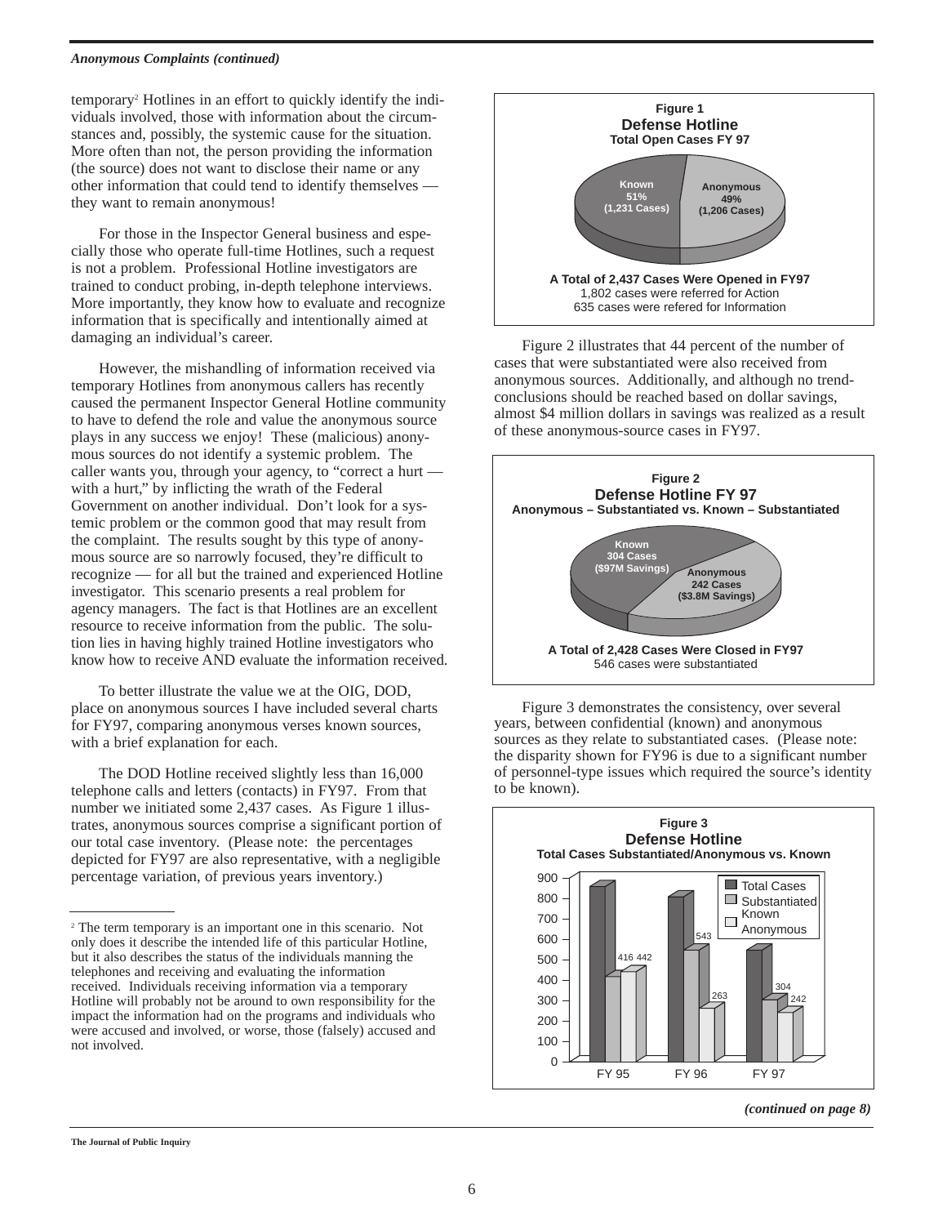#### *Anonymous Complaints (continued)*

temporary2 Hotlines in an effort to quickly identify the individuals involved, those with information about the circumstances and, possibly, the systemic cause for the situation. More often than not, the person providing the information (the source) does not want to disclose their name or any other information that could tend to identify themselves they want to remain anonymous!

For those in the Inspector General business and especially those who operate full-time Hotlines, such a request is not a problem. Professional Hotline investigators are trained to conduct probing, in-depth telephone interviews. More importantly, they know how to evaluate and recognize information that is specifically and intentionally aimed at damaging an individual's career.

However, the mishandling of information received via temporary Hotlines from anonymous callers has recently caused the permanent Inspector General Hotline community to have to defend the role and value the anonymous source plays in any success we enjoy! These (malicious) anonymous sources do not identify a systemic problem. The caller wants you, through your agency, to "correct a hurt with a hurt," by inflicting the wrath of the Federal Government on another individual. Don't look for a systemic problem or the common good that may result from the complaint. The results sought by this type of anonymous source are so narrowly focused, they're difficult to recognize — for all but the trained and experienced Hotline investigator. This scenario presents a real problem for agency managers. The fact is that Hotlines are an excellent resource to receive information from the public. The solution lies in having highly trained Hotline investigators who know how to receive AND evaluate the information received.

To better illustrate the value we at the OIG, DOD, place on anonymous sources I have included several charts for FY97, comparing anonymous verses known sources, with a brief explanation for each.

The DOD Hotline received slightly less than 16,000 telephone calls and letters (contacts) in FY97. From that number we initiated some 2,437 cases. As Figure 1 illustrates, anonymous sources comprise a significant portion of our total case inventory. (Please note: the percentages depicted for FY97 are also representative, with a negligible percentage variation, of previous years inventory.)



Figure 2 illustrates that 44 percent of the number of cases that were substantiated were also received from anonymous sources. Additionally, and although no trendconclusions should be reached based on dollar savings, almost \$4 million dollars in savings was realized as a result of these anonymous-source cases in FY97.



Figure 3 demonstrates the consistency, over several years, between confidential (known) and anonymous sources as they relate to substantiated cases. (Please note: the disparity shown for FY96 is due to a significant number of personnel-type issues which required the source's identity to be known).



#### *(continued on page 8)*

#### **The Journal of Public Inquiry**

<sup>2</sup> The term temporary is an important one in this scenario. Not only does it describe the intended life of this particular Hotline, but it also describes the status of the individuals manning the telephones and receiving and evaluating the information received. Individuals receiving information via a temporary Hotline will probably not be around to own responsibility for the impact the information had on the programs and individuals who were accused and involved, or worse, those (falsely) accused and not involved.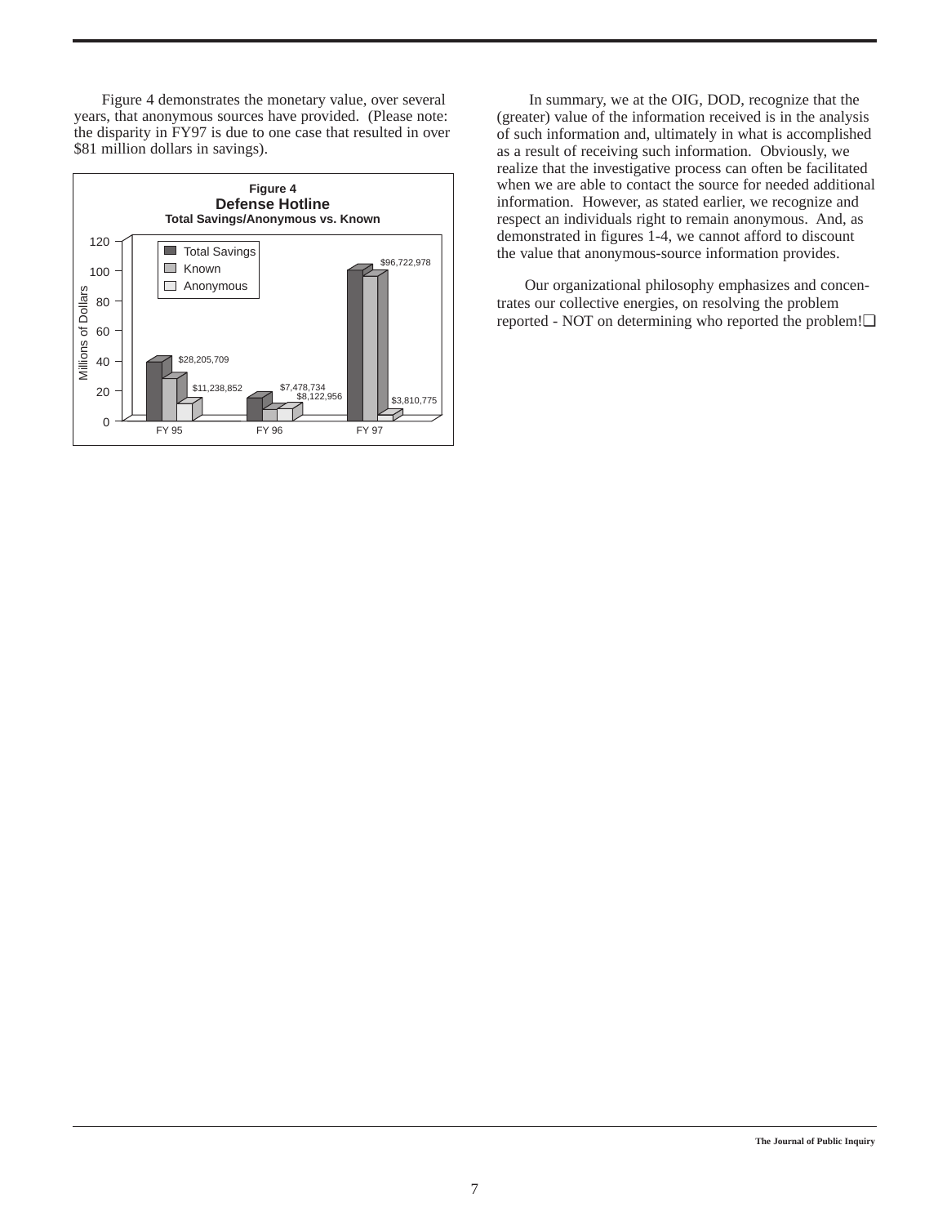Figure 4 demonstrates the monetary value, over several years, that anonymous sources have provided. (Please note: the disparity in FY97 is due to one case that resulted in over \$81 million dollars in savings).



In summary, we at the OIG, DOD, recognize that the (greater) value of the information received is in the analysis of such information and, ultimately in what is accomplished as a result of receiving such information. Obviously, we realize that the investigative process can often be facilitated when we are able to contact the source for needed additional information. However, as stated earlier, we recognize and respect an individuals right to remain anonymous. And, as demonstrated in figures 1-4, we cannot afford to discount the value that anonymous-source information provides.

Our organizational philosophy emphasizes and concentrates our collective energies, on resolving the problem reported - NOT on determining who reported the problem!❏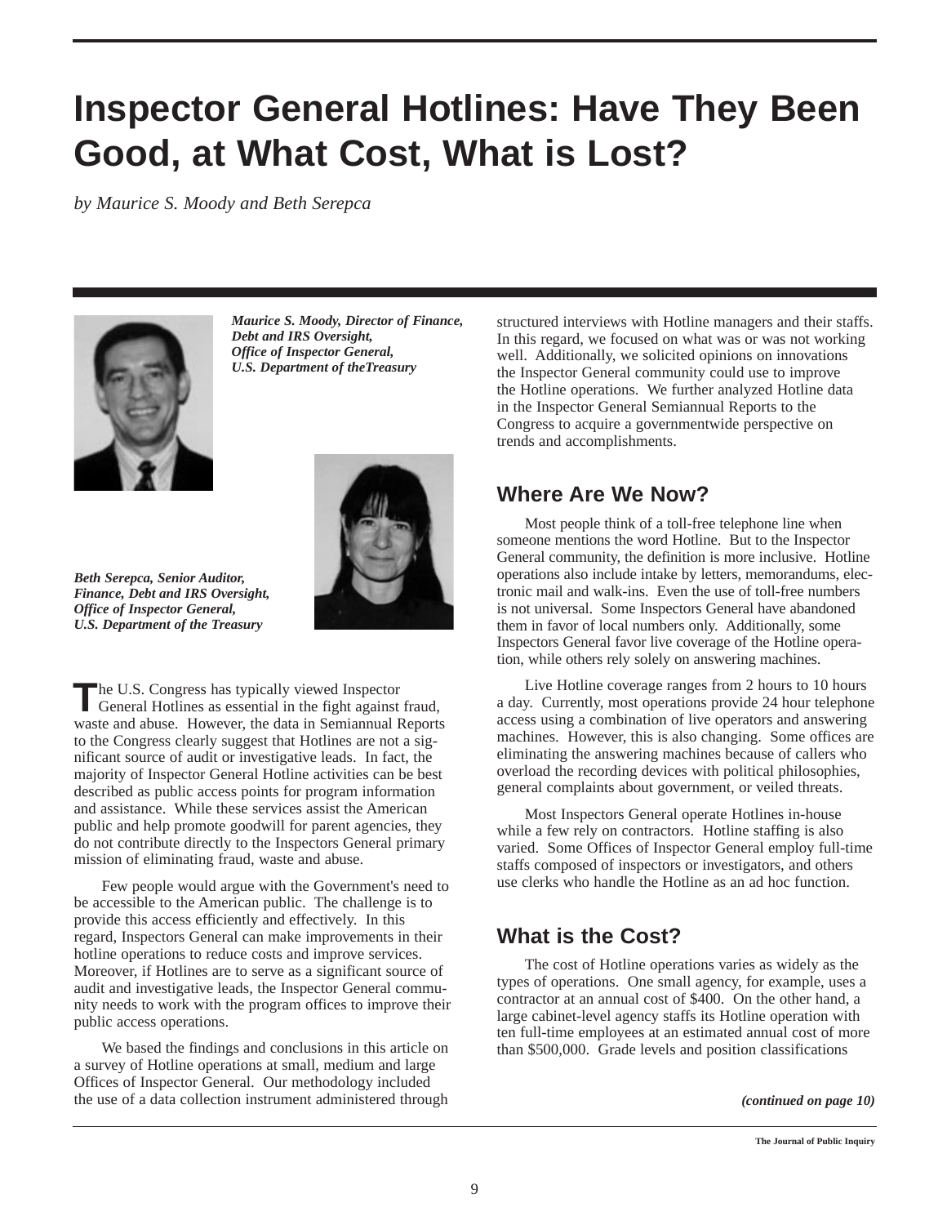## **Inspector General Hotlines: Have They Been Good, at What Cost, What is Lost?**

*by Maurice S. Moody and Beth Serepca*



*Maurice S. Moody, Director of Finance, Debt and IRS Oversight, Office of Inspector General, U.S. Department of theTreasury*



*Beth Serepca, Senior Auditor, Finance, Debt and IRS Oversight, Office of Inspector General, U.S. Department of the Treasury* 

The U.S. Congress has typically viewed Inspector<br>General Hotlines as essential in the fight against fraud, waste and abuse. However, the data in Semiannual Reports to the Congress clearly suggest that Hotlines are not a significant source of audit or investigative leads. In fact, the majority of Inspector General Hotline activities can be best described as public access points for program information and assistance. While these services assist the American public and help promote goodwill for parent agencies, they do not contribute directly to the Inspectors General primary mission of eliminating fraud, waste and abuse.

Few people would argue with the Government's need to be accessible to the American public. The challenge is to provide this access efficiently and effectively. In this regard, Inspectors General can make improvements in their hotline operations to reduce costs and improve services. Moreover, if Hotlines are to serve as a significant source of audit and investigative leads, the Inspector General community needs to work with the program offices to improve their public access operations.

We based the findings and conclusions in this article on a survey of Hotline operations at small, medium and large Offices of Inspector General. Our methodology included the use of a data collection instrument administered through

structured interviews with Hotline managers and their staffs. In this regard, we focused on what was or was not working well. Additionally, we solicited opinions on innovations the Inspector General community could use to improve the Hotline operations. We further analyzed Hotline data in the Inspector General Semiannual Reports to the Congress to acquire a governmentwide perspective on trends and accomplishments.

## **Where Are We Now?**

Most people think of a toll-free telephone line when someone mentions the word Hotline. But to the Inspector General community, the definition is more inclusive. Hotline operations also include intake by letters, memorandums, electronic mail and walk-ins. Even the use of toll-free numbers is not universal. Some Inspectors General have abandoned them in favor of local numbers only. Additionally, some Inspectors General favor live coverage of the Hotline operation, while others rely solely on answering machines.

Live Hotline coverage ranges from 2 hours to 10 hours a day. Currently, most operations provide 24 hour telephone access using a combination of live operators and answering machines. However, this is also changing. Some offices are eliminating the answering machines because of callers who overload the recording devices with political philosophies, general complaints about government, or veiled threats.

Most Inspectors General operate Hotlines in-house while a few rely on contractors. Hotline staffing is also varied. Some Offices of Inspector General employ full-time staffs composed of inspectors or investigators, and others use clerks who handle the Hotline as an ad hoc function.

## **What is the Cost?**

The cost of Hotline operations varies as widely as the types of operations. One small agency, for example, uses a contractor at an annual cost of \$400. On the other hand, a large cabinet-level agency staffs its Hotline operation with ten full-time employees at an estimated annual cost of more than \$500,000. Grade levels and position classifications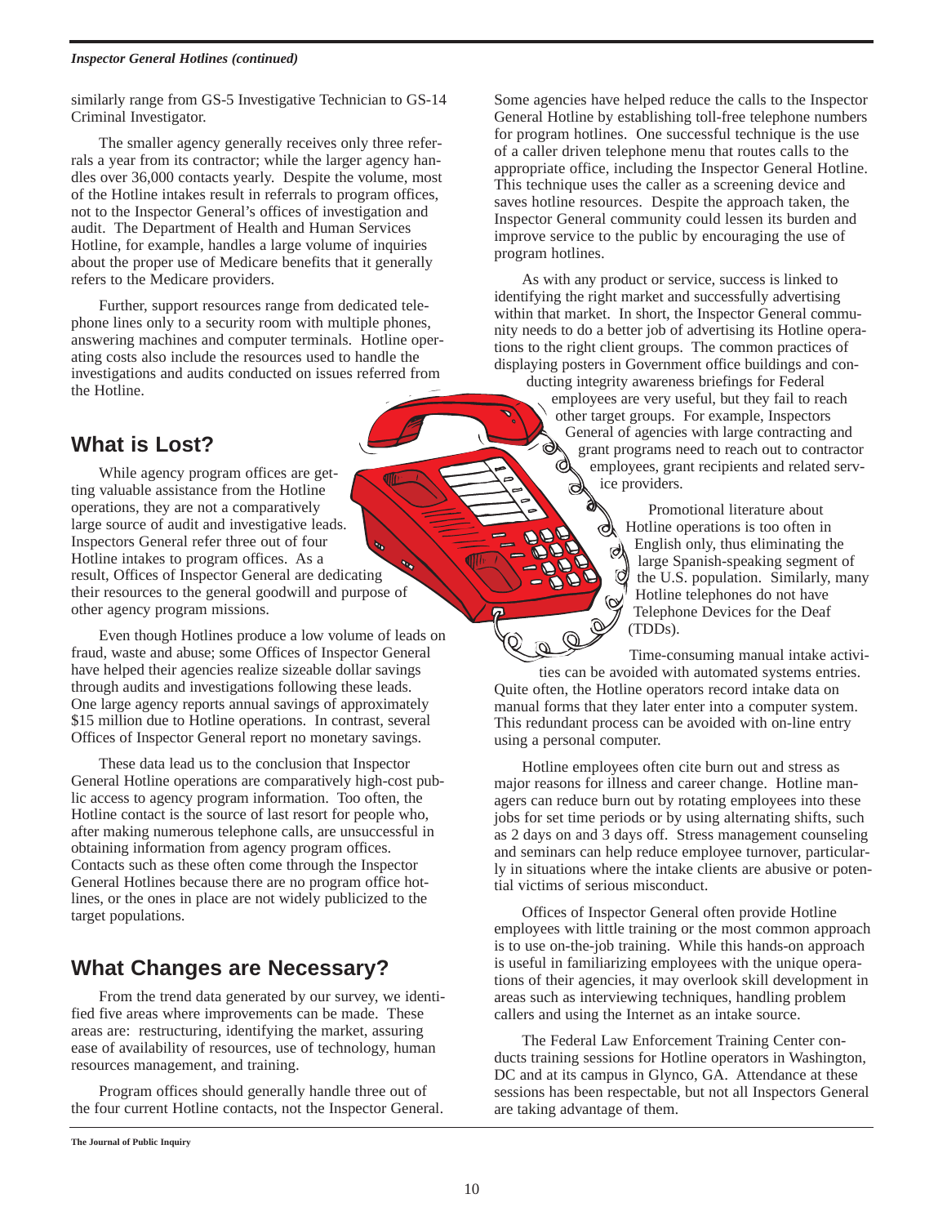#### *Inspector General Hotlines (continued)*

similarly range from GS-5 Investigative Technician to GS-14 Criminal Investigator.

The smaller agency generally receives only three referrals a year from its contractor; while the larger agency handles over 36,000 contacts yearly. Despite the volume, most of the Hotline intakes result in referrals to program offices, not to the Inspector General's offices of investigation and audit. The Department of Health and Human Services Hotline, for example, handles a large volume of inquiries about the proper use of Medicare benefits that it generally refers to the Medicare providers.

Further, support resources range from dedicated telephone lines only to a security room with multiple phones, answering machines and computer terminals. Hotline operating costs also include the resources used to handle the investigations and audits conducted on issues referred from the Hotline.

### **What is Lost?**

While agency program offices are getting valuable assistance from the Hotline operations, they are not a comparatively large source of audit and investigative leads. Inspectors General refer three out of four Hotline intakes to program offices. As a result, Offices of Inspector General are dedicating their resources to the general goodwill and purpose of other agency program missions.

Even though Hotlines produce a low volume of leads on fraud, waste and abuse; some Offices of Inspector General have helped their agencies realize sizeable dollar savings through audits and investigations following these leads. One large agency reports annual savings of approximately \$15 million due to Hotline operations. In contrast, several Offices of Inspector General report no monetary savings.

These data lead us to the conclusion that Inspector General Hotline operations are comparatively high-cost public access to agency program information. Too often, the Hotline contact is the source of last resort for people who, after making numerous telephone calls, are unsuccessful in obtaining information from agency program offices. Contacts such as these often come through the Inspector General Hotlines because there are no program office hotlines, or the ones in place are not widely publicized to the target populations.

## **What Changes are Necessary?**

From the trend data generated by our survey, we identified five areas where improvements can be made. These areas are: restructuring, identifying the market, assuring ease of availability of resources, use of technology, human resources management, and training.

Program offices should generally handle three out of the four current Hotline contacts, not the Inspector General.

Some agencies have helped reduce the calls to the Inspector General Hotline by establishing toll-free telephone numbers for program hotlines. One successful technique is the use of a caller driven telephone menu that routes calls to the appropriate office, including the Inspector General Hotline. This technique uses the caller as a screening device and saves hotline resources. Despite the approach taken, the Inspector General community could lessen its burden and improve service to the public by encouraging the use of program hotlines.

As with any product or service, success is linked to identifying the right market and successfully advertising within that market. In short, the Inspector General community needs to do a better job of advertising its Hotline operations to the right client groups. The common practices of displaying posters in Government office buildings and con-

ducting integrity awareness briefings for Federal employees are very useful, but they fail to reach other target groups. For example, Inspectors General of agencies with large contracting and grant programs need to reach out to contractor employees, grant recipients and related service providers.

> Promotional literature about Hotline operations is too often in English only, thus eliminating the large Spanish-speaking segment of the U.S. population. Similarly, many Hotline telephones do not have Telephone Devices for the Deaf (TDDs).

Time-consuming manual intake activities can be avoided with automated systems entries. Quite often, the Hotline operators record intake data on manual forms that they later enter into a computer system. This redundant process can be avoided with on-line entry using a personal computer.

Hotline employees often cite burn out and stress as major reasons for illness and career change. Hotline managers can reduce burn out by rotating employees into these jobs for set time periods or by using alternating shifts, such as 2 days on and 3 days off. Stress management counseling and seminars can help reduce employee turnover, particularly in situations where the intake clients are abusive or potential victims of serious misconduct.

Offices of Inspector General often provide Hotline employees with little training or the most common approach is to use on-the-job training. While this hands-on approach is useful in familiarizing employees with the unique operations of their agencies, it may overlook skill development in areas such as interviewing techniques, handling problem callers and using the Internet as an intake source.

The Federal Law Enforcement Training Center conducts training sessions for Hotline operators in Washington, DC and at its campus in Glynco, GA. Attendance at these sessions has been respectable, but not all Inspectors General are taking advantage of them.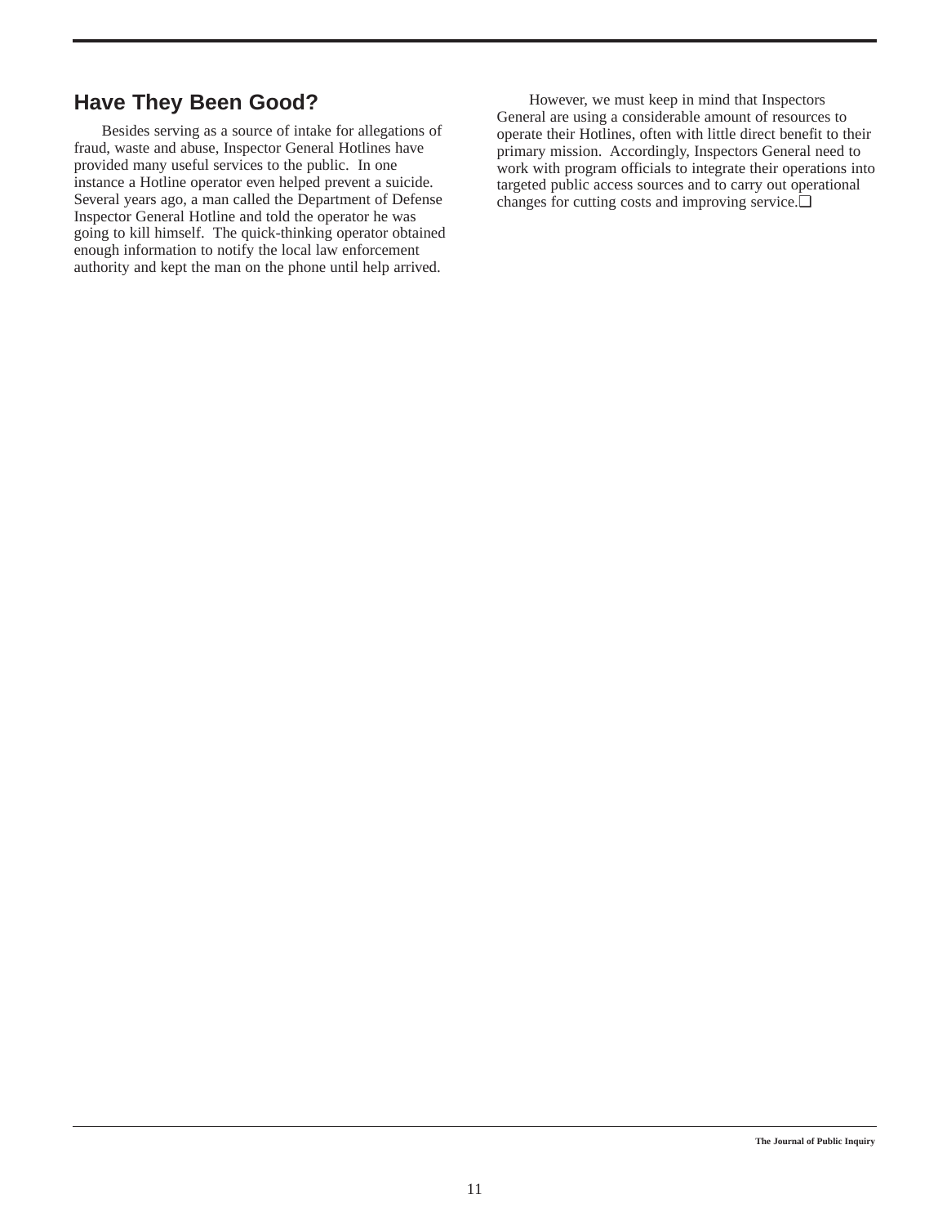## **Have They Been Good?**

Besides serving as a source of intake for allegations of fraud, waste and abuse, Inspector General Hotlines have provided many useful services to the public. In one instance a Hotline operator even helped prevent a suicide. Several years ago, a man called the Department of Defense Inspector General Hotline and told the operator he was going to kill himself. The quick-thinking operator obtained enough information to notify the local law enforcement authority and kept the man on the phone until help arrived.

However, we must keep in mind that Inspectors General are using a considerable amount of resources to operate their Hotlines, often with little direct benefit to their primary mission. Accordingly, Inspectors General need to work with program officials to integrate their operations into targeted public access sources and to carry out operational changes for cutting costs and improving service.❏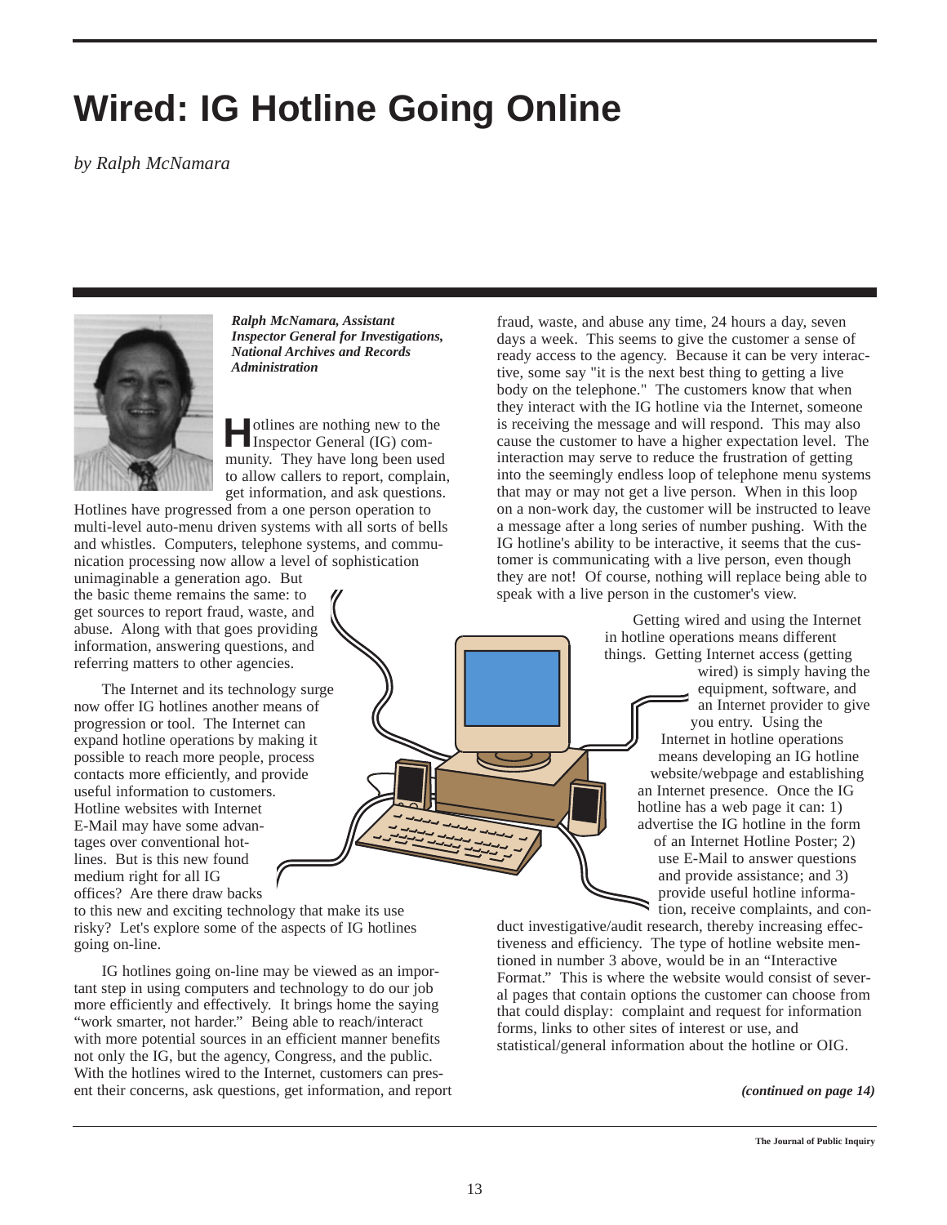## **Wired: IG Hotline Going Online**

*by Ralph McNamara*



*Ralph McNamara, Assistant Inspector General for Investigations, National Archives and Records Administration*

**H**otlines are nothing new to the Inspector General (IG) community. They have long been used to allow callers to report, complain, get information, and ask questions.

Hotlines have progressed from a one person operation to multi-level auto-menu driven systems with all sorts of bells and whistles. Computers, telephone systems, and communication processing now allow a level of sophistication

unimaginable a generation ago. But the basic theme remains the same: to get sources to report fraud, waste, and abuse. Along with that goes providing information, answering questions, and referring matters to other agencies.

The Internet and its technology surge now offer IG hotlines another means of progression or tool. The Internet can expand hotline operations by making it possible to reach more people, process contacts more efficiently, and provide useful information to customers. Hotline websites with Internet E-Mail may have some advantages over conventional hotlines. But is this new found medium right for all IG offices? Are there draw backs

to this new and exciting technology that make its use risky? Let's explore some of the aspects of IG hotlines going on-line.

IG hotlines going on-line may be viewed as an important step in using computers and technology to do our job more efficiently and effectively. It brings home the saying "work smarter, not harder." Being able to reach/interact with more potential sources in an efficient manner benefits not only the IG, but the agency, Congress, and the public. With the hotlines wired to the Internet, customers can present their concerns, ask questions, get information, and report

fraud, waste, and abuse any time, 24 hours a day, seven days a week. This seems to give the customer a sense of ready access to the agency. Because it can be very interactive, some say "it is the next best thing to getting a live body on the telephone." The customers know that when they interact with the IG hotline via the Internet, someone is receiving the message and will respond. This may also cause the customer to have a higher expectation level. The interaction may serve to reduce the frustration of getting into the seemingly endless loop of telephone menu systems that may or may not get a live person. When in this loop on a non-work day, the customer will be instructed to leave a message after a long series of number pushing. With the IG hotline's ability to be interactive, it seems that the customer is communicating with a live person, even though they are not! Of course, nothing will replace being able to speak with a live person in the customer's view.

> Getting wired and using the Internet in hotline operations means different things. Getting Internet access (getting

wired) is simply having the equipment, software, and an Internet provider to give you entry. Using the Internet in hotline operations means developing an IG hotline website/webpage and establishing an Internet presence. Once the IG hotline has a web page it can: 1) advertise the IG hotline in the form of an Internet Hotline Poster; 2) use E-Mail to answer questions and provide assistance; and 3) provide useful hotline information, receive complaints, and con-

duct investigative/audit research, thereby increasing effectiveness and efficiency. The type of hotline website mentioned in number 3 above, would be in an "Interactive Format." This is where the website would consist of several pages that contain options the customer can choose from that could display: complaint and request for information forms, links to other sites of interest or use, and statistical/general information about the hotline or OIG.

#### *(continued on page 14)*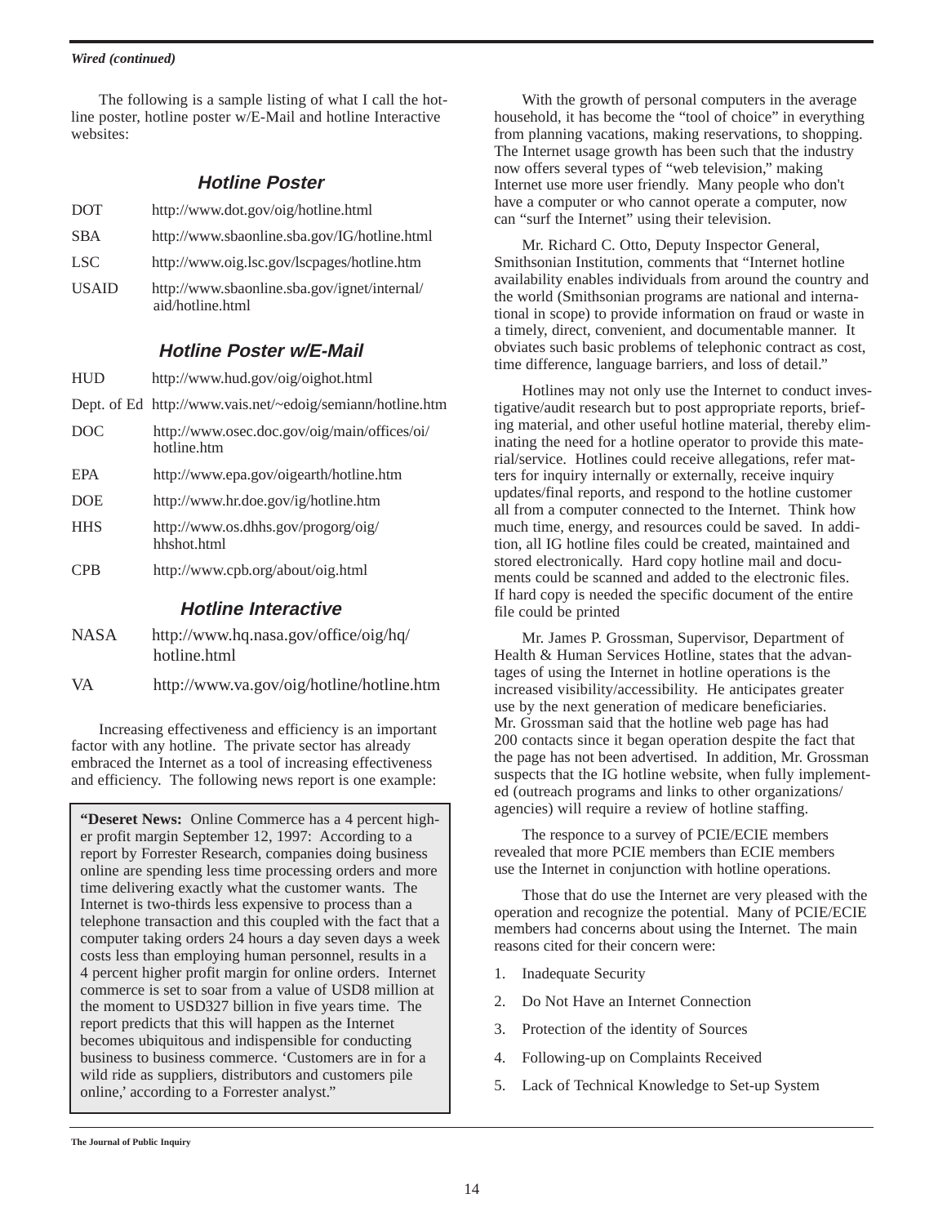#### *Wired (continued)*

The following is a sample listing of what I call the hotline poster, hotline poster w/E-Mail and hotline Interactive websites:

### **Hotline Poster**

| <b>DOT</b>   | http://www.dot.gov/oig/hotline.html                              |
|--------------|------------------------------------------------------------------|
| <b>SBA</b>   | http://www.sbaonline.sba.gov/IG/hotline.html                     |
| <b>LSC</b>   | http://www.oig.lsc.gov/lscpages/hotline.htm                      |
| <b>USAID</b> | http://www.sbaonline.sba.gov/ignet/internal/<br>aid/hotline.html |

### **Hotline Poster w/E-Mail**

| <b>HUD</b> | http://www.hud.gov/oig/oighot.html |
|------------|------------------------------------|
|            |                                    |

- Dept. of Ed http://www.vais.net/~edoig/semiann/hotline.htm
- DOC http://www.osec.doc.gov/oig/main/offices/oi/ hotline.htm
- EPA http://www.epa.gov/oigearth/hotline.htm
- DOE http://www.hr.doe.gov/ig/hotline.htm
- HHS http://www.os.dhhs.gov/progorg/oig/ hhshot.html
- CPB http://www.cpb.org/about/oig.html

#### **Hotline Interactive**

- NASA http://www.hq.nasa.gov/office/oig/hq/ hotline.html
- VA http://www.va.gov/oig/hotline/hotline.htm

Increasing effectiveness and efficiency is an important factor with any hotline. The private sector has already embraced the Internet as a tool of increasing effectiveness and efficiency. The following news report is one example:

**"Deseret News:** Online Commerce has a 4 percent higher profit margin September 12, 1997: According to a report by Forrester Research, companies doing business online are spending less time processing orders and more time delivering exactly what the customer wants. The Internet is two-thirds less expensive to process than a telephone transaction and this coupled with the fact that a computer taking orders 24 hours a day seven days a week costs less than employing human personnel, results in a 4 percent higher profit margin for online orders. Internet commerce is set to soar from a value of USD8 million at the moment to USD327 billion in five years time. The report predicts that this will happen as the Internet becomes ubiquitous and indispensible for conducting business to business commerce. 'Customers are in for a wild ride as suppliers, distributors and customers pile online,' according to a Forrester analyst."

With the growth of personal computers in the average household, it has become the "tool of choice" in everything from planning vacations, making reservations, to shopping. The Internet usage growth has been such that the industry now offers several types of "web television," making Internet use more user friendly. Many people who don't have a computer or who cannot operate a computer, now can "surf the Internet" using their television.

Mr. Richard C. Otto, Deputy Inspector General, Smithsonian Institution, comments that "Internet hotline availability enables individuals from around the country and the world (Smithsonian programs are national and international in scope) to provide information on fraud or waste in a timely, direct, convenient, and documentable manner. It obviates such basic problems of telephonic contract as cost, time difference, language barriers, and loss of detail."

Hotlines may not only use the Internet to conduct investigative/audit research but to post appropriate reports, briefing material, and other useful hotline material, thereby eliminating the need for a hotline operator to provide this material/service. Hotlines could receive allegations, refer matters for inquiry internally or externally, receive inquiry updates/final reports, and respond to the hotline customer all from a computer connected to the Internet. Think how much time, energy, and resources could be saved. In addition, all IG hotline files could be created, maintained and stored electronically. Hard copy hotline mail and documents could be scanned and added to the electronic files. If hard copy is needed the specific document of the entire file could be printed

Mr. James P. Grossman, Supervisor, Department of Health & Human Services Hotline, states that the advantages of using the Internet in hotline operations is the increased visibility/accessibility. He anticipates greater use by the next generation of medicare beneficiaries. Mr. Grossman said that the hotline web page has had 200 contacts since it began operation despite the fact that the page has not been advertised. In addition, Mr. Grossman suspects that the IG hotline website, when fully implemented (outreach programs and links to other organizations/ agencies) will require a review of hotline staffing.

The responce to a survey of PCIE/ECIE members revealed that more PCIE members than ECIE members use the Internet in conjunction with hotline operations.

Those that do use the Internet are very pleased with the operation and recognize the potential. Many of PCIE/ECIE members had concerns about using the Internet. The main reasons cited for their concern were:

- 1. Inadequate Security
- 2. Do Not Have an Internet Connection
- 3. Protection of the identity of Sources
- 4. Following-up on Complaints Received
- 5. Lack of Technical Knowledge to Set-up System

**The Journal of Public Inquiry**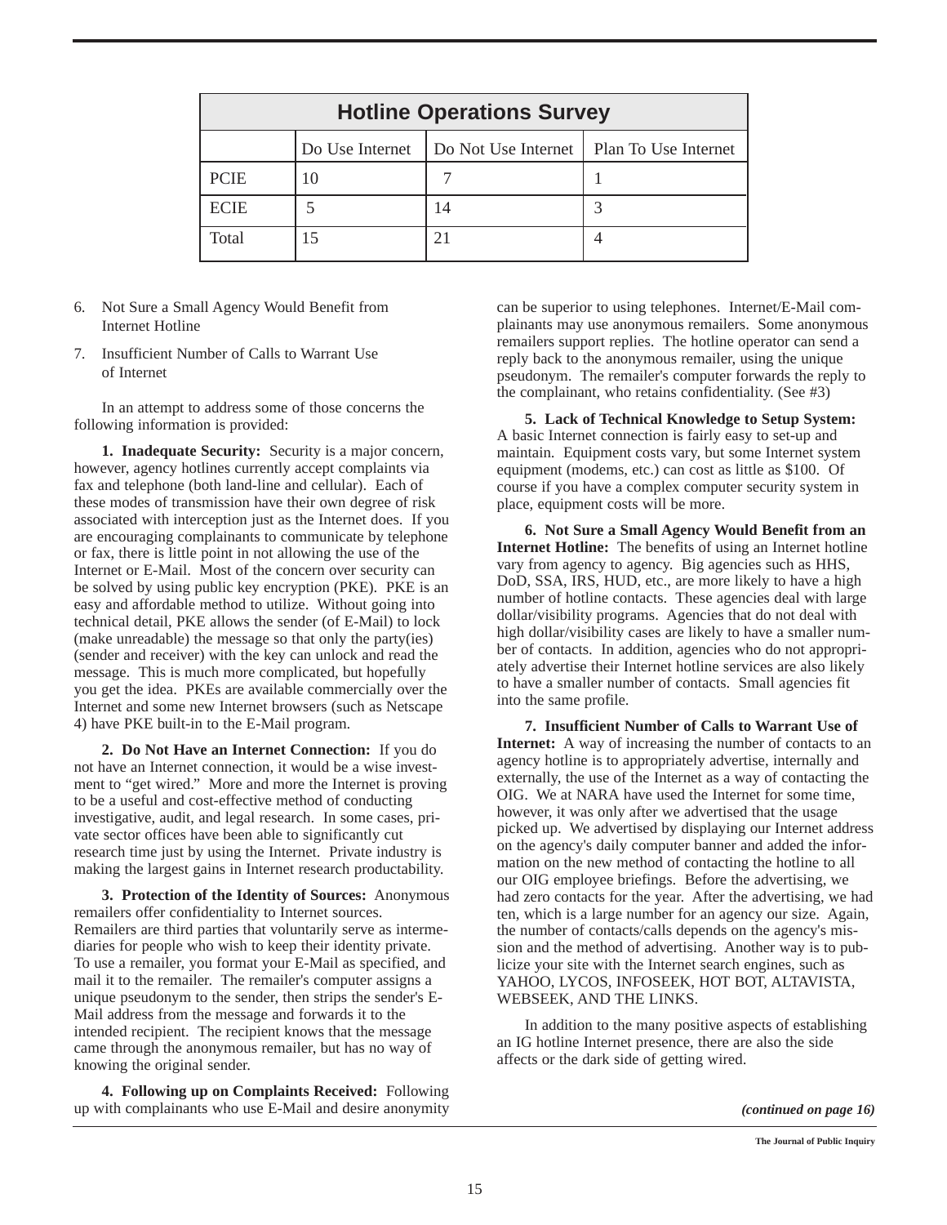|             | <b>Hotline Operations Survey</b> |                                            |  |
|-------------|----------------------------------|--------------------------------------------|--|
|             | Do Use Internet                  | Do Not Use Internet   Plan To Use Internet |  |
| <b>PCIE</b> |                                  |                                            |  |
| <b>ECIE</b> |                                  | 14                                         |  |
| Total       |                                  |                                            |  |

- 6. Not Sure a Small Agency Would Benefit from Internet Hotline
- 7. Insufficient Number of Calls to Warrant Use of Internet

In an attempt to address some of those concerns the following information is provided:

**1. Inadequate Security:** Security is a major concern, however, agency hotlines currently accept complaints via fax and telephone (both land-line and cellular). Each of these modes of transmission have their own degree of risk associated with interception just as the Internet does. If you are encouraging complainants to communicate by telephone or fax, there is little point in not allowing the use of the Internet or E-Mail. Most of the concern over security can be solved by using public key encryption (PKE). PKE is an easy and affordable method to utilize. Without going into technical detail, PKE allows the sender (of E-Mail) to lock (make unreadable) the message so that only the party(ies) (sender and receiver) with the key can unlock and read the message. This is much more complicated, but hopefully you get the idea. PKEs are available commercially over the Internet and some new Internet browsers (such as Netscape 4) have PKE built-in to the E-Mail program.

**2. Do Not Have an Internet Connection:** If you do not have an Internet connection, it would be a wise investment to "get wired." More and more the Internet is proving to be a useful and cost-effective method of conducting investigative, audit, and legal research. In some cases, private sector offices have been able to significantly cut research time just by using the Internet. Private industry is making the largest gains in Internet research productability.

**3. Protection of the Identity of Sources:** Anonymous remailers offer confidentiality to Internet sources. Remailers are third parties that voluntarily serve as intermediaries for people who wish to keep their identity private. To use a remailer, you format your E-Mail as specified, and mail it to the remailer. The remailer's computer assigns a unique pseudonym to the sender, then strips the sender's E-Mail address from the message and forwards it to the intended recipient. The recipient knows that the message came through the anonymous remailer, but has no way of knowing the original sender.

**4. Following up on Complaints Received:** Following up with complainants who use E-Mail and desire anonymity can be superior to using telephones. Internet/E-Mail complainants may use anonymous remailers. Some anonymous remailers support replies. The hotline operator can send a reply back to the anonymous remailer, using the unique pseudonym. The remailer's computer forwards the reply to the complainant, who retains confidentiality. (See #3)

**5. Lack of Technical Knowledge to Setup System:** A basic Internet connection is fairly easy to set-up and maintain. Equipment costs vary, but some Internet system equipment (modems, etc.) can cost as little as \$100. Of course if you have a complex computer security system in place, equipment costs will be more.

**6. Not Sure a Small Agency Would Benefit from an Internet Hotline:** The benefits of using an Internet hotline vary from agency to agency. Big agencies such as HHS, DoD, SSA, IRS, HUD, etc., are more likely to have a high number of hotline contacts. These agencies deal with large dollar/visibility programs. Agencies that do not deal with high dollar/visibility cases are likely to have a smaller number of contacts. In addition, agencies who do not appropriately advertise their Internet hotline services are also likely to have a smaller number of contacts. Small agencies fit into the same profile.

**7. Insufficient Number of Calls to Warrant Use of Internet:** A way of increasing the number of contacts to an agency hotline is to appropriately advertise, internally and externally, the use of the Internet as a way of contacting the OIG. We at NARA have used the Internet for some time, however, it was only after we advertised that the usage picked up. We advertised by displaying our Internet address on the agency's daily computer banner and added the information on the new method of contacting the hotline to all our OIG employee briefings. Before the advertising, we had zero contacts for the year. After the advertising, we had ten, which is a large number for an agency our size. Again, the number of contacts/calls depends on the agency's mission and the method of advertising. Another way is to publicize your site with the Internet search engines, such as YAHOO, LYCOS, INFOSEEK, HOT BOT, ALTAVISTA, WEBSEEK, AND THE LINKS.

In addition to the many positive aspects of establishing an IG hotline Internet presence, there are also the side affects or the dark side of getting wired.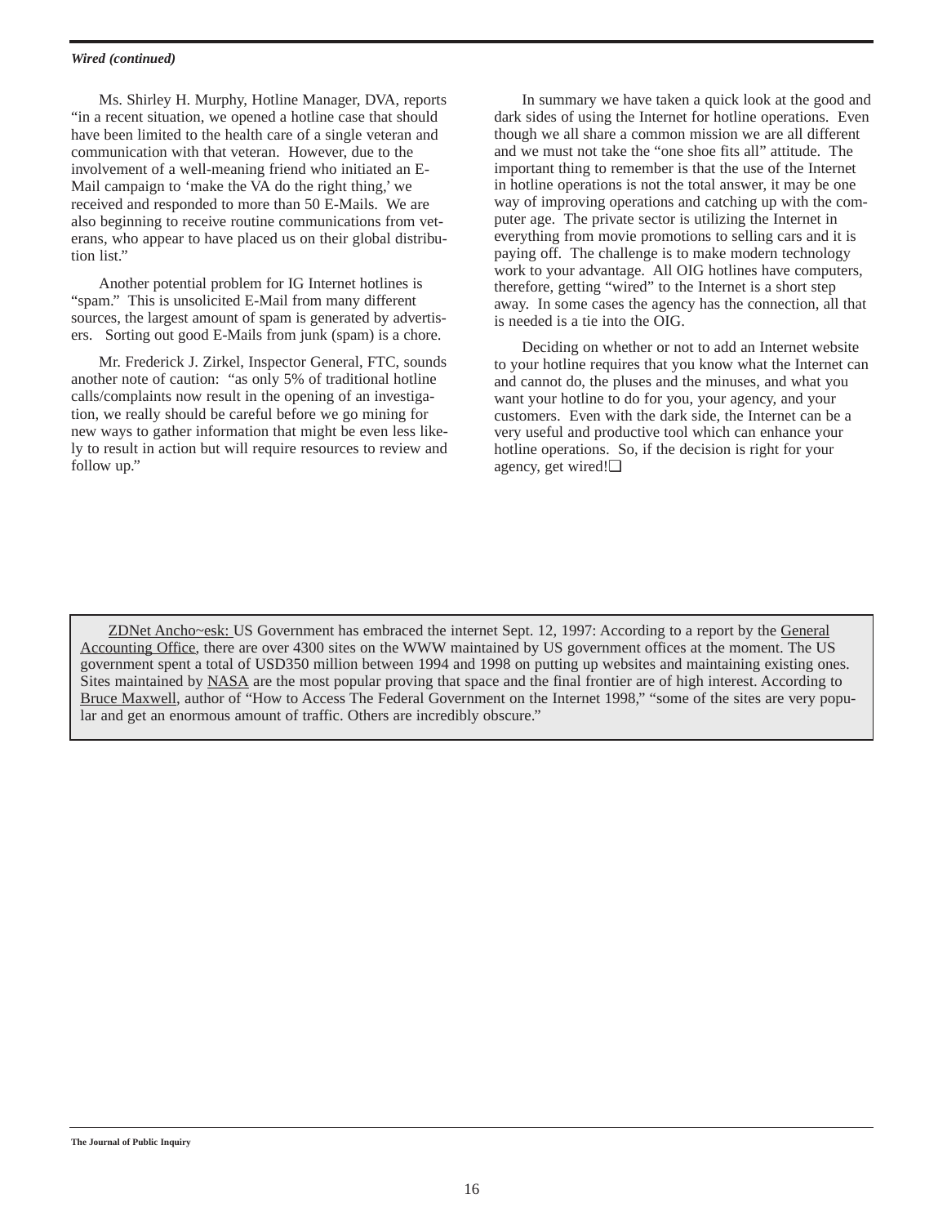#### *Wired (continued)*

Ms. Shirley H. Murphy, Hotline Manager, DVA, reports "in a recent situation, we opened a hotline case that should have been limited to the health care of a single veteran and communication with that veteran. However, due to the involvement of a well-meaning friend who initiated an E-Mail campaign to 'make the VA do the right thing,' we received and responded to more than 50 E-Mails. We are also beginning to receive routine communications from veterans, who appear to have placed us on their global distribution list."

Another potential problem for IG Internet hotlines is "spam." This is unsolicited E-Mail from many different sources, the largest amount of spam is generated by advertisers. Sorting out good E-Mails from junk (spam) is a chore.

Mr. Frederick J. Zirkel, Inspector General, FTC, sounds another note of caution: "as only 5% of traditional hotline calls/complaints now result in the opening of an investigation, we really should be careful before we go mining for new ways to gather information that might be even less likely to result in action but will require resources to review and follow up."

In summary we have taken a quick look at the good and dark sides of using the Internet for hotline operations. Even though we all share a common mission we are all different and we must not take the "one shoe fits all" attitude. The important thing to remember is that the use of the Internet in hotline operations is not the total answer, it may be one way of improving operations and catching up with the computer age. The private sector is utilizing the Internet in everything from movie promotions to selling cars and it is paying off. The challenge is to make modern technology work to your advantage. All OIG hotlines have computers, therefore, getting "wired" to the Internet is a short step away. In some cases the agency has the connection, all that is needed is a tie into the OIG.

Deciding on whether or not to add an Internet website to your hotline requires that you know what the Internet can and cannot do, the pluses and the minuses, and what you want your hotline to do for you, your agency, and your customers. Even with the dark side, the Internet can be a very useful and productive tool which can enhance your hotline operations. So, if the decision is right for your agency, get wired!❏

ZDNet Ancho~esk: US Government has embraced the internet Sept. 12, 1997: According to a report by the General Accounting Office, there are over 4300 sites on the WWW maintained by US government offices at the moment. The US government spent a total of USD350 million between 1994 and 1998 on putting up websites and maintaining existing ones. Sites maintained by NASA are the most popular proving that space and the final frontier are of high interest. According to Bruce Maxwell, author of "How to Access The Federal Government on the Internet 1998," "some of the sites are very popular and get an enormous amount of traffic. Others are incredibly obscure."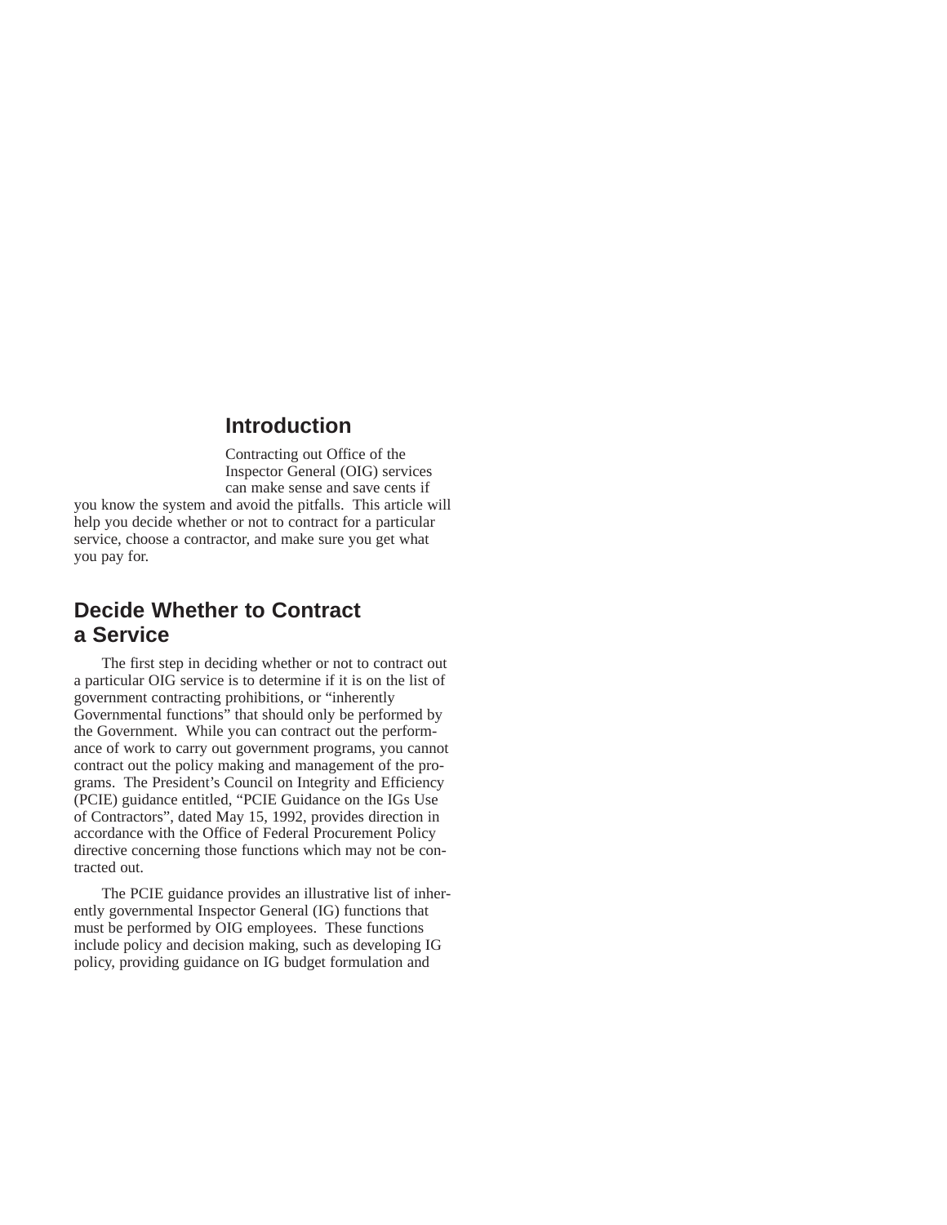### **Introduction**

Contracting out Office of the Inspector General (OIG) services can make sense and save cents if you know the system and avoid the pitfalls. This article will help you decide whether or not to contract for a particular service, choose a contractor, and make sure you get what you pay for.

## **Decide Whether to Contract a Service**

The first step in deciding whether or not to contract out a particular OIG service is to determine if it is on the list of government contracting prohibitions, or "inherently Governmental functions" that should only be performed by the Government. While you can contract out the performance of work to carry out government programs, you cannot contract out the policy making and management of the programs. The President's Council on Integrity and Efficiency (PCIE) guidance entitled, "PCIE Guidance on the IGs Use of Contractors", dated May 15, 1992, provides direction in accordance with the Office of Federal Procurement Policy directive concerning those functions which may not be contracted out.

The PCIE guidance provides an illustrative list of inherently governmental Inspector General (IG) functions that must be performed by OIG employees. These functions include policy and decision making, such as developing IG policy, providing guidance on IG budget formulation and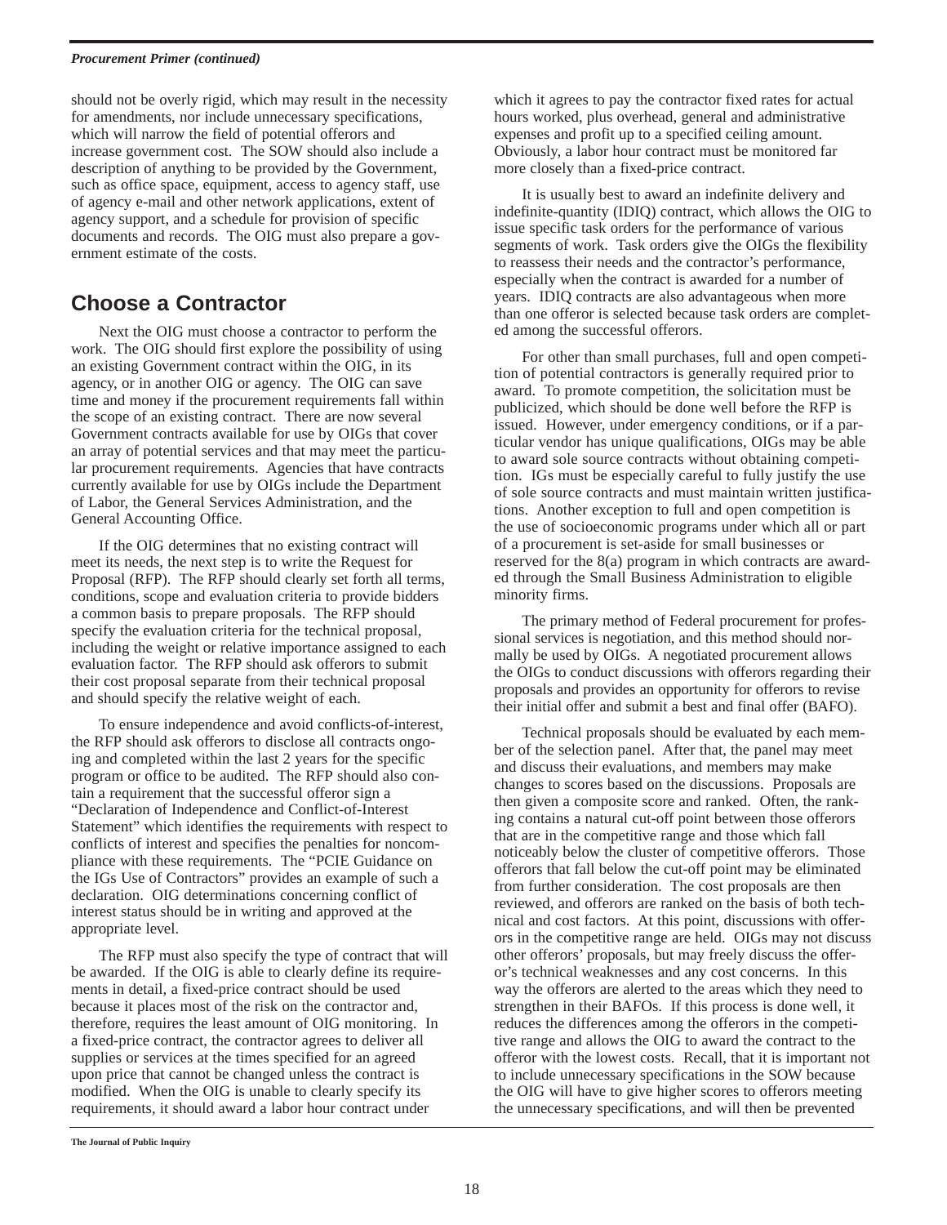#### *Procurement Primer (continued)*

should not be overly rigid, which may result in the necessity for amendments, nor include unnecessary specifications, which will narrow the field of potential offerors and increase government cost. The SOW should also include a description of anything to be provided by the Government, such as office space, equipment, access to agency staff, use of agency e-mail and other network applications, extent of agency support, and a schedule for provision of specific documents and records. The OIG must also prepare a government estimate of the costs.

## **Choose a Contractor**

Next the OIG must choose a contractor to perform the work. The OIG should first explore the possibility of using an existing Government contract within the OIG, in its agency, or in another OIG or agency. The OIG can save time and money if the procurement requirements fall within the scope of an existing contract. There are now several Government contracts available for use by OIGs that cover an array of potential services and that may meet the particular procurement requirements. Agencies that have contracts currently available for use by OIGs include the Department of Labor, the General Services Administration, and the General Accounting Office.

If the OIG determines that no existing contract will meet its needs, the next step is to write the Request for Proposal (RFP). The RFP should clearly set forth all terms, conditions, scope and evaluation criteria to provide bidders a common basis to prepare proposals. The RFP should specify the evaluation criteria for the technical proposal, including the weight or relative importance assigned to each evaluation factor. The RFP should ask offerors to submit their cost proposal separate from their technical proposal and should specify the relative weight of each.

To ensure independence and avoid conflicts-of-interest, the RFP should ask offerors to disclose all contracts ongoing and completed within the last 2 years for the specific program or office to be audited. The RFP should also contain a requirement that the successful offeror sign a "Declaration of Independence and Conflict-of-Interest Statement" which identifies the requirements with respect to conflicts of interest and specifies the penalties for noncompliance with these requirements. The "PCIE Guidance on the IGs Use of Contractors" provides an example of such a declaration. OIG determinations concerning conflict of interest status should be in writing and approved at the appropriate level.

The RFP must also specify the type of contract that will be awarded. If the OIG is able to clearly define its requirements in detail, a fixed-price contract should be used because it places most of the risk on the contractor and, therefore, requires the least amount of OIG monitoring. In a fixed-price contract, the contractor agrees to deliver all supplies or services at the times specified for an agreed upon price that cannot be changed unless the contract is modified. When the OIG is unable to clearly specify its requirements, it should award a labor hour contract under

which it agrees to pay the contractor fixed rates for actual hours worked, plus overhead, general and administrative expenses and profit up to a specified ceiling amount. Obviously, a labor hour contract must be monitored far more closely than a fixed-price contract.

It is usually best to award an indefinite delivery and indefinite-quantity (IDIQ) contract, which allows the OIG to issue specific task orders for the performance of various segments of work. Task orders give the OIGs the flexibility to reassess their needs and the contractor's performance, especially when the contract is awarded for a number of years. IDIQ contracts are also advantageous when more than one offeror is selected because task orders are completed among the successful offerors.

For other than small purchases, full and open competition of potential contractors is generally required prior to award. To promote competition, the solicitation must be publicized, which should be done well before the RFP is issued. However, under emergency conditions, or if a particular vendor has unique qualifications, OIGs may be able to award sole source contracts without obtaining competition. IGs must be especially careful to fully justify the use of sole source contracts and must maintain written justifications. Another exception to full and open competition is the use of socioeconomic programs under which all or part of a procurement is set-aside for small businesses or reserved for the 8(a) program in which contracts are awarded through the Small Business Administration to eligible minority firms.

The primary method of Federal procurement for professional services is negotiation, and this method should normally be used by OIGs. A negotiated procurement allows the OIGs to conduct discussions with offerors regarding their proposals and provides an opportunity for offerors to revise their initial offer and submit a best and final offer (BAFO).

Technical proposals should be evaluated by each member of the selection panel. After that, the panel may meet and discuss their evaluations, and members may make changes to scores based on the discussions. Proposals are then given a composite score and ranked. Often, the ranking contains a natural cut-off point between those offerors that are in the competitive range and those which fall noticeably below the cluster of competitive offerors. Those offerors that fall below the cut-off point may be eliminated from further consideration. The cost proposals are then reviewed, and offerors are ranked on the basis of both technical and cost factors. At this point, discussions with offerors in the competitive range are held. OIGs may not discuss other offerors' proposals, but may freely discuss the offeror's technical weaknesses and any cost concerns. In this way the offerors are alerted to the areas which they need to strengthen in their BAFOs. If this process is done well, it reduces the differences among the offerors in the competitive range and allows the OIG to award the contract to the offeror with the lowest costs. Recall, that it is important not to include unnecessary specifications in the SOW because the OIG will have to give higher scores to offerors meeting the unnecessary specifications, and will then be prevented

**The Journal of Public Inquiry**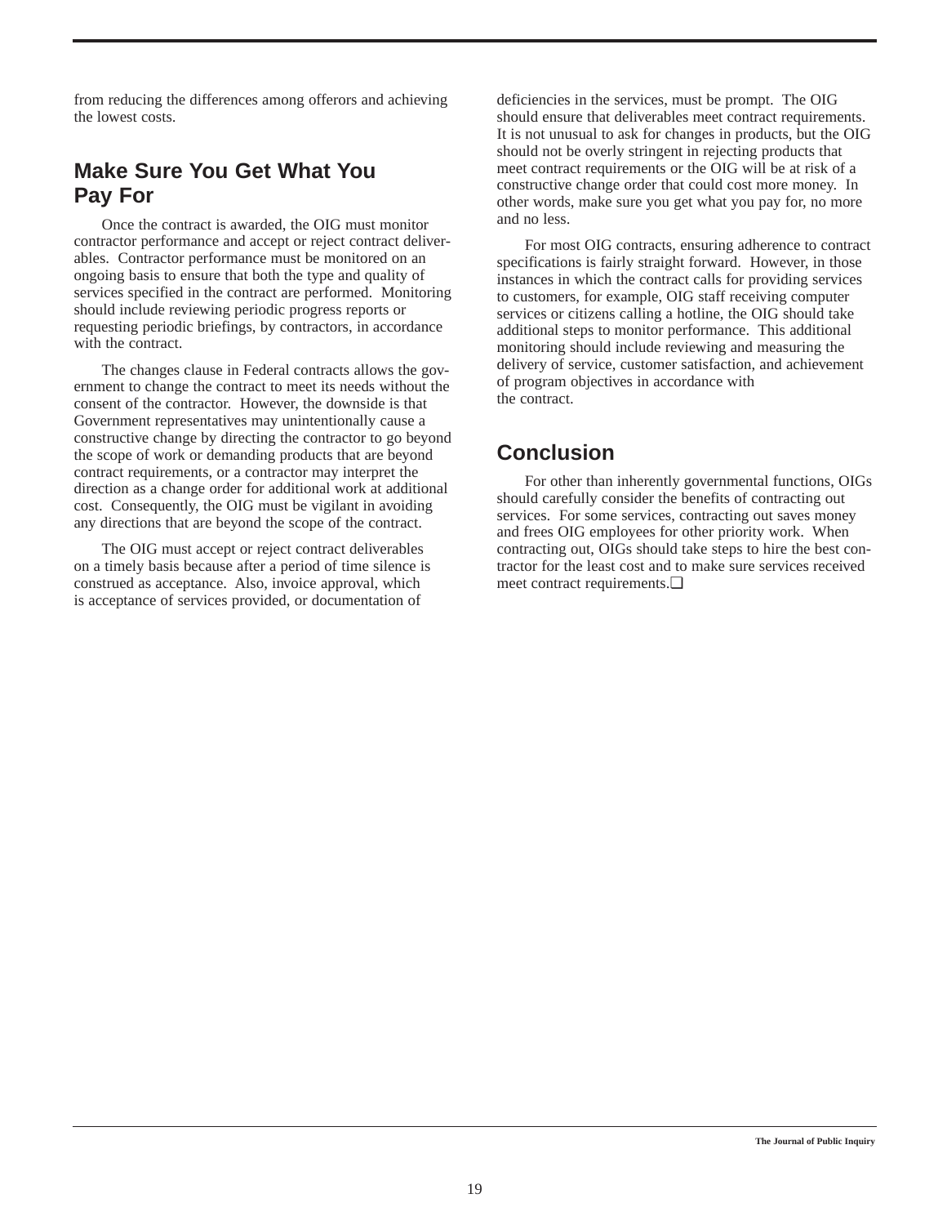from reducing the differences among offerors and achieving the lowest costs.

## **Make Sure You Get What You Pay For**

Once the contract is awarded, the OIG must monitor contractor performance and accept or reject contract deliverables. Contractor performance must be monitored on an ongoing basis to ensure that both the type and quality of services specified in the contract are performed. Monitoring should include reviewing periodic progress reports or requesting periodic briefings, by contractors, in accordance with the contract.

The changes clause in Federal contracts allows the government to change the contract to meet its needs without the consent of the contractor. However, the downside is that Government representatives may unintentionally cause a constructive change by directing the contractor to go beyond the scope of work or demanding products that are beyond contract requirements, or a contractor may interpret the direction as a change order for additional work at additional cost. Consequently, the OIG must be vigilant in avoiding any directions that are beyond the scope of the contract.

The OIG must accept or reject contract deliverables on a timely basis because after a period of time silence is construed as acceptance. Also, invoice approval, which is acceptance of services provided, or documentation of

deficiencies in the services, must be prompt. The OIG should ensure that deliverables meet contract requirements. It is not unusual to ask for changes in products, but the OIG should not be overly stringent in rejecting products that meet contract requirements or the OIG will be at risk of a constructive change order that could cost more money. In other words, make sure you get what you pay for, no more and no less.

For most OIG contracts, ensuring adherence to contract specifications is fairly straight forward. However, in those instances in which the contract calls for providing services to customers, for example, OIG staff receiving computer services or citizens calling a hotline, the OIG should take additional steps to monitor performance. This additional monitoring should include reviewing and measuring the delivery of service, customer satisfaction, and achievement of program objectives in accordance with the contract.

## **Conclusion**

For other than inherently governmental functions, OIGs should carefully consider the benefits of contracting out services. For some services, contracting out saves money and frees OIG employees for other priority work. When contracting out, OIGs should take steps to hire the best contractor for the least cost and to make sure services received meet contract requirements.❏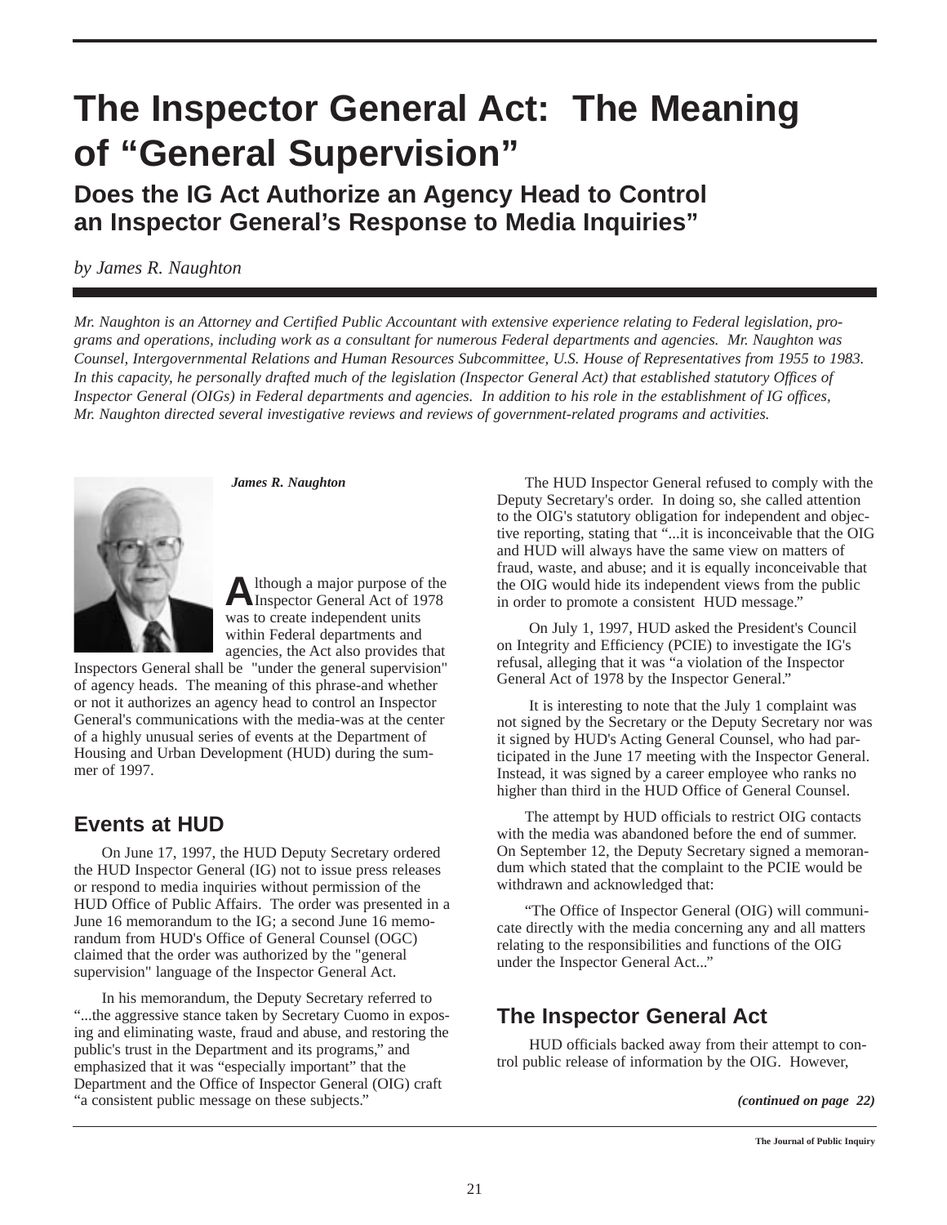## **The Inspector General Act: The Meaning of "General Supervision"**

**Does the IG Act Authorize an Agency Head to Control an Inspector General's Response to Media Inquiries"**

*by James R. Naughton*

*Mr. Naughton is an Attorney and Certified Public Accountant with extensive experience relating to Federal legislation, programs and operations, including work as a consultant for numerous Federal departments and agencies. Mr. Naughton was Counsel, Intergovernmental Relations and Human Resources Subcommittee, U.S. House of Representatives from 1955 to 1983. In this capacity, he personally drafted much of the legislation (Inspector General Act) that established statutory Offices of Inspector General (OIGs) in Federal departments and agencies. In addition to his role in the establishment of IG offices, Mr. Naughton directed several investigative reviews and reviews of government-related programs and activities.*



*James R. Naughton*

**A**lthough a major purpose of the Inspector General Act of 1978 was to create independent units within Federal departments and agencies, the Act also provides that

Inspectors General shall be "under the general supervision" of agency heads. The meaning of this phrase-and whether or not it authorizes an agency head to control an Inspector General's communications with the media-was at the center of a highly unusual series of events at the Department of Housing and Urban Development (HUD) during the summer of 1997.

## **Events at HUD**

On June 17, 1997, the HUD Deputy Secretary ordered the HUD Inspector General (IG) not to issue press releases or respond to media inquiries without permission of the HUD Office of Public Affairs. The order was presented in a June 16 memorandum to the IG; a second June 16 memorandum from HUD's Office of General Counsel (OGC) claimed that the order was authorized by the "general supervision" language of the Inspector General Act.

In his memorandum, the Deputy Secretary referred to "...the aggressive stance taken by Secretary Cuomo in exposing and eliminating waste, fraud and abuse, and restoring the public's trust in the Department and its programs," and emphasized that it was "especially important" that the Department and the Office of Inspector General (OIG) craft "a consistent public message on these subjects."

The HUD Inspector General refused to comply with the Deputy Secretary's order. In doing so, she called attention to the OIG's statutory obligation for independent and objective reporting, stating that "...it is inconceivable that the OIG and HUD will always have the same view on matters of fraud, waste, and abuse; and it is equally inconceivable that the OIG would hide its independent views from the public in order to promote a consistent HUD message."

On July 1, 1997, HUD asked the President's Council on Integrity and Efficiency (PCIE) to investigate the IG's refusal, alleging that it was "a violation of the Inspector General Act of 1978 by the Inspector General."

It is interesting to note that the July 1 complaint was not signed by the Secretary or the Deputy Secretary nor was it signed by HUD's Acting General Counsel, who had participated in the June 17 meeting with the Inspector General. Instead, it was signed by a career employee who ranks no higher than third in the HUD Office of General Counsel.

The attempt by HUD officials to restrict OIG contacts with the media was abandoned before the end of summer. On September 12, the Deputy Secretary signed a memorandum which stated that the complaint to the PCIE would be withdrawn and acknowledged that:

"The Office of Inspector General (OIG) will communicate directly with the media concerning any and all matters relating to the responsibilities and functions of the OIG under the Inspector General Act..."

## **The Inspector General Act**

HUD officials backed away from their attempt to control public release of information by the OIG. However,

*<sup>(</sup>continued on page 22)*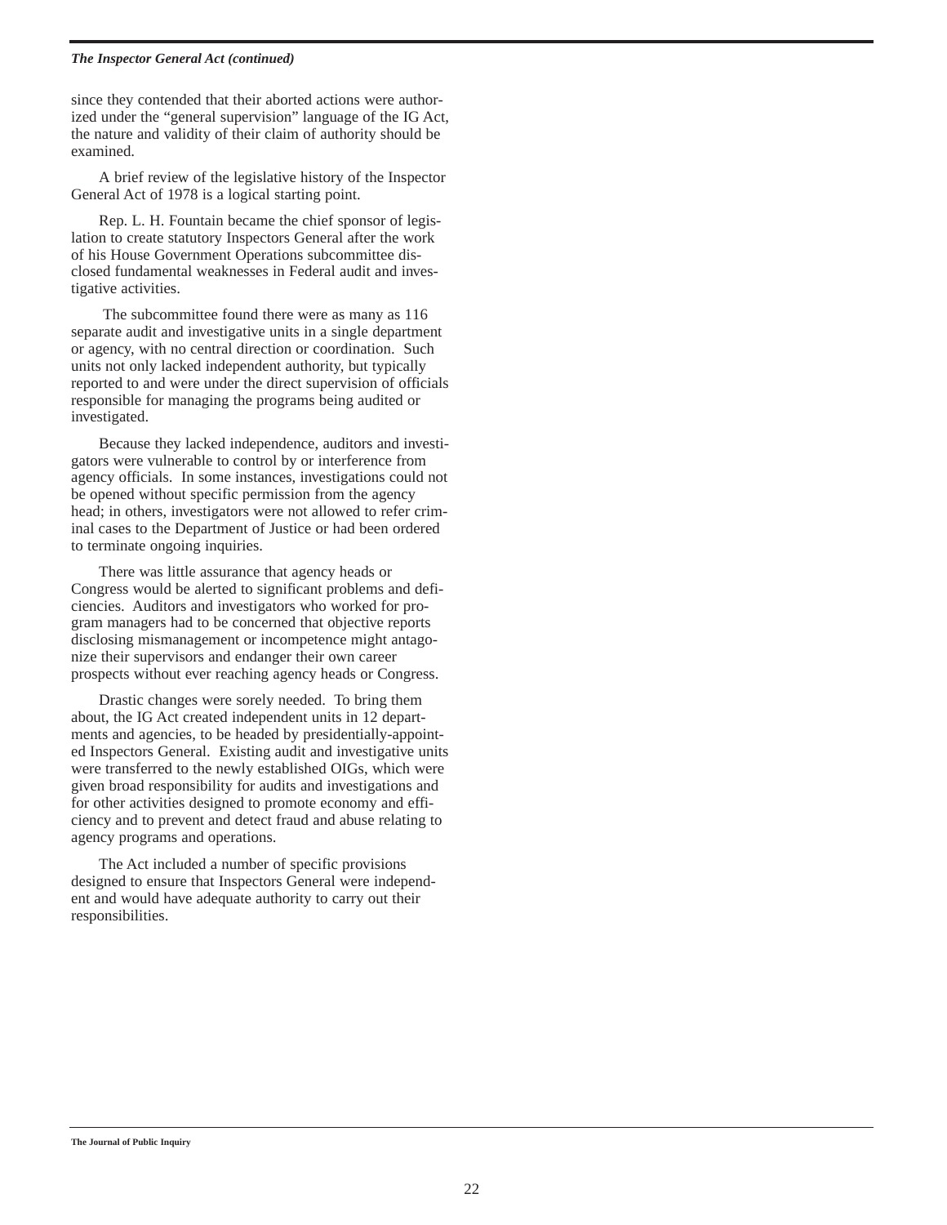#### *The Inspector General Act (continued)*

since they contended that their aborted actions were authorized under the "general supervision" language of the IG Act, the nature and validity of their claim of authority should be examined.

A brief review of the legislative history of the Inspector General Act of 1978 is a logical starting point.

Rep. L. H. Fountain became the chief sponsor of legislation to create statutory Inspectors General after the work of his House Government Operations subcommittee disclosed fundamental weaknesses in Federal audit and investigative activities.

The subcommittee found there were as many as 116 separate audit and investigative units in a single department or agency, with no central direction or coordination. Such units not only lacked independent authority, but typically reported to and were under the direct supervision of officials responsible for managing the programs being audited or investigated.

Because they lacked independence, auditors and investigators were vulnerable to control by or interference from agency officials. In some instances, investigations could not be opened without specific permission from the agency head; in others, investigators were not allowed to refer criminal cases to the Department of Justice or had been ordered to terminate ongoing inquiries.

There was little assurance that agency heads or Congress would be alerted to significant problems and deficiencies. Auditors and investigators who worked for program managers had to be concerned that objective reports disclosing mismanagement or incompetence might antagonize their supervisors and endanger their own career prospects without ever reaching agency heads or Congress.

Drastic changes were sorely needed. To bring them about, the IG Act created independent units in 12 departments and agencies, to be headed by presidentially-appointed Inspectors General. Existing audit and investigative units were transferred to the newly established OIGs, which were given broad responsibility for audits and investigations and for other activities designed to promote economy and efficiency and to prevent and detect fraud and abuse relating to agency programs and operations.

The Act included a number of specific provisions designed to ensure that Inspectors General were independent and would have adequate authority to carry out their responsibilities.

#### **The Journal of Public Inquiry**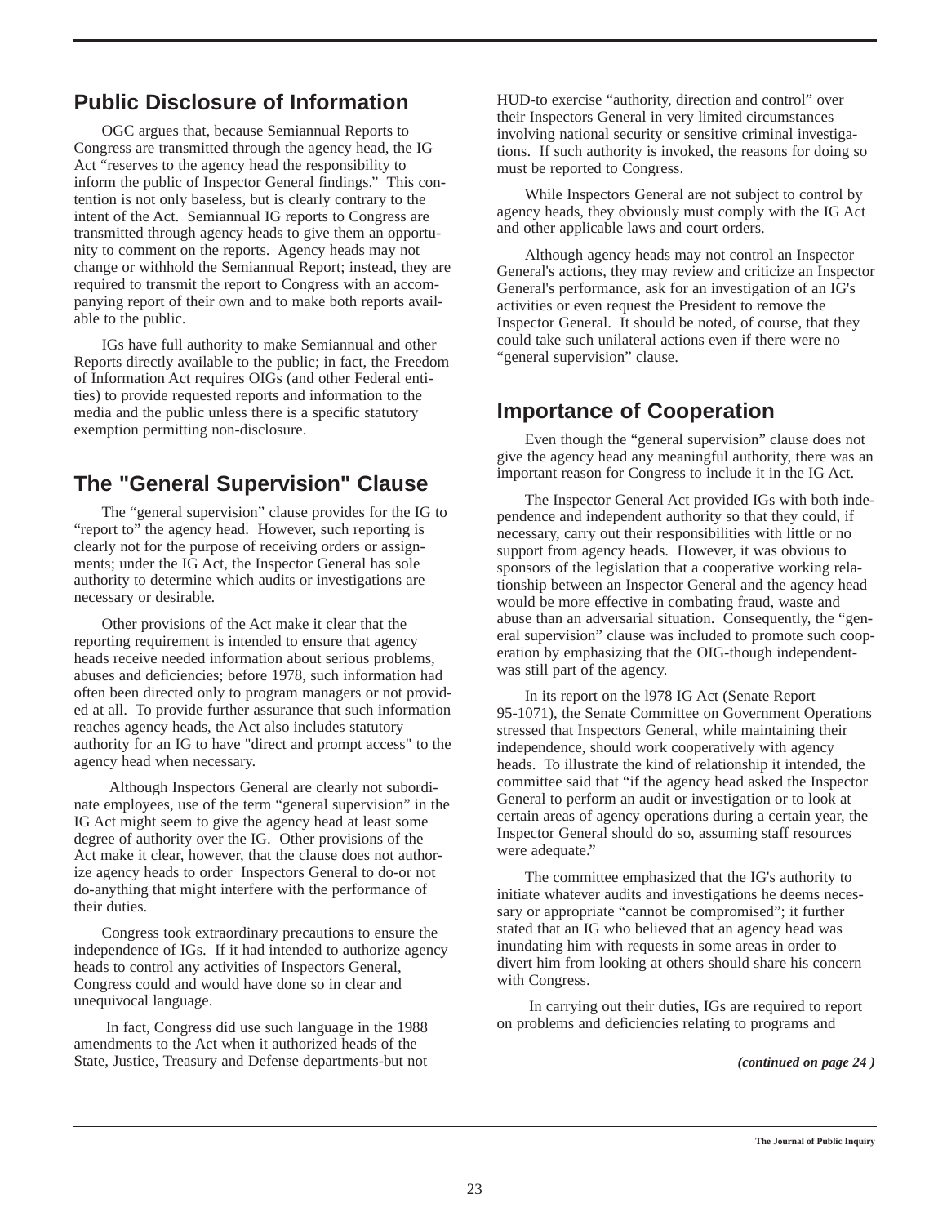## **Public Disclosure of Information**

OGC argues that, because Semiannual Reports to Congress are transmitted through the agency head, the IG Act "reserves to the agency head the responsibility to inform the public of Inspector General findings." This contention is not only baseless, but is clearly contrary to the intent of the Act. Semiannual IG reports to Congress are transmitted through agency heads to give them an opportunity to comment on the reports. Agency heads may not change or withhold the Semiannual Report; instead, they are required to transmit the report to Congress with an accompanying report of their own and to make both reports available to the public.

IGs have full authority to make Semiannual and other Reports directly available to the public; in fact, the Freedom of Information Act requires OIGs (and other Federal entities) to provide requested reports and information to the media and the public unless there is a specific statutory exemption permitting non-disclosure.

## **The "General Supervision" Clause**

The "general supervision" clause provides for the IG to "report to" the agency head. However, such reporting is clearly not for the purpose of receiving orders or assignments; under the IG Act, the Inspector General has sole authority to determine which audits or investigations are necessary or desirable.

Other provisions of the Act make it clear that the reporting requirement is intended to ensure that agency heads receive needed information about serious problems, abuses and deficiencies; before 1978, such information had often been directed only to program managers or not provided at all. To provide further assurance that such information reaches agency heads, the Act also includes statutory authority for an IG to have "direct and prompt access" to the agency head when necessary.

Although Inspectors General are clearly not subordinate employees, use of the term "general supervision" in the IG Act might seem to give the agency head at least some degree of authority over the IG. Other provisions of the Act make it clear, however, that the clause does not authorize agency heads to order Inspectors General to do-or not do-anything that might interfere with the performance of their duties.

Congress took extraordinary precautions to ensure the independence of IGs. If it had intended to authorize agency heads to control any activities of Inspectors General, Congress could and would have done so in clear and unequivocal language.

In fact, Congress did use such language in the 1988 amendments to the Act when it authorized heads of the State, Justice, Treasury and Defense departments-but not HUD-to exercise "authority, direction and control" over their Inspectors General in very limited circumstances involving national security or sensitive criminal investigations. If such authority is invoked, the reasons for doing so must be reported to Congress.

While Inspectors General are not subject to control by agency heads, they obviously must comply with the IG Act and other applicable laws and court orders.

Although agency heads may not control an Inspector General's actions, they may review and criticize an Inspector General's performance, ask for an investigation of an IG's activities or even request the President to remove the Inspector General. It should be noted, of course, that they could take such unilateral actions even if there were no "general supervision" clause.

## **Importance of Cooperation**

Even though the "general supervision" clause does not give the agency head any meaningful authority, there was an important reason for Congress to include it in the IG Act.

The Inspector General Act provided IGs with both independence and independent authority so that they could, if necessary, carry out their responsibilities with little or no support from agency heads. However, it was obvious to sponsors of the legislation that a cooperative working relationship between an Inspector General and the agency head would be more effective in combating fraud, waste and abuse than an adversarial situation. Consequently, the "general supervision" clause was included to promote such cooperation by emphasizing that the OIG-though independentwas still part of the agency.

In its report on the l978 IG Act (Senate Report 95-1071), the Senate Committee on Government Operations stressed that Inspectors General, while maintaining their independence, should work cooperatively with agency heads. To illustrate the kind of relationship it intended, the committee said that "if the agency head asked the Inspector General to perform an audit or investigation or to look at certain areas of agency operations during a certain year, the Inspector General should do so, assuming staff resources were adequate."

The committee emphasized that the IG's authority to initiate whatever audits and investigations he deems necessary or appropriate "cannot be compromised"; it further stated that an IG who believed that an agency head was inundating him with requests in some areas in order to divert him from looking at others should share his concern with Congress.

In carrying out their duties, IGs are required to report on problems and deficiencies relating to programs and

*(continued on page 24 )*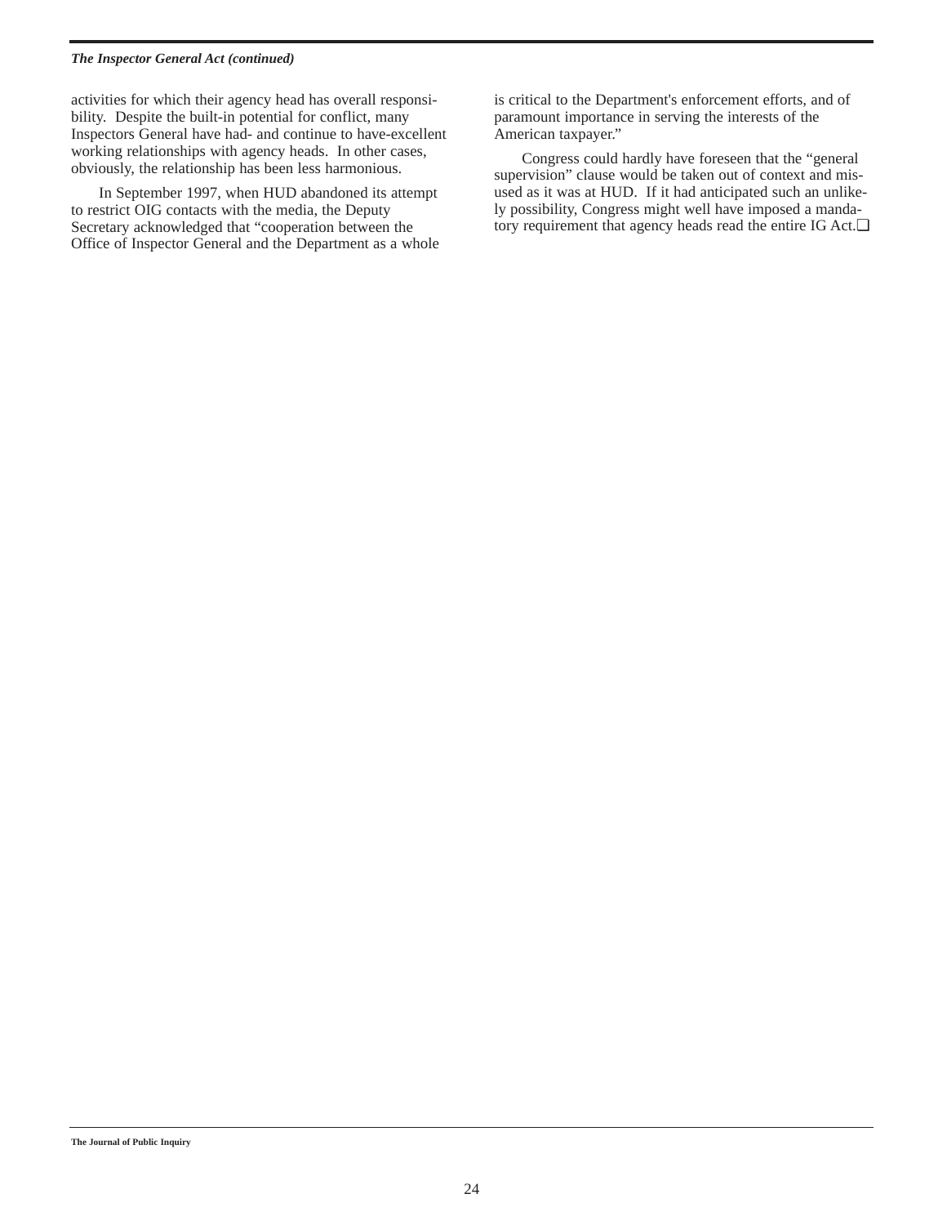#### *The Inspector General Act (continued)*

activities for which their agency head has overall responsibility. Despite the built-in potential for conflict, many Inspectors General have had- and continue to have-excellent working relationships with agency heads. In other cases, obviously, the relationship has been less harmonious.

In September 1997, when HUD abandoned its attempt to restrict OIG contacts with the media, the Deputy Secretary acknowledged that "cooperation between the Office of Inspector General and the Department as a whole is critical to the Department's enforcement efforts, and of paramount importance in serving the interests of the American taxpayer."

Congress could hardly have foreseen that the "general supervision" clause would be taken out of context and misused as it was at HUD. If it had anticipated such an unlikely possibility, Congress might well have imposed a mandatory requirement that agency heads read the entire IG Act.❏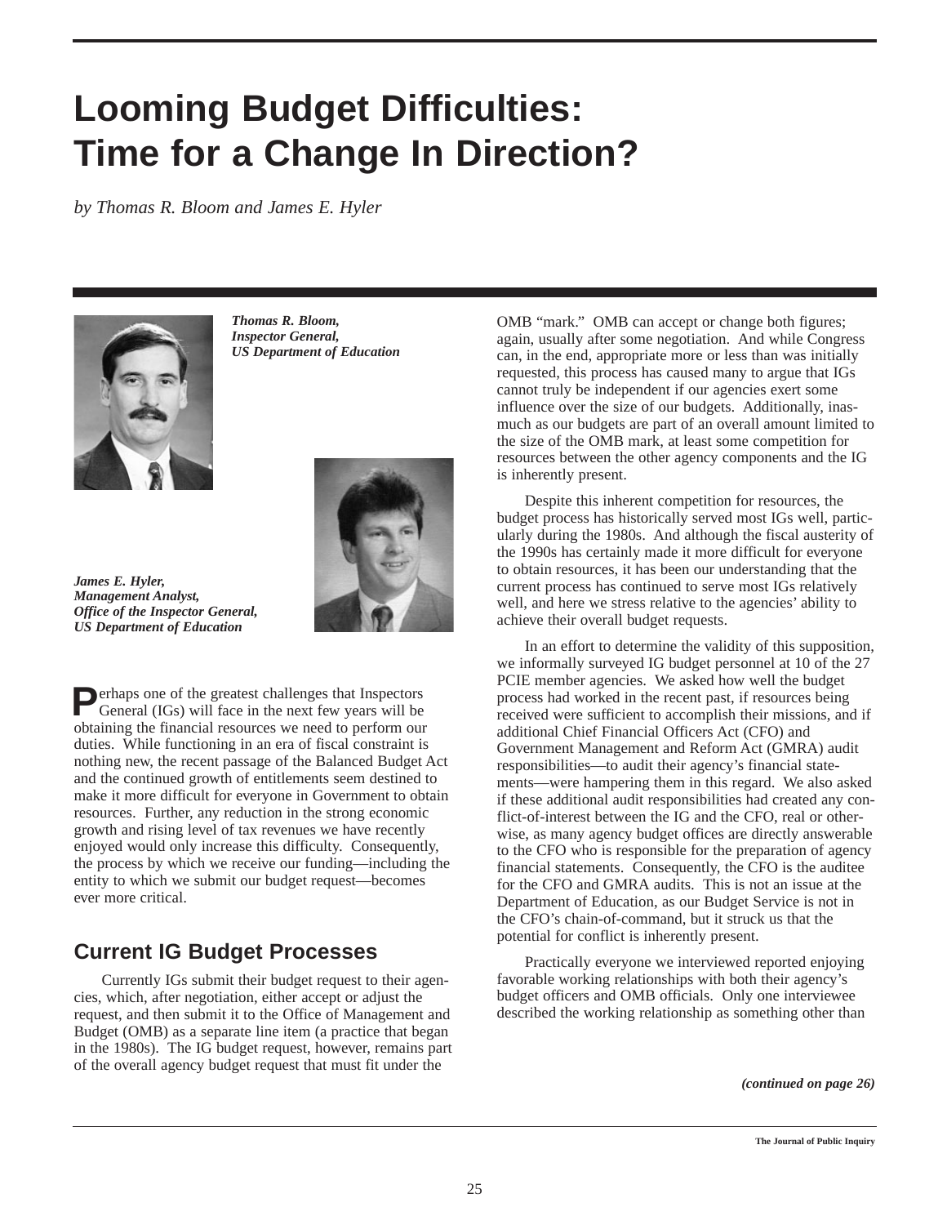## **Looming Budget Difficulties: Time for a Change In Direction?**

*by Thomas R. Bloom and James E. Hyler*



*Thomas R. Bloom, Inspector General, US Department of Education*



*James E. Hyler, Management Analyst, Office of the Inspector General, US Department of Education*

**P**erhaps one of the greatest challenges that Inspectors General (IGs) will face in the next few years will be obtaining the financial resources we need to perform our duties. While functioning in an era of fiscal constraint is nothing new, the recent passage of the Balanced Budget Act and the continued growth of entitlements seem destined to make it more difficult for everyone in Government to obtain resources. Further, any reduction in the strong economic growth and rising level of tax revenues we have recently enjoyed would only increase this difficulty. Consequently, the process by which we receive our funding—including the entity to which we submit our budget request—becomes ever more critical.

## **Current IG Budget Processes**

Currently IGs submit their budget request to their agencies, which, after negotiation, either accept or adjust the request, and then submit it to the Office of Management and Budget (OMB) as a separate line item (a practice that began in the 1980s). The IG budget request, however, remains part of the overall agency budget request that must fit under the

OMB "mark." OMB can accept or change both figures; again, usually after some negotiation. And while Congress can, in the end, appropriate more or less than was initially requested, this process has caused many to argue that IGs cannot truly be independent if our agencies exert some influence over the size of our budgets. Additionally, inasmuch as our budgets are part of an overall amount limited to the size of the OMB mark, at least some competition for resources between the other agency components and the IG is inherently present.

Despite this inherent competition for resources, the budget process has historically served most IGs well, particularly during the 1980s. And although the fiscal austerity of the 1990s has certainly made it more difficult for everyone to obtain resources, it has been our understanding that the current process has continued to serve most IGs relatively well, and here we stress relative to the agencies' ability to achieve their overall budget requests.

In an effort to determine the validity of this supposition, we informally surveyed IG budget personnel at 10 of the 27 PCIE member agencies. We asked how well the budget process had worked in the recent past, if resources being received were sufficient to accomplish their missions, and if additional Chief Financial Officers Act (CFO) and Government Management and Reform Act (GMRA) audit responsibilities—to audit their agency's financial statements—were hampering them in this regard. We also asked if these additional audit responsibilities had created any conflict-of-interest between the IG and the CFO, real or otherwise, as many agency budget offices are directly answerable to the CFO who is responsible for the preparation of agency financial statements. Consequently, the CFO is the auditee for the CFO and GMRA audits. This is not an issue at the Department of Education, as our Budget Service is not in the CFO's chain-of-command, but it struck us that the potential for conflict is inherently present.

Practically everyone we interviewed reported enjoying favorable working relationships with both their agency's budget officers and OMB officials. Only one interviewee described the working relationship as something other than

*(continued on page 26)*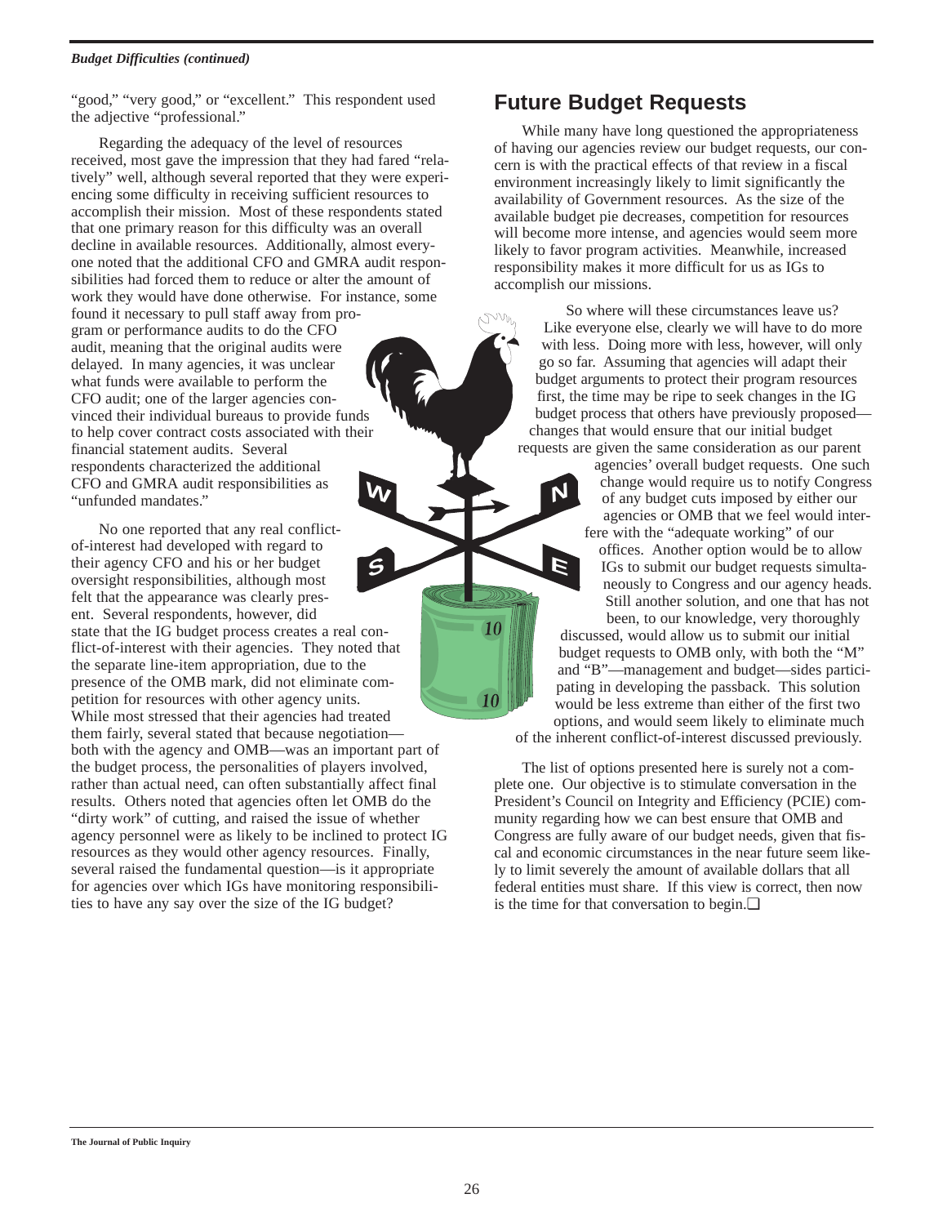#### *Budget Difficulties (continued)*

"good," "very good," or "excellent." This respondent used the adjective "professional."

Regarding the adequacy of the level of resources received, most gave the impression that they had fared "relatively" well, although several reported that they were experiencing some difficulty in receiving sufficient resources to accomplish their mission. Most of these respondents stated that one primary reason for this difficulty was an overall decline in available resources. Additionally, almost everyone noted that the additional CFO and GMRA audit responsibilities had forced them to reduce or alter the amount of work they would have done otherwise. For instance, some found it necessary to pull staff away from program or performance audits to do the CFO audit, meaning that the original audits were delayed. In many agencies, it was unclear what funds were available to perform the CFO audit; one of the larger agencies convinced their individual bureaus to provide funds to help cover contract costs associated with their financial statement audits. Several respondents characterized the additional CFO and GMRA audit responsibilities as "unfunded mandates." **W**

No one reported that any real conflictof-interest had developed with regard to their agency CFO and his or her budget oversight responsibilities, although most felt that the appearance was clearly present. Several respondents, however, did state that the IG budget process creates a real conflict-of-interest with their agencies. They noted that the separate line-item appropriation, due to the presence of the OMB mark, did not eliminate competition for resources with other agency units. While most stressed that their agencies had treated them fairly, several stated that because negotiation both with the agency and OMB—was an important part of the budget process, the personalities of players involved, rather than actual need, can often substantially affect final results. Others noted that agencies often let OMB do the "dirty work" of cutting, and raised the issue of whether agency personnel were as likely to be inclined to protect IG resources as they would other agency resources. Finally, several raised the fundamental question—is it appropriate for agencies over which IGs have monitoring responsibilities to have any say over the size of the IG budget? **S**

## **Future Budget Requests**

While many have long questioned the appropriateness of having our agencies review our budget requests, our concern is with the practical effects of that review in a fiscal environment increasingly likely to limit significantly the availability of Government resources. As the size of the available budget pie decreases, competition for resources will become more intense, and agencies would seem more likely to favor program activities. Meanwhile, increased responsibility makes it more difficult for us as IGs to accomplish our missions.

So where will these circumstances leave us? Like everyone else, clearly we will have to do more with less. Doing more with less, however, will only go so far. Assuming that agencies will adapt their budget arguments to protect their program resources first, the time may be ripe to seek changes in the IG budget process that others have previously proposed changes that would ensure that our initial budget requests are given the same consideration as our parent

agencies' overall budget requests. One such change would require us to notify Congress of any budget cuts imposed by either our agencies or OMB that we feel would interfere with the "adequate working" of our offices. Another option would be to allow IGs to submit our budget requests simultaneously to Congress and our agency heads. Still another solution, and one that has not been, to our knowledge, very thoroughly discussed, would allow us to submit our initial budget requests to OMB only, with both the "M" and "B"—management and budget—sides participating in developing the passback. This solution would be less extreme than either of the first two options, and would seem likely to eliminate much of the inherent conflict-of-interest discussed previously. **NE**

The list of options presented here is surely not a complete one. Our objective is to stimulate conversation in the President's Council on Integrity and Efficiency (PCIE) community regarding how we can best ensure that OMB and Congress are fully aware of our budget needs, given that fiscal and economic circumstances in the near future seem likely to limit severely the amount of available dollars that all federal entities must share. If this view is correct, then now is the time for that conversation to begin.❏

10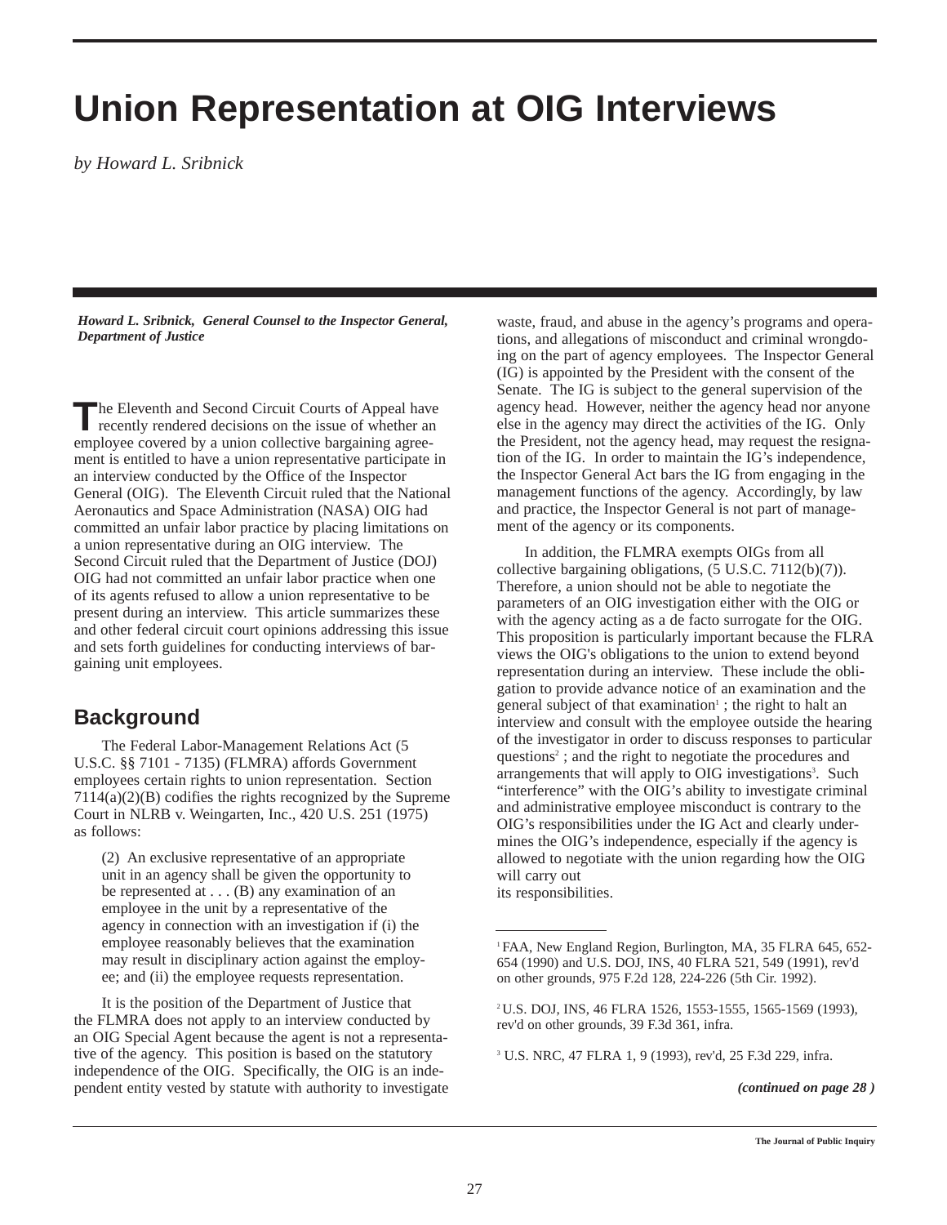## **Union Representation at OIG Interviews**

*by Howard L. Sribnick*

*Howard L. Sribnick, General Counsel to the Inspector General, Department of Justice*

**The Eleventh and Second Circuit Courts of Appeal have** recently rendered decisions on the issue of whether an employee covered by a union collective bargaining agreement is entitled to have a union representative participate in an interview conducted by the Office of the Inspector General (OIG). The Eleventh Circuit ruled that the National Aeronautics and Space Administration (NASA) OIG had committed an unfair labor practice by placing limitations on a union representative during an OIG interview. The Second Circuit ruled that the Department of Justice (DOJ) OIG had not committed an unfair labor practice when one of its agents refused to allow a union representative to be present during an interview. This article summarizes these and other federal circuit court opinions addressing this issue and sets forth guidelines for conducting interviews of bargaining unit employees.

## **Background**

The Federal Labor-Management Relations Act (5 U.S.C. §§ 7101 - 7135) (FLMRA) affords Government employees certain rights to union representation. Section 7114(a)(2)(B) codifies the rights recognized by the Supreme Court in NLRB v. Weingarten, Inc., 420 U.S. 251 (1975) as follows:

(2) An exclusive representative of an appropriate unit in an agency shall be given the opportunity to be represented at  $\dots$  (B) any examination of an employee in the unit by a representative of the agency in connection with an investigation if (i) the employee reasonably believes that the examination may result in disciplinary action against the employee; and (ii) the employee requests representation.

It is the position of the Department of Justice that the FLMRA does not apply to an interview conducted by an OIG Special Agent because the agent is not a representative of the agency. This position is based on the statutory independence of the OIG. Specifically, the OIG is an independent entity vested by statute with authority to investigate

waste, fraud, and abuse in the agency's programs and operations, and allegations of misconduct and criminal wrongdoing on the part of agency employees. The Inspector General (IG) is appointed by the President with the consent of the Senate. The IG is subject to the general supervision of the agency head. However, neither the agency head nor anyone else in the agency may direct the activities of the IG. Only the President, not the agency head, may request the resignation of the IG. In order to maintain the IG's independence, the Inspector General Act bars the IG from engaging in the management functions of the agency. Accordingly, by law and practice, the Inspector General is not part of management of the agency or its components.

In addition, the FLMRA exempts OIGs from all collective bargaining obligations, (5 U.S.C. 7112(b)(7)). Therefore, a union should not be able to negotiate the parameters of an OIG investigation either with the OIG or with the agency acting as a de facto surrogate for the OIG. This proposition is particularly important because the FLRA views the OIG's obligations to the union to extend beyond representation during an interview. These include the obligation to provide advance notice of an examination and the general subject of that examination<sup> $\pm$ </sup>; the right to halt an interview and consult with the employee outside the hearing of the investigator in order to discuss responses to particular questions2 ; and the right to negotiate the procedures and arrangements that will apply to OIG investigations<sup>3</sup>. Such "interference" with the OIG's ability to investigate criminal and administrative employee misconduct is contrary to the OIG's responsibilities under the IG Act and clearly undermines the OIG's independence, especially if the agency is allowed to negotiate with the union regarding how the OIG will carry out its responsibilities.

<sup>3</sup> U.S. NRC, 47 FLRA 1, 9 (1993), rev'd, 25 F.3d 229, infra.

*(continued on page 28 )*

<sup>1</sup> FAA, New England Region, Burlington, MA, 35 FLRA 645, 652- 654 (1990) and U.S. DOJ, INS, 40 FLRA 521, 549 (1991), rev'd on other grounds, 975 F.2d 128, 224-226 (5th Cir. 1992).

<sup>2</sup> U.S. DOJ, INS, 46 FLRA 1526, 1553-1555, 1565-1569 (1993), rev'd on other grounds, 39 F.3d 361, infra.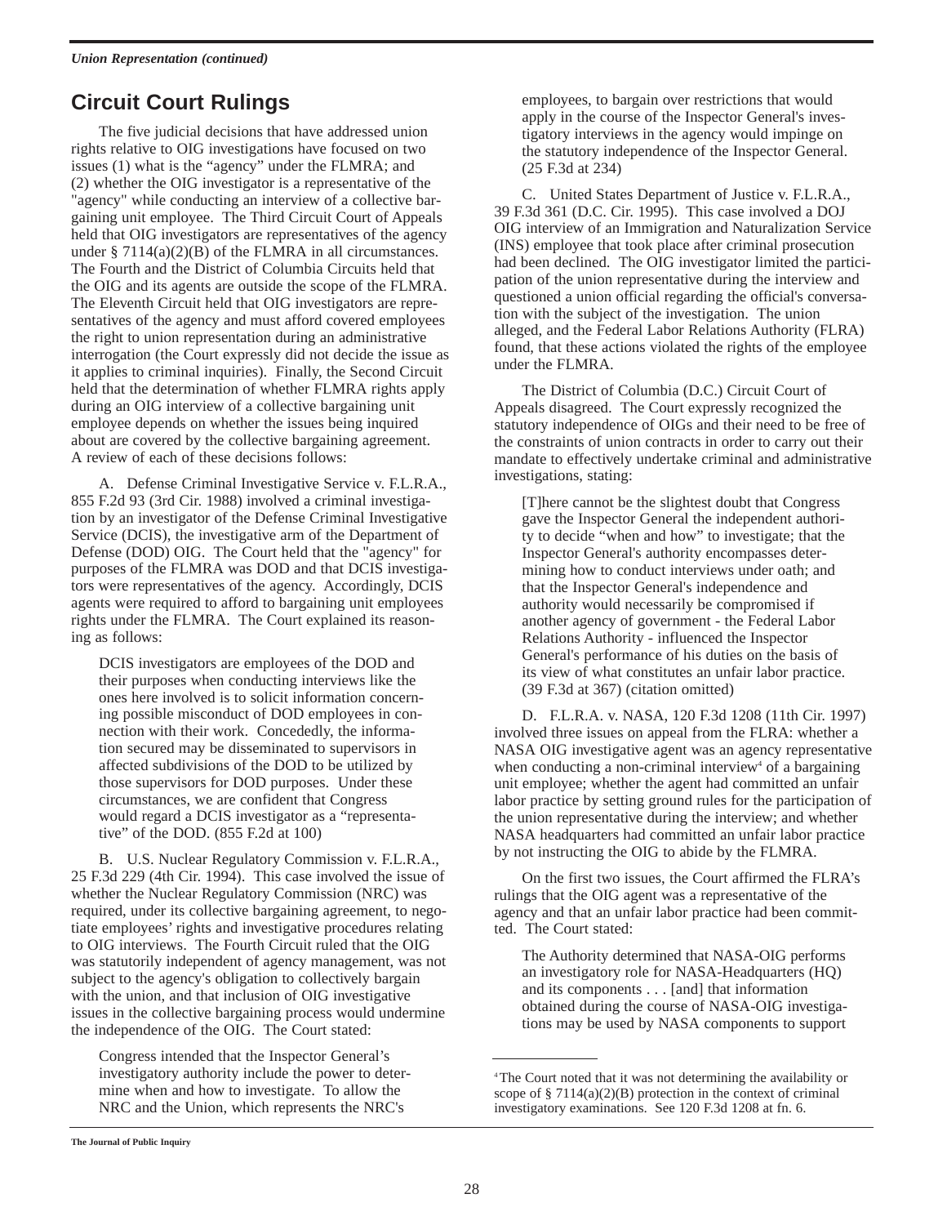## **Circuit Court Rulings**

The five judicial decisions that have addressed union rights relative to OIG investigations have focused on two issues (1) what is the "agency" under the FLMRA; and (2) whether the OIG investigator is a representative of the "agency" while conducting an interview of a collective bargaining unit employee. The Third Circuit Court of Appeals held that OIG investigators are representatives of the agency under  $\S 7114(a)(2)(B)$  of the FLMRA in all circumstances. The Fourth and the District of Columbia Circuits held that the OIG and its agents are outside the scope of the FLMRA. The Eleventh Circuit held that OIG investigators are representatives of the agency and must afford covered employees the right to union representation during an administrative interrogation (the Court expressly did not decide the issue as it applies to criminal inquiries). Finally, the Second Circuit held that the determination of whether FLMRA rights apply during an OIG interview of a collective bargaining unit employee depends on whether the issues being inquired about are covered by the collective bargaining agreement. A review of each of these decisions follows:

A. Defense Criminal Investigative Service v. F.L.R.A., 855 F.2d 93 (3rd Cir. 1988) involved a criminal investigation by an investigator of the Defense Criminal Investigative Service (DCIS), the investigative arm of the Department of Defense (DOD) OIG. The Court held that the "agency" for purposes of the FLMRA was DOD and that DCIS investigators were representatives of the agency. Accordingly, DCIS agents were required to afford to bargaining unit employees rights under the FLMRA. The Court explained its reasoning as follows:

DCIS investigators are employees of the DOD and their purposes when conducting interviews like the ones here involved is to solicit information concerning possible misconduct of DOD employees in connection with their work. Concededly, the information secured may be disseminated to supervisors in affected subdivisions of the DOD to be utilized by those supervisors for DOD purposes. Under these circumstances, we are confident that Congress would regard a DCIS investigator as a "representative" of the DOD. (855 F.2d at 100)

B. U.S. Nuclear Regulatory Commission v. F.L.R.A., 25 F.3d 229 (4th Cir. 1994). This case involved the issue of whether the Nuclear Regulatory Commission (NRC) was required, under its collective bargaining agreement, to negotiate employees' rights and investigative procedures relating to OIG interviews. The Fourth Circuit ruled that the OIG was statutorily independent of agency management, was not subject to the agency's obligation to collectively bargain with the union, and that inclusion of OIG investigative issues in the collective bargaining process would undermine the independence of the OIG. The Court stated:

Congress intended that the Inspector General's investigatory authority include the power to determine when and how to investigate. To allow the NRC and the Union, which represents the NRC's

employees, to bargain over restrictions that would apply in the course of the Inspector General's investigatory interviews in the agency would impinge on the statutory independence of the Inspector General. (25 F.3d at 234)

C. United States Department of Justice v. F.L.R.A., 39 F.3d 361 (D.C. Cir. 1995). This case involved a DOJ OIG interview of an Immigration and Naturalization Service (INS) employee that took place after criminal prosecution had been declined. The OIG investigator limited the participation of the union representative during the interview and questioned a union official regarding the official's conversation with the subject of the investigation. The union alleged, and the Federal Labor Relations Authority (FLRA) found, that these actions violated the rights of the employee under the FLMRA.

The District of Columbia (D.C.) Circuit Court of Appeals disagreed. The Court expressly recognized the statutory independence of OIGs and their need to be free of the constraints of union contracts in order to carry out their mandate to effectively undertake criminal and administrative investigations, stating:

[T]here cannot be the slightest doubt that Congress gave the Inspector General the independent authority to decide "when and how" to investigate; that the Inspector General's authority encompasses determining how to conduct interviews under oath; and that the Inspector General's independence and authority would necessarily be compromised if another agency of government - the Federal Labor Relations Authority - influenced the Inspector General's performance of his duties on the basis of its view of what constitutes an unfair labor practice. (39 F.3d at 367) (citation omitted)

D. F.L.R.A. v. NASA, 120 F.3d 1208 (11th Cir. 1997) involved three issues on appeal from the FLRA: whether a NASA OIG investigative agent was an agency representative when conducting a non-criminal interview<sup>4</sup> of a bargaining unit employee; whether the agent had committed an unfair labor practice by setting ground rules for the participation of the union representative during the interview; and whether NASA headquarters had committed an unfair labor practice by not instructing the OIG to abide by the FLMRA.

On the first two issues, the Court affirmed the FLRA's rulings that the OIG agent was a representative of the agency and that an unfair labor practice had been committed. The Court stated:

The Authority determined that NASA-OIG performs an investigatory role for NASA-Headquarters (HQ) and its components . . . [and] that information obtained during the course of NASA-OIG investigations may be used by NASA components to support

<sup>4</sup> The Court noted that it was not determining the availability or scope of  $\S 7114(a)(2)(B)$  protection in the context of criminal investigatory examinations. See 120 F.3d 1208 at fn. 6.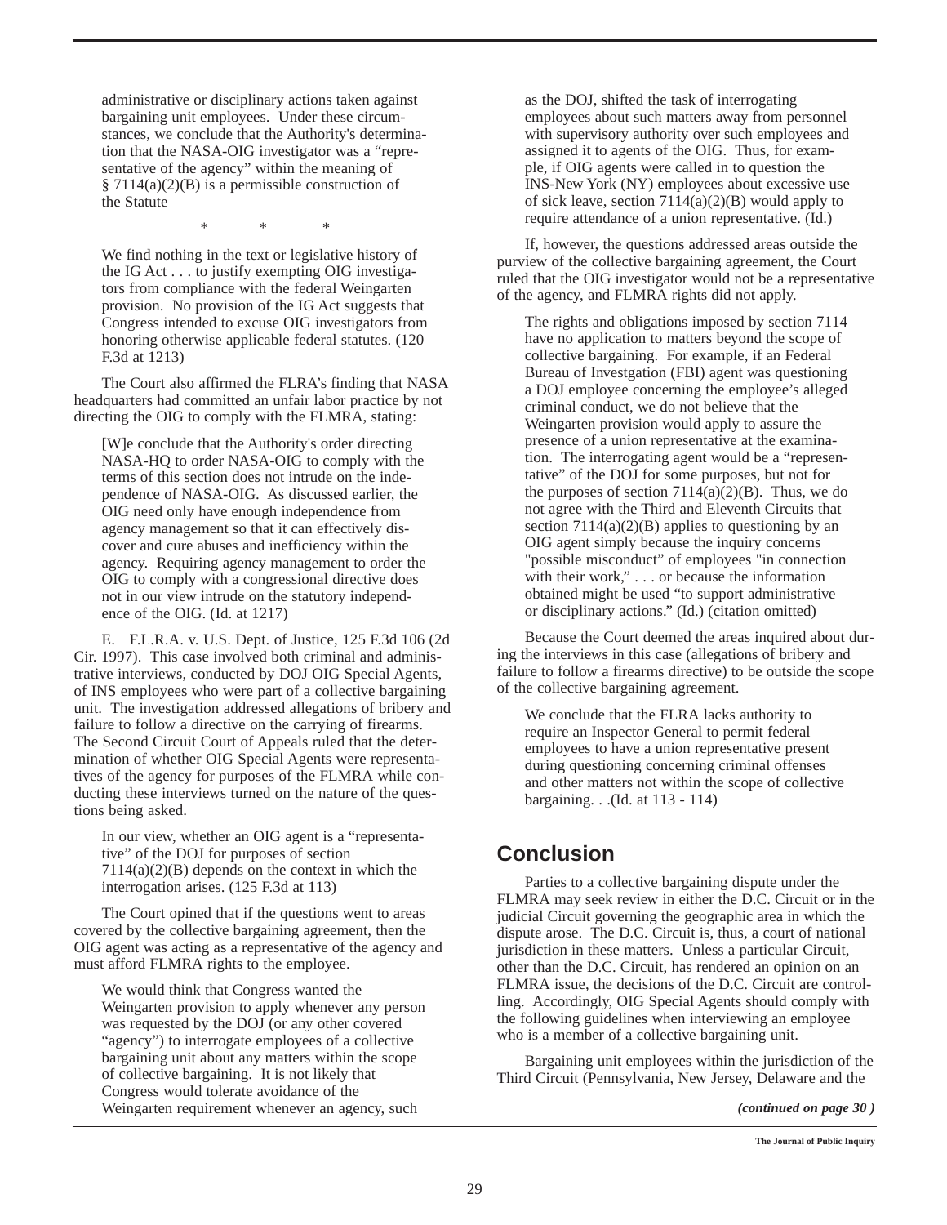administrative or disciplinary actions taken against bargaining unit employees. Under these circumstances, we conclude that the Authority's determination that the NASA-OIG investigator was a "representative of the agency" within the meaning of § 7114(a)(2)(B) is a permissible construction of the Statute

\* \* \*

We find nothing in the text or legislative history of the IG Act . . . to justify exempting OIG investigators from compliance with the federal Weingarten provision. No provision of the IG Act suggests that Congress intended to excuse OIG investigators from honoring otherwise applicable federal statutes. (120 F.3d at 1213)

The Court also affirmed the FLRA's finding that NASA headquarters had committed an unfair labor practice by not directing the OIG to comply with the FLMRA, stating:

[W]e conclude that the Authority's order directing NASA-HQ to order NASA-OIG to comply with the terms of this section does not intrude on the independence of NASA-OIG. As discussed earlier, the OIG need only have enough independence from agency management so that it can effectively discover and cure abuses and inefficiency within the agency. Requiring agency management to order the OIG to comply with a congressional directive does not in our view intrude on the statutory independence of the OIG. (Id. at 1217)

E. F.L.R.A. v. U.S. Dept. of Justice, 125 F.3d 106 (2d Cir. 1997). This case involved both criminal and administrative interviews, conducted by DOJ OIG Special Agents, of INS employees who were part of a collective bargaining unit. The investigation addressed allegations of bribery and failure to follow a directive on the carrying of firearms. The Second Circuit Court of Appeals ruled that the determination of whether OIG Special Agents were representatives of the agency for purposes of the FLMRA while conducting these interviews turned on the nature of the questions being asked.

In our view, whether an OIG agent is a "representative" of the DOJ for purposes of section 7114(a)(2)(B) depends on the context in which the interrogation arises. (125 F.3d at 113)

The Court opined that if the questions went to areas covered by the collective bargaining agreement, then the OIG agent was acting as a representative of the agency and must afford FLMRA rights to the employee.

We would think that Congress wanted the Weingarten provision to apply whenever any person was requested by the DOJ (or any other covered "agency") to interrogate employees of a collective bargaining unit about any matters within the scope of collective bargaining. It is not likely that Congress would tolerate avoidance of the Weingarten requirement whenever an agency, such

as the DOJ, shifted the task of interrogating employees about such matters away from personnel with supervisory authority over such employees and assigned it to agents of the OIG. Thus, for example, if OIG agents were called in to question the INS-New York (NY) employees about excessive use of sick leave, section  $7114(a)(2)(B)$  would apply to require attendance of a union representative. (Id.)

If, however, the questions addressed areas outside the purview of the collective bargaining agreement, the Court ruled that the OIG investigator would not be a representative of the agency, and FLMRA rights did not apply.

The rights and obligations imposed by section 7114 have no application to matters beyond the scope of collective bargaining. For example, if an Federal Bureau of Investgation (FBI) agent was questioning a DOJ employee concerning the employee's alleged criminal conduct, we do not believe that the Weingarten provision would apply to assure the presence of a union representative at the examination. The interrogating agent would be a "representative" of the DOJ for some purposes, but not for the purposes of section  $7114(a)(2)(B)$ . Thus, we do not agree with the Third and Eleventh Circuits that section  $7114(a)(2)(B)$  applies to questioning by an OIG agent simply because the inquiry concerns "possible misconduct" of employees "in connection with their work," . . . or because the information obtained might be used "to support administrative or disciplinary actions." (Id.) (citation omitted)

Because the Court deemed the areas inquired about during the interviews in this case (allegations of bribery and failure to follow a firearms directive) to be outside the scope of the collective bargaining agreement.

We conclude that the FLRA lacks authority to require an Inspector General to permit federal employees to have a union representative present during questioning concerning criminal offenses and other matters not within the scope of collective bargaining. . .(Id. at 113 - 114)

## **Conclusion**

Parties to a collective bargaining dispute under the FLMRA may seek review in either the D.C. Circuit or in the judicial Circuit governing the geographic area in which the dispute arose. The D.C. Circuit is, thus, a court of national jurisdiction in these matters. Unless a particular Circuit, other than the D.C. Circuit, has rendered an opinion on an FLMRA issue, the decisions of the D.C. Circuit are controlling. Accordingly, OIG Special Agents should comply with the following guidelines when interviewing an employee who is a member of a collective bargaining unit.

Bargaining unit employees within the jurisdiction of the Third Circuit (Pennsylvania, New Jersey, Delaware and the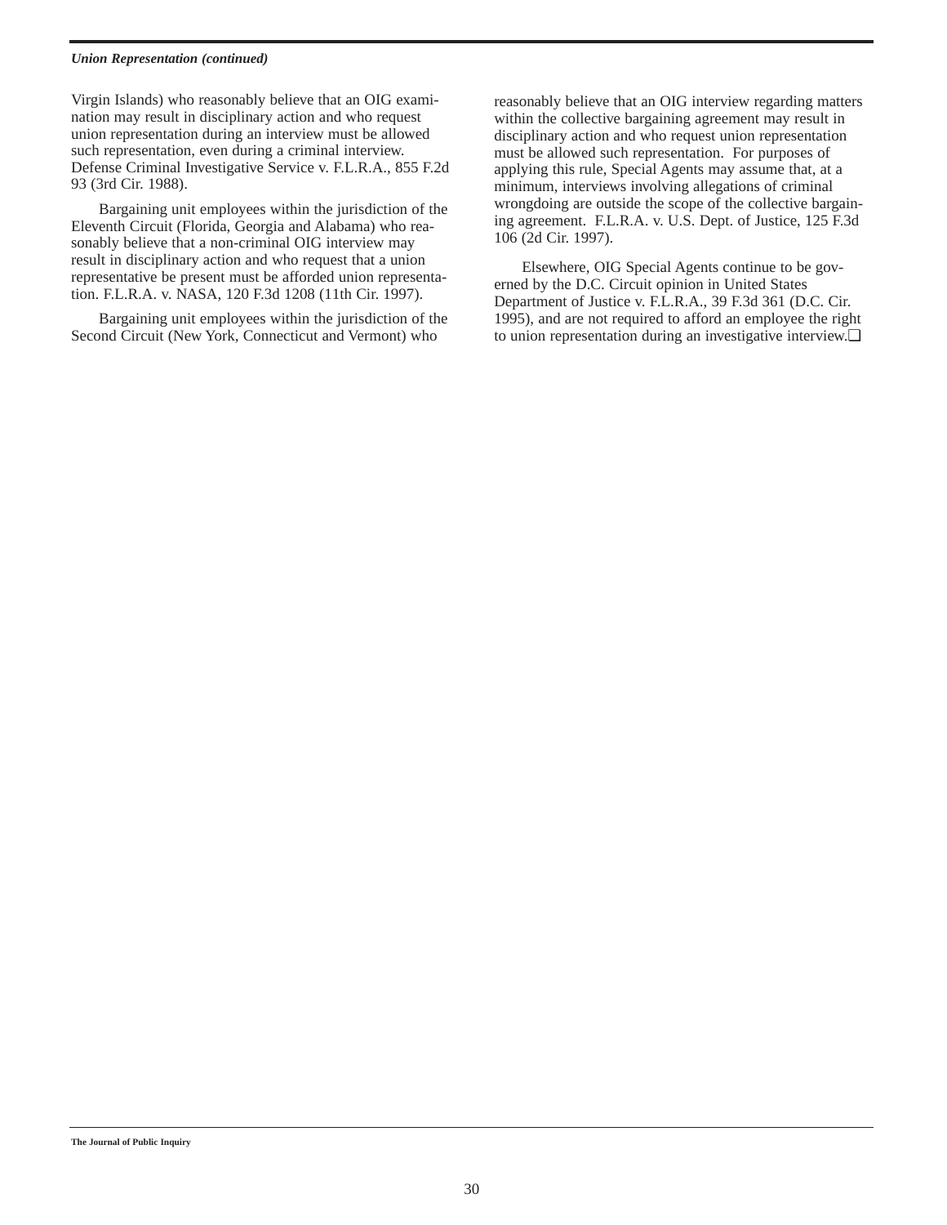#### *Union Representation (continued)*

Virgin Islands) who reasonably believe that an OIG examination may result in disciplinary action and who request union representation during an interview must be allowed such representation, even during a criminal interview. Defense Criminal Investigative Service v. F.L.R.A., 855 F.2d 93 (3rd Cir. 1988).

Bargaining unit employees within the jurisdiction of the Eleventh Circuit (Florida, Georgia and Alabama) who reasonably believe that a non-criminal OIG interview may result in disciplinary action and who request that a union representative be present must be afforded union representation. F.L.R.A. v. NASA, 120 F.3d 1208 (11th Cir. 1997).

Bargaining unit employees within the jurisdiction of the Second Circuit (New York, Connecticut and Vermont) who

reasonably believe that an OIG interview regarding matters within the collective bargaining agreement may result in disciplinary action and who request union representation must be allowed such representation. For purposes of applying this rule, Special Agents may assume that, at a minimum, interviews involving allegations of criminal wrongdoing are outside the scope of the collective bargaining agreement. F.L.R.A. v. U.S. Dept. of Justice, 125 F.3d 106 (2d Cir. 1997).

Elsewhere, OIG Special Agents continue to be governed by the D.C. Circuit opinion in United States Department of Justice v. F.L.R.A., 39 F.3d 361 (D.C. Cir. 1995), and are not required to afford an employee the right to union representation during an investigative interview.❏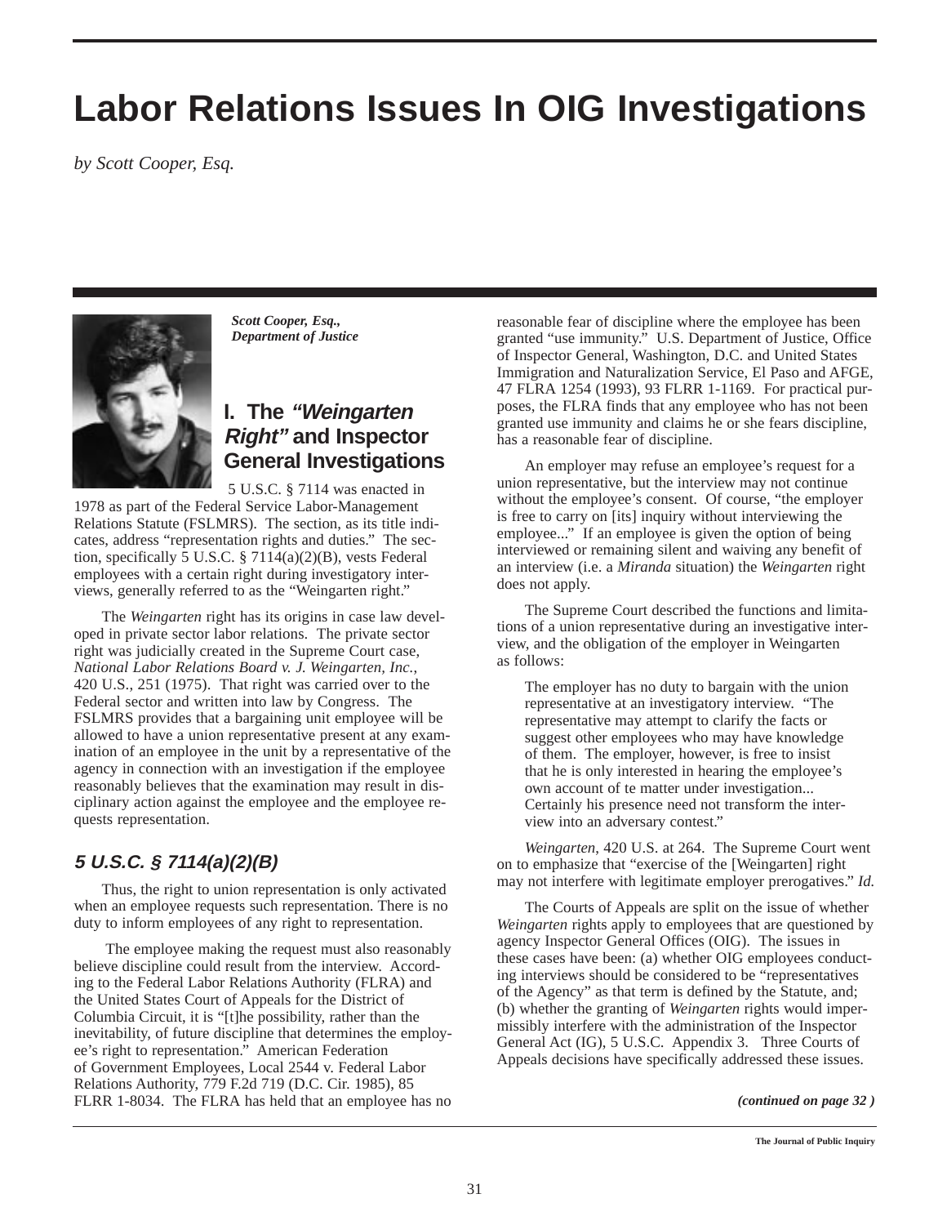## **Labor Relations Issues In OIG Investigations**

*by Scott Cooper, Esq.*



*Scott Cooper, Esq., Department of Justice*

## **I. The "Weingarten Right" and Inspector General Investigations**

5 U.S.C. § 7114 was enacted in 1978 as part of the Federal Service Labor-Management Relations Statute (FSLMRS). The section, as its title indicates, address "representation rights and duties." The section, specifically 5 U.S.C. § 7114(a)(2)(B), vests Federal employees with a certain right during investigatory interviews, generally referred to as the "Weingarten right."

The *Weingarten* right has its origins in case law developed in private sector labor relations. The private sector right was judicially created in the Supreme Court case, *National Labor Relations Board v. J. Weingarten, Inc.*, 420 U.S., 251 (1975). That right was carried over to the Federal sector and written into law by Congress. The FSLMRS provides that a bargaining unit employee will be allowed to have a union representative present at any examination of an employee in the unit by a representative of the agency in connection with an investigation if the employee reasonably believes that the examination may result in disciplinary action against the employee and the employee requests representation.

### **5 U.S.C. § 7114(a)(2)(B)**

Thus, the right to union representation is only activated when an employee requests such representation. There is no duty to inform employees of any right to representation.

The employee making the request must also reasonably believe discipline could result from the interview. According to the Federal Labor Relations Authority (FLRA) and the United States Court of Appeals for the District of Columbia Circuit, it is "[t]he possibility, rather than the inevitability, of future discipline that determines the employee's right to representation." American Federation of Government Employees, Local 2544 v. Federal Labor Relations Authority, 779 F.2d 719 (D.C. Cir. 1985), 85 FLRR 1-8034. The FLRA has held that an employee has no *(continued on page 32 )*

reasonable fear of discipline where the employee has been granted "use immunity." U.S. Department of Justice, Office of Inspector General, Washington, D.C. and United States Immigration and Naturalization Service, El Paso and AFGE, 47 FLRA 1254 (1993), 93 FLRR 1-1169. For practical purposes, the FLRA finds that any employee who has not been granted use immunity and claims he or she fears discipline, has a reasonable fear of discipline.

An employer may refuse an employee's request for a union representative, but the interview may not continue without the employee's consent. Of course, "the employer is free to carry on [its] inquiry without interviewing the employee..." If an employee is given the option of being interviewed or remaining silent and waiving any benefit of an interview (i.e. a *Miranda* situation) the *Weingarten* right does not apply.

The Supreme Court described the functions and limitations of a union representative during an investigative interview, and the obligation of the employer in Weingarten as follows:

The employer has no duty to bargain with the union representative at an investigatory interview. "The representative may attempt to clarify the facts or suggest other employees who may have knowledge of them. The employer, however, is free to insist that he is only interested in hearing the employee's own account of te matter under investigation... Certainly his presence need not transform the interview into an adversary contest."

*Weingarten*, 420 U.S. at 264. The Supreme Court went on to emphasize that "exercise of the [Weingarten] right may not interfere with legitimate employer prerogatives." *Id.*

The Courts of Appeals are split on the issue of whether *Weingarten* rights apply to employees that are questioned by agency Inspector General Offices (OIG). The issues in these cases have been: (a) whether OIG employees conducting interviews should be considered to be "representatives of the Agency" as that term is defined by the Statute, and; (b) whether the granting of *Weingarten* rights would impermissibly interfere with the administration of the Inspector General Act (IG), 5 U.S.C. Appendix 3. Three Courts of Appeals decisions have specifically addressed these issues.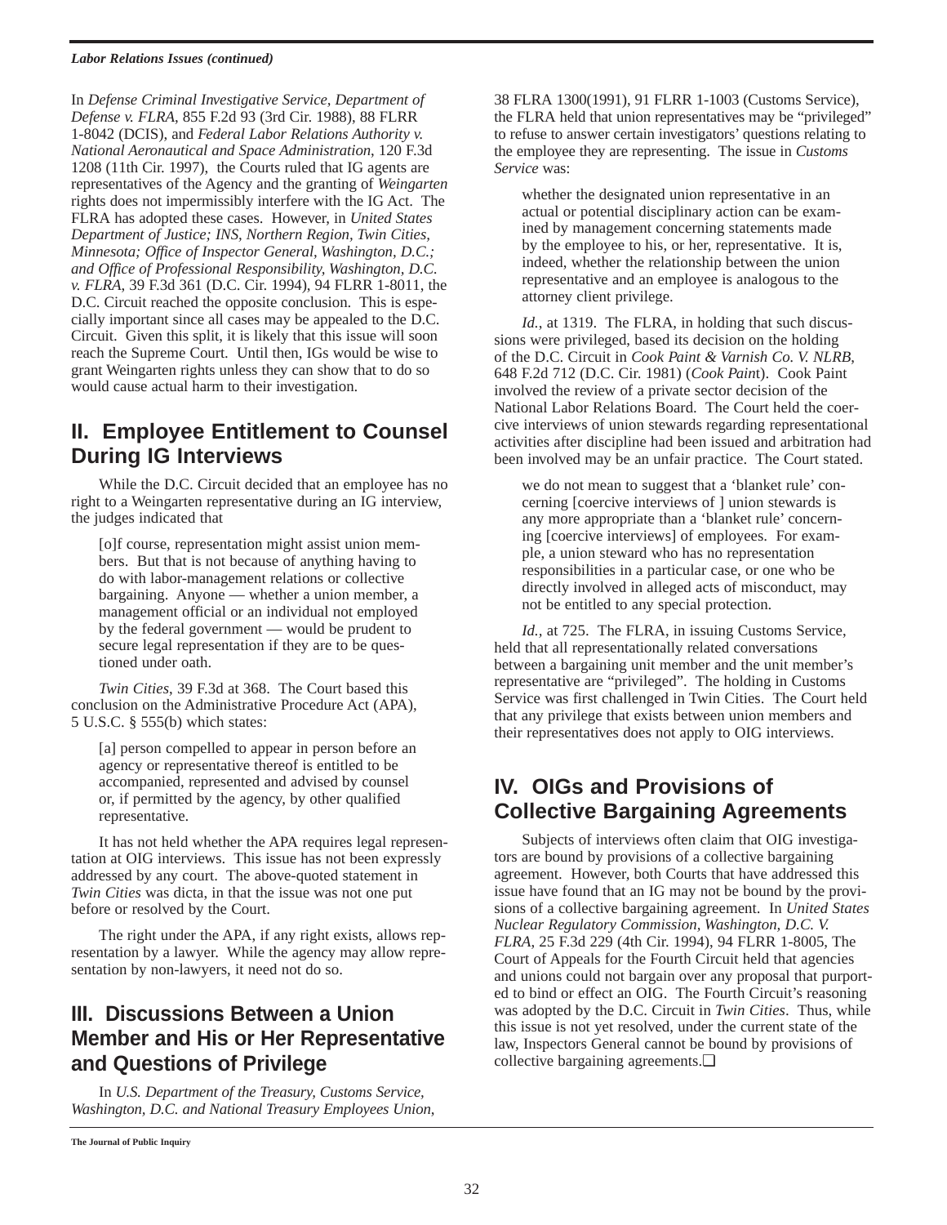#### *Labor Relations Issues (continued)*

In *Defense Criminal Investigative Service, Department of Defense v. FLRA*, 855 F.2d 93 (3rd Cir. 1988), 88 FLRR 1-8042 (DCIS), and *Federal Labor Relations Authority v. National Aeronautical and Space Administration*, 120 F.3d 1208 (11th Cir. 1997), the Courts ruled that IG agents are representatives of the Agency and the granting of *Weingarten* rights does not impermissibly interfere with the IG Act. The FLRA has adopted these cases. However, in *United States Department of Justice; INS, Northern Region, Twin Cities, Minnesota; Office of Inspector General, Washington, D.C.; and Office of Professional Responsibility, Washington, D.C. v. FLRA*, 39 F.3d 361 (D.C. Cir. 1994), 94 FLRR 1-8011, the D.C. Circuit reached the opposite conclusion. This is especially important since all cases may be appealed to the D.C. Circuit. Given this split, it is likely that this issue will soon reach the Supreme Court. Until then, IGs would be wise to grant Weingarten rights unless they can show that to do so would cause actual harm to their investigation.

## **II. Employee Entitlement to Counsel During IG Interviews**

While the D.C. Circuit decided that an employee has no right to a Weingarten representative during an IG interview, the judges indicated that

[o]f course, representation might assist union members. But that is not because of anything having to do with labor-management relations or collective bargaining. Anyone — whether a union member, a management official or an individual not employed by the federal government — would be prudent to secure legal representation if they are to be questioned under oath.

*Twin Cities*, 39 F.3d at 368. The Court based this conclusion on the Administrative Procedure Act (APA), 5 U.S.C. § 555(b) which states:

[a] person compelled to appear in person before an agency or representative thereof is entitled to be accompanied, represented and advised by counsel or, if permitted by the agency, by other qualified representative.

It has not held whether the APA requires legal representation at OIG interviews. This issue has not been expressly addressed by any court. The above-quoted statement in *Twin Cities* was dicta, in that the issue was not one put before or resolved by the Court.

The right under the APA, if any right exists, allows representation by a lawyer. While the agency may allow representation by non-lawyers, it need not do so.

## **III. Discussions Between a Union Member and His or Her Representative and Questions of Privilege**

In *U.S. Department of the Treasury, Customs Service, Washington, D.C. and National Treasury Employees Union*,

38 FLRA 1300(1991), 91 FLRR 1-1003 (Customs Service), the FLRA held that union representatives may be "privileged" to refuse to answer certain investigators' questions relating to the employee they are representing. The issue in *Customs Service* was:

whether the designated union representative in an actual or potential disciplinary action can be examined by management concerning statements made by the employee to his, or her, representative. It is, indeed, whether the relationship between the union representative and an employee is analogous to the attorney client privilege.

*Id.*, at 1319. The FLRA, in holding that such discussions were privileged, based its decision on the holding of the D.C. Circuit in *Cook Paint & Varnish Co. V. NLRB*, 648 F.2d 712 (D.C. Cir. 1981) (*Cook Pain*t). Cook Paint involved the review of a private sector decision of the National Labor Relations Board. The Court held the coercive interviews of union stewards regarding representational activities after discipline had been issued and arbitration had been involved may be an unfair practice. The Court stated.

we do not mean to suggest that a 'blanket rule' concerning [coercive interviews of ] union stewards is any more appropriate than a 'blanket rule' concerning [coercive interviews] of employees. For example, a union steward who has no representation responsibilities in a particular case, or one who be directly involved in alleged acts of misconduct, may not be entitled to any special protection.

*Id.,* at 725. The FLRA, in issuing Customs Service, held that all representationally related conversations between a bargaining unit member and the unit member's representative are "privileged". The holding in Customs Service was first challenged in Twin Cities. The Court held that any privilege that exists between union members and their representatives does not apply to OIG interviews.

## **IV. OIGs and Provisions of Collective Bargaining Agreements**

Subjects of interviews often claim that OIG investigators are bound by provisions of a collective bargaining agreement. However, both Courts that have addressed this issue have found that an IG may not be bound by the provisions of a collective bargaining agreement. In *United States Nuclear Regulatory Commission, Washington, D.C. V. FLRA*, 25 F.3d 229 (4th Cir. 1994), 94 FLRR 1-8005, The Court of Appeals for the Fourth Circuit held that agencies and unions could not bargain over any proposal that purported to bind or effect an OIG. The Fourth Circuit's reasoning was adopted by the D.C. Circuit in *Twin Cities*. Thus, while this issue is not yet resolved, under the current state of the law, Inspectors General cannot be bound by provisions of collective bargaining agreements.❏

**The Journal of Public Inquiry**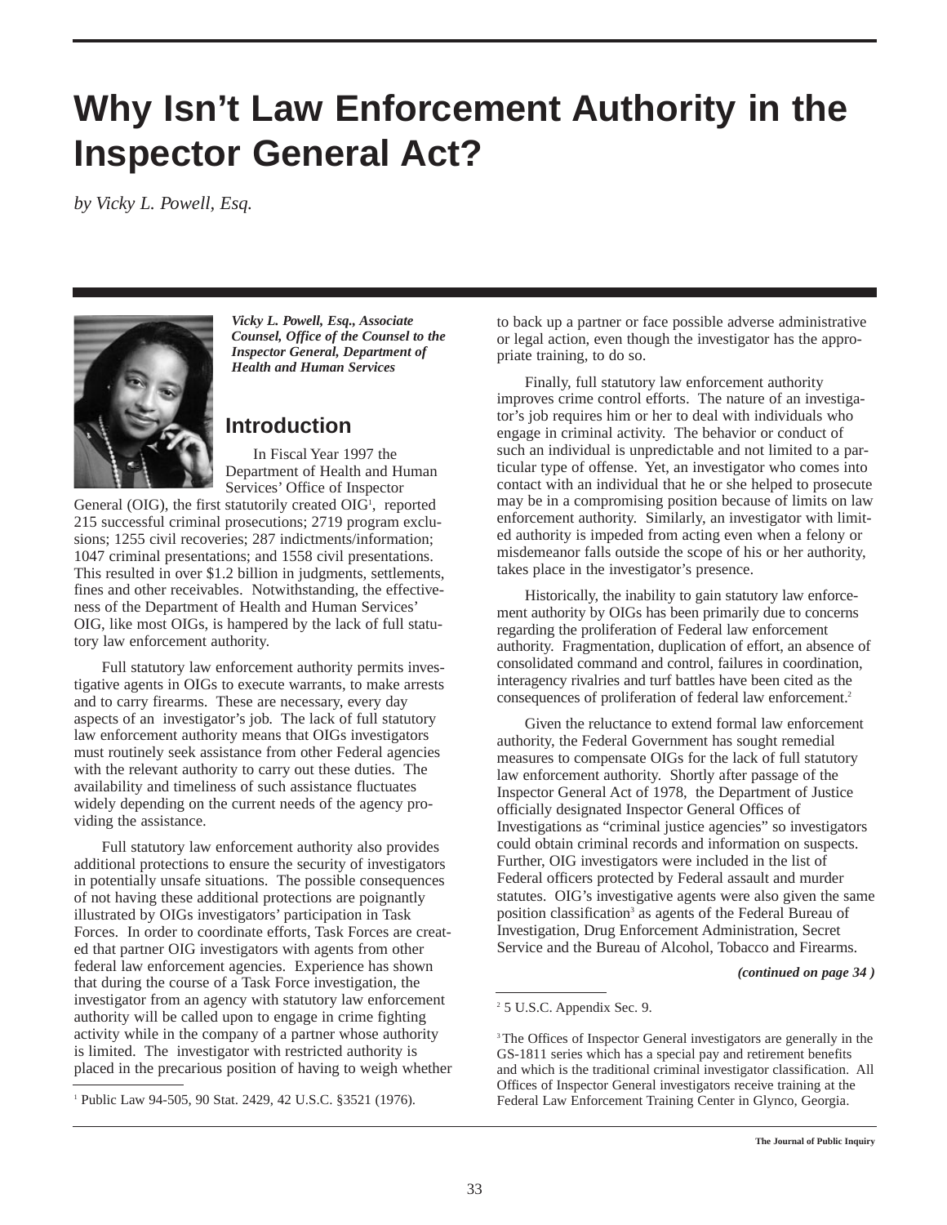## **Why Isn't Law Enforcement Authority in the Inspector General Act?**

*by Vicky L. Powell, Esq.*



*Vicky L. Powell, Esq., Associate Counsel, Office of the Counsel to the Inspector General, Department of Health and Human Services*

## **Introduction**

In Fiscal Year 1997 the Department of Health and Human Services' Office of Inspector

General (OIG), the first statutorily created OIG<sup>1</sup>, reported 215 successful criminal prosecutions; 2719 program exclusions; 1255 civil recoveries; 287 indictments/information; 1047 criminal presentations; and 1558 civil presentations. This resulted in over \$1.2 billion in judgments, settlements, fines and other receivables. Notwithstanding, the effectiveness of the Department of Health and Human Services' OIG, like most OIGs, is hampered by the lack of full statutory law enforcement authority.

Full statutory law enforcement authority permits investigative agents in OIGs to execute warrants, to make arrests and to carry firearms. These are necessary, every day aspects of an investigator's job. The lack of full statutory law enforcement authority means that OIGs investigators must routinely seek assistance from other Federal agencies with the relevant authority to carry out these duties. The availability and timeliness of such assistance fluctuates widely depending on the current needs of the agency providing the assistance.

Full statutory law enforcement authority also provides additional protections to ensure the security of investigators in potentially unsafe situations. The possible consequences of not having these additional protections are poignantly illustrated by OIGs investigators' participation in Task Forces. In order to coordinate efforts, Task Forces are created that partner OIG investigators with agents from other federal law enforcement agencies. Experience has shown that during the course of a Task Force investigation, the investigator from an agency with statutory law enforcement authority will be called upon to engage in crime fighting activity while in the company of a partner whose authority is limited. The investigator with restricted authority is placed in the precarious position of having to weigh whether to back up a partner or face possible adverse administrative or legal action, even though the investigator has the appropriate training, to do so.

Finally, full statutory law enforcement authority improves crime control efforts. The nature of an investigator's job requires him or her to deal with individuals who engage in criminal activity. The behavior or conduct of such an individual is unpredictable and not limited to a particular type of offense. Yet, an investigator who comes into contact with an individual that he or she helped to prosecute may be in a compromising position because of limits on law enforcement authority. Similarly, an investigator with limited authority is impeded from acting even when a felony or misdemeanor falls outside the scope of his or her authority, takes place in the investigator's presence.

Historically, the inability to gain statutory law enforcement authority by OIGs has been primarily due to concerns regarding the proliferation of Federal law enforcement authority. Fragmentation, duplication of effort, an absence of consolidated command and control, failures in coordination, interagency rivalries and turf battles have been cited as the consequences of proliferation of federal law enforcement.2

Given the reluctance to extend formal law enforcement authority, the Federal Government has sought remedial measures to compensate OIGs for the lack of full statutory law enforcement authority. Shortly after passage of the Inspector General Act of 1978, the Department of Justice officially designated Inspector General Offices of Investigations as "criminal justice agencies" so investigators could obtain criminal records and information on suspects. Further, OIG investigators were included in the list of Federal officers protected by Federal assault and murder statutes. OIG's investigative agents were also given the same position classification<sup>3</sup> as agents of the Federal Bureau of Investigation, Drug Enforcement Administration, Secret Service and the Bureau of Alcohol, Tobacco and Firearms.

*(continued on page 34 )*

<sup>&</sup>lt;sup>1</sup> Public Law 94-505, 90 Stat. 2429, 42 U.S.C. §3521 (1976).

<sup>2</sup> 5 U.S.C. Appendix Sec. 9.

<sup>&</sup>lt;sup>3</sup> The Offices of Inspector General investigators are generally in the GS-1811 series which has a special pay and retirement benefits and which is the traditional criminal investigator classification. All Offices of Inspector General investigators receive training at the Federal Law Enforcement Training Center in Glynco, Georgia.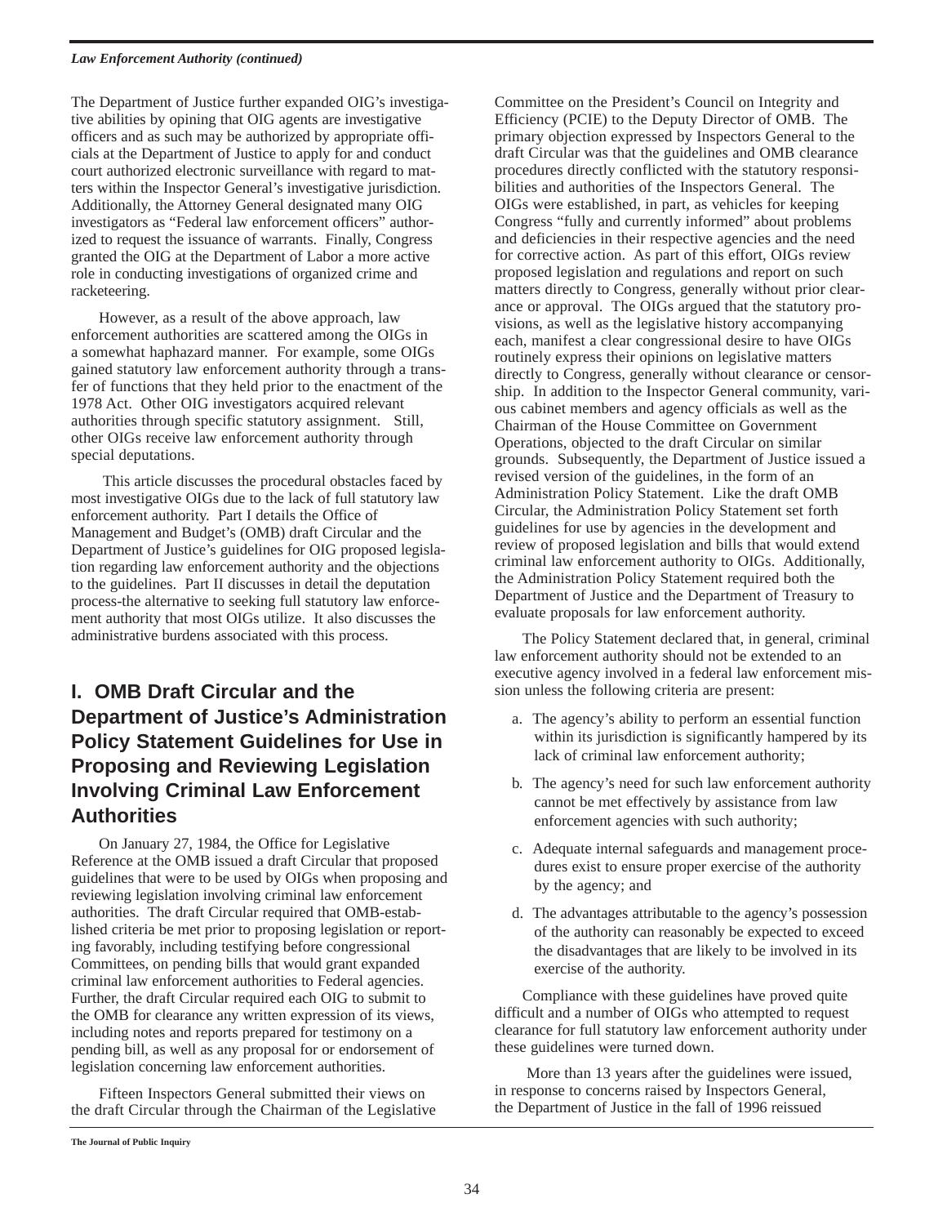#### *Law Enforcement Authority (continued)*

The Department of Justice further expanded OIG's investigative abilities by opining that OIG agents are investigative officers and as such may be authorized by appropriate officials at the Department of Justice to apply for and conduct court authorized electronic surveillance with regard to matters within the Inspector General's investigative jurisdiction. Additionally, the Attorney General designated many OIG investigators as "Federal law enforcement officers" authorized to request the issuance of warrants. Finally, Congress granted the OIG at the Department of Labor a more active role in conducting investigations of organized crime and racketeering.

However, as a result of the above approach, law enforcement authorities are scattered among the OIGs in a somewhat haphazard manner. For example, some OIGs gained statutory law enforcement authority through a transfer of functions that they held prior to the enactment of the 1978 Act. Other OIG investigators acquired relevant authorities through specific statutory assignment. Still, other OIGs receive law enforcement authority through special deputations.

This article discusses the procedural obstacles faced by most investigative OIGs due to the lack of full statutory law enforcement authority. Part I details the Office of Management and Budget's (OMB) draft Circular and the Department of Justice's guidelines for OIG proposed legislation regarding law enforcement authority and the objections to the guidelines. Part II discusses in detail the deputation process-the alternative to seeking full statutory law enforcement authority that most OIGs utilize. It also discusses the administrative burdens associated with this process.

## **I. OMB Draft Circular and the Department of Justice's Administration Policy Statement Guidelines for Use in Proposing and Reviewing Legislation Involving Criminal Law Enforcement Authorities**

On January 27, 1984, the Office for Legislative Reference at the OMB issued a draft Circular that proposed guidelines that were to be used by OIGs when proposing and reviewing legislation involving criminal law enforcement authorities. The draft Circular required that OMB-established criteria be met prior to proposing legislation or reporting favorably, including testifying before congressional Committees, on pending bills that would grant expanded criminal law enforcement authorities to Federal agencies. Further, the draft Circular required each OIG to submit to the OMB for clearance any written expression of its views, including notes and reports prepared for testimony on a pending bill, as well as any proposal for or endorsement of legislation concerning law enforcement authorities.

Fifteen Inspectors General submitted their views on the draft Circular through the Chairman of the Legislative

Committee on the President's Council on Integrity and Efficiency (PCIE) to the Deputy Director of OMB. The primary objection expressed by Inspectors General to the draft Circular was that the guidelines and OMB clearance procedures directly conflicted with the statutory responsibilities and authorities of the Inspectors General. The OIGs were established, in part, as vehicles for keeping Congress "fully and currently informed" about problems and deficiencies in their respective agencies and the need for corrective action. As part of this effort, OIGs review proposed legislation and regulations and report on such matters directly to Congress, generally without prior clearance or approval. The OIGs argued that the statutory provisions, as well as the legislative history accompanying each, manifest a clear congressional desire to have OIGs routinely express their opinions on legislative matters directly to Congress, generally without clearance or censorship. In addition to the Inspector General community, various cabinet members and agency officials as well as the Chairman of the House Committee on Government Operations, objected to the draft Circular on similar grounds. Subsequently, the Department of Justice issued a revised version of the guidelines, in the form of an Administration Policy Statement. Like the draft OMB Circular, the Administration Policy Statement set forth guidelines for use by agencies in the development and review of proposed legislation and bills that would extend criminal law enforcement authority to OIGs. Additionally, the Administration Policy Statement required both the Department of Justice and the Department of Treasury to evaluate proposals for law enforcement authority.

The Policy Statement declared that, in general, criminal law enforcement authority should not be extended to an executive agency involved in a federal law enforcement mission unless the following criteria are present:

- a. The agency's ability to perform an essential function within its jurisdiction is significantly hampered by its lack of criminal law enforcement authority;
- b. The agency's need for such law enforcement authority cannot be met effectively by assistance from law enforcement agencies with such authority;
- c. Adequate internal safeguards and management procedures exist to ensure proper exercise of the authority by the agency; and
- d. The advantages attributable to the agency's possession of the authority can reasonably be expected to exceed the disadvantages that are likely to be involved in its exercise of the authority.

Compliance with these guidelines have proved quite difficult and a number of OIGs who attempted to request clearance for full statutory law enforcement authority under these guidelines were turned down.

More than 13 years after the guidelines were issued, in response to concerns raised by Inspectors General, the Department of Justice in the fall of 1996 reissued

**The Journal of Public Inquiry**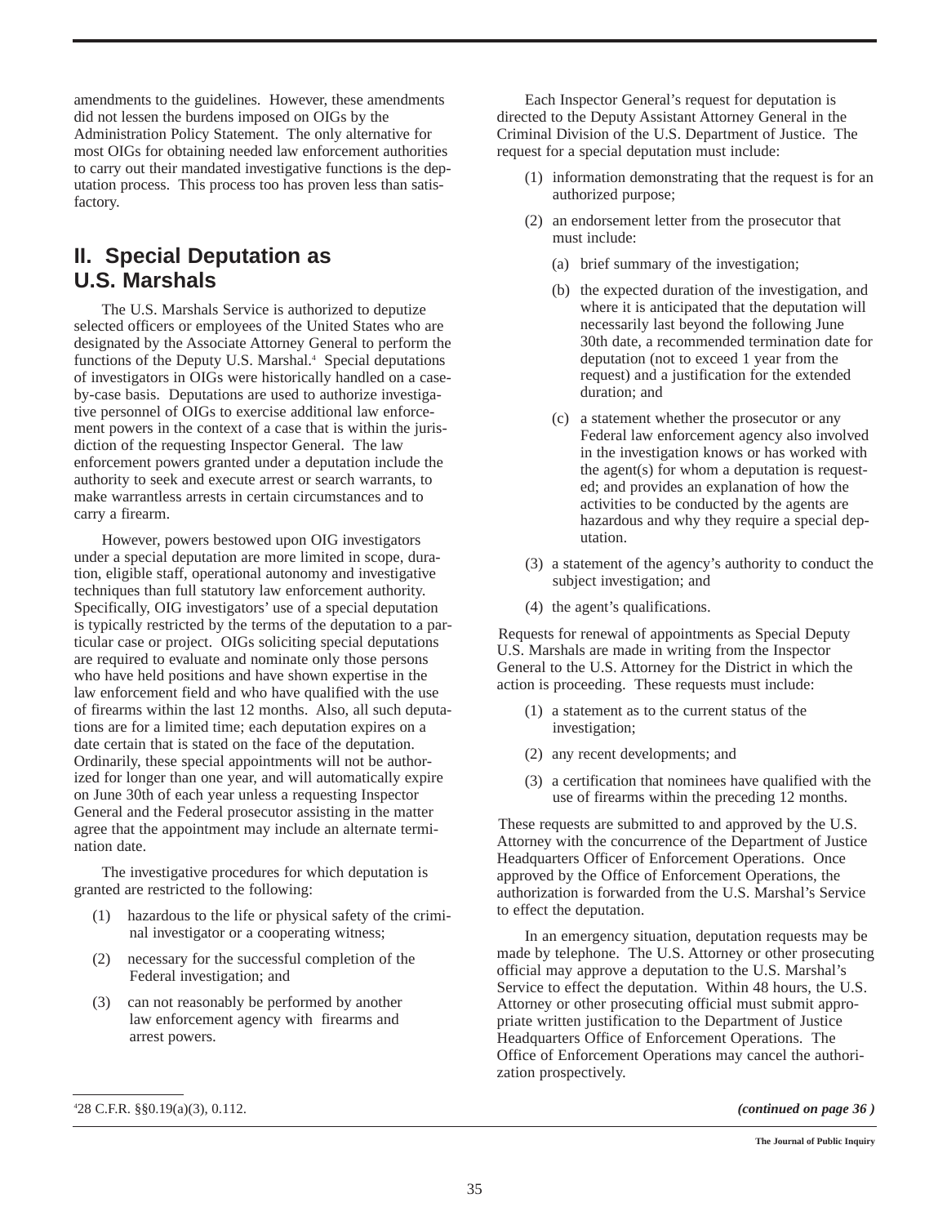amendments to the guidelines. However, these amendments did not lessen the burdens imposed on OIGs by the Administration Policy Statement. The only alternative for most OIGs for obtaining needed law enforcement authorities to carry out their mandated investigative functions is the deputation process. This process too has proven less than satisfactory.

## **II. Special Deputation as U.S. Marshals**

The U.S. Marshals Service is authorized to deputize selected officers or employees of the United States who are designated by the Associate Attorney General to perform the functions of the Deputy U.S. Marshal.<sup>4</sup> Special deputations of investigators in OIGs were historically handled on a caseby-case basis. Deputations are used to authorize investigative personnel of OIGs to exercise additional law enforcement powers in the context of a case that is within the jurisdiction of the requesting Inspector General. The law enforcement powers granted under a deputation include the authority to seek and execute arrest or search warrants, to make warrantless arrests in certain circumstances and to carry a firearm.

However, powers bestowed upon OIG investigators under a special deputation are more limited in scope, duration, eligible staff, operational autonomy and investigative techniques than full statutory law enforcement authority. Specifically, OIG investigators' use of a special deputation is typically restricted by the terms of the deputation to a particular case or project. OIGs soliciting special deputations are required to evaluate and nominate only those persons who have held positions and have shown expertise in the law enforcement field and who have qualified with the use of firearms within the last 12 months. Also, all such deputations are for a limited time; each deputation expires on a date certain that is stated on the face of the deputation. Ordinarily, these special appointments will not be authorized for longer than one year, and will automatically expire on June 30th of each year unless a requesting Inspector General and the Federal prosecutor assisting in the matter agree that the appointment may include an alternate termination date.

The investigative procedures for which deputation is granted are restricted to the following:

- (1) hazardous to the life or physical safety of the criminal investigator or a cooperating witness;
- (2) necessary for the successful completion of the Federal investigation; and
- (3) can not reasonably be performed by another law enforcement agency with firearms and arrest powers.

Each Inspector General's request for deputation is directed to the Deputy Assistant Attorney General in the Criminal Division of the U.S. Department of Justice. The request for a special deputation must include:

- (1) information demonstrating that the request is for an authorized purpose;
- (2) an endorsement letter from the prosecutor that must include:
	- (a) brief summary of the investigation;
	- (b) the expected duration of the investigation, and where it is anticipated that the deputation will necessarily last beyond the following June 30th date, a recommended termination date for deputation (not to exceed 1 year from the request) and a justification for the extended duration; and
	- (c) a statement whether the prosecutor or any Federal law enforcement agency also involved in the investigation knows or has worked with the agent(s) for whom a deputation is requested; and provides an explanation of how the activities to be conducted by the agents are hazardous and why they require a special deputation.
- (3) a statement of the agency's authority to conduct the subject investigation; and
- (4) the agent's qualifications.

Requests for renewal of appointments as Special Deputy U.S. Marshals are made in writing from the Inspector General to the U.S. Attorney for the District in which the action is proceeding. These requests must include:

- (1) a statement as to the current status of the investigation;
- (2) any recent developments; and
- (3) a certification that nominees have qualified with the use of firearms within the preceding 12 months.

These requests are submitted to and approved by the U.S. Attorney with the concurrence of the Department of Justice Headquarters Officer of Enforcement Operations. Once approved by the Office of Enforcement Operations, the authorization is forwarded from the U.S. Marshal's Service to effect the deputation.

In an emergency situation, deputation requests may be made by telephone. The U.S. Attorney or other prosecuting official may approve a deputation to the U.S. Marshal's Service to effect the deputation. Within 48 hours, the U.S. Attorney or other prosecuting official must submit appropriate written justification to the Department of Justice Headquarters Office of Enforcement Operations. The Office of Enforcement Operations may cancel the authorization prospectively.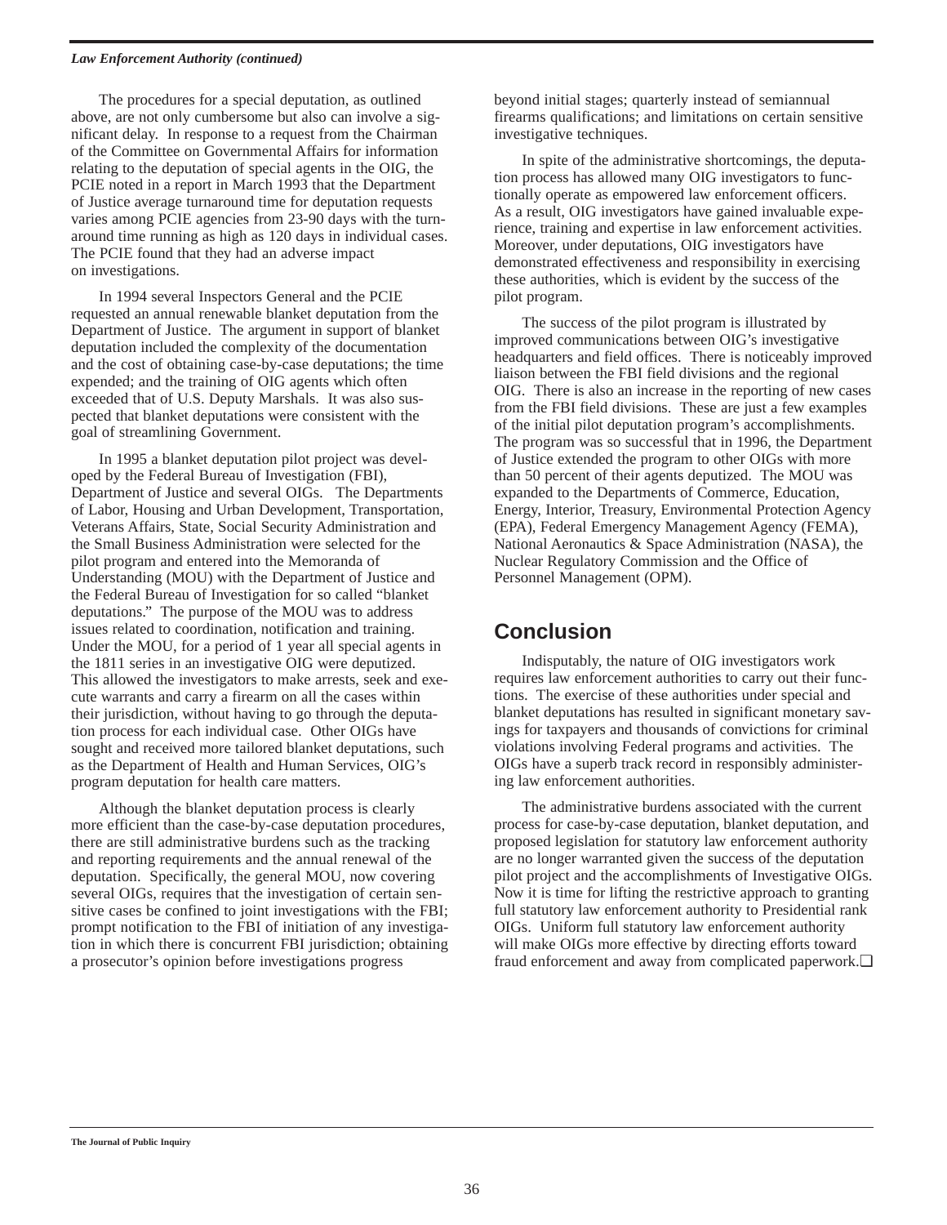#### *Law Enforcement Authority (continued)*

The procedures for a special deputation, as outlined above, are not only cumbersome but also can involve a significant delay. In response to a request from the Chairman of the Committee on Governmental Affairs for information relating to the deputation of special agents in the OIG, the PCIE noted in a report in March 1993 that the Department of Justice average turnaround time for deputation requests varies among PCIE agencies from 23-90 days with the turnaround time running as high as 120 days in individual cases. The PCIE found that they had an adverse impact on investigations.

In 1994 several Inspectors General and the PCIE requested an annual renewable blanket deputation from the Department of Justice. The argument in support of blanket deputation included the complexity of the documentation and the cost of obtaining case-by-case deputations; the time expended; and the training of OIG agents which often exceeded that of U.S. Deputy Marshals. It was also suspected that blanket deputations were consistent with the goal of streamlining Government.

In 1995 a blanket deputation pilot project was developed by the Federal Bureau of Investigation (FBI), Department of Justice and several OIGs. The Departments of Labor, Housing and Urban Development, Transportation, Veterans Affairs, State, Social Security Administration and the Small Business Administration were selected for the pilot program and entered into the Memoranda of Understanding (MOU) with the Department of Justice and the Federal Bureau of Investigation for so called "blanket deputations." The purpose of the MOU was to address issues related to coordination, notification and training. Under the MOU, for a period of 1 year all special agents in the 1811 series in an investigative OIG were deputized. This allowed the investigators to make arrests, seek and execute warrants and carry a firearm on all the cases within their jurisdiction, without having to go through the deputation process for each individual case. Other OIGs have sought and received more tailored blanket deputations, such as the Department of Health and Human Services, OIG's program deputation for health care matters.

Although the blanket deputation process is clearly more efficient than the case-by-case deputation procedures, there are still administrative burdens such as the tracking and reporting requirements and the annual renewal of the deputation. Specifically, the general MOU, now covering several OIGs, requires that the investigation of certain sensitive cases be confined to joint investigations with the FBI; prompt notification to the FBI of initiation of any investigation in which there is concurrent FBI jurisdiction; obtaining a prosecutor's opinion before investigations progress

beyond initial stages; quarterly instead of semiannual firearms qualifications; and limitations on certain sensitive investigative techniques.

In spite of the administrative shortcomings, the deputation process has allowed many OIG investigators to functionally operate as empowered law enforcement officers. As a result, OIG investigators have gained invaluable experience, training and expertise in law enforcement activities. Moreover, under deputations, OIG investigators have demonstrated effectiveness and responsibility in exercising these authorities, which is evident by the success of the pilot program.

The success of the pilot program is illustrated by improved communications between OIG's investigative headquarters and field offices. There is noticeably improved liaison between the FBI field divisions and the regional OIG. There is also an increase in the reporting of new cases from the FBI field divisions. These are just a few examples of the initial pilot deputation program's accomplishments. The program was so successful that in 1996, the Department of Justice extended the program to other OIGs with more than 50 percent of their agents deputized. The MOU was expanded to the Departments of Commerce, Education, Energy, Interior, Treasury, Environmental Protection Agency (EPA), Federal Emergency Management Agency (FEMA), National Aeronautics & Space Administration (NASA), the Nuclear Regulatory Commission and the Office of Personnel Management (OPM).

## **Conclusion**

Indisputably, the nature of OIG investigators work requires law enforcement authorities to carry out their functions. The exercise of these authorities under special and blanket deputations has resulted in significant monetary savings for taxpayers and thousands of convictions for criminal violations involving Federal programs and activities. The OIGs have a superb track record in responsibly administering law enforcement authorities.

The administrative burdens associated with the current process for case-by-case deputation, blanket deputation, and proposed legislation for statutory law enforcement authority are no longer warranted given the success of the deputation pilot project and the accomplishments of Investigative OIGs. Now it is time for lifting the restrictive approach to granting full statutory law enforcement authority to Presidential rank OIGs. Uniform full statutory law enforcement authority will make OIGs more effective by directing efforts toward fraud enforcement and away from complicated paperwork.❏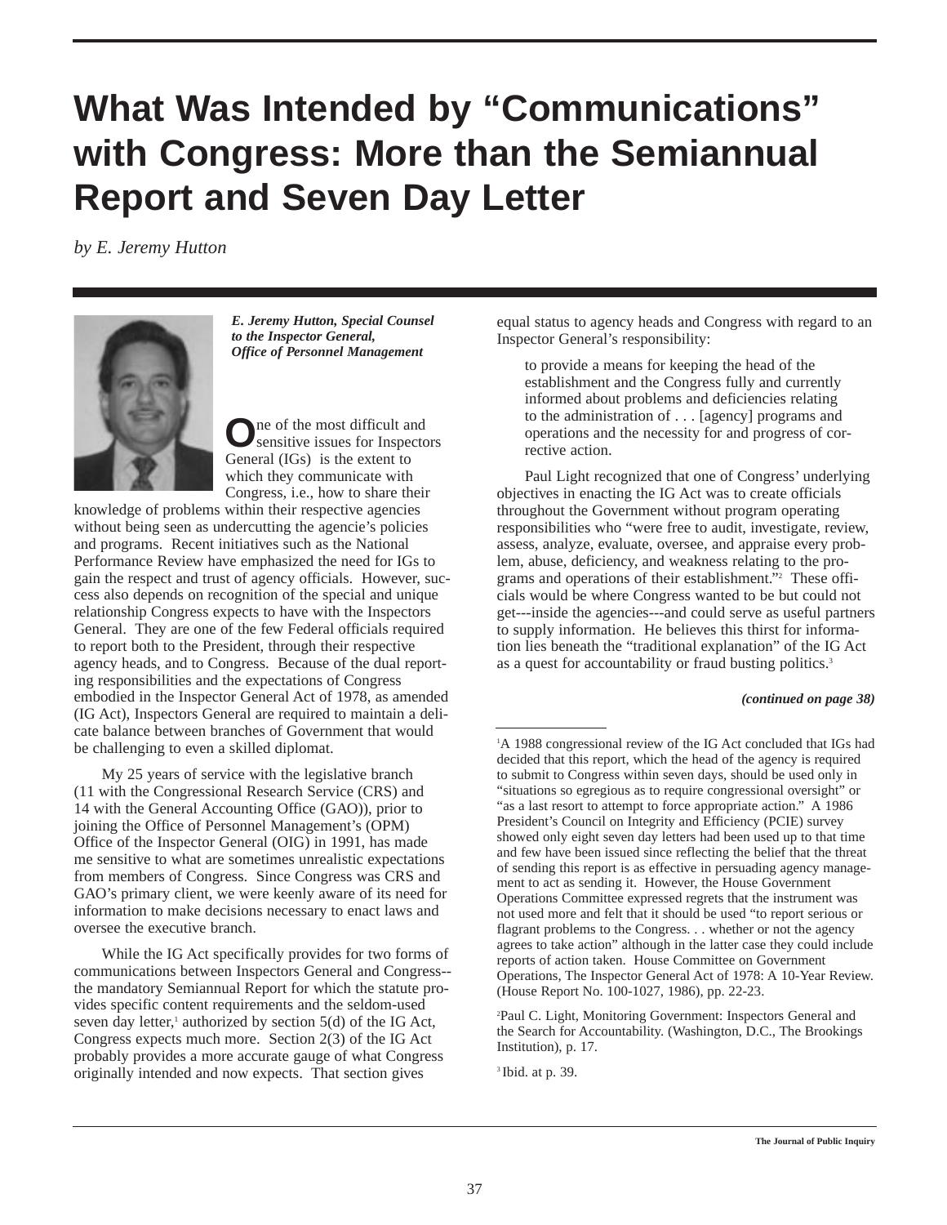## **What Was Intended by "Communications" with Congress: More than the Semiannual Report and Seven Day Letter**

*by E. Jeremy Hutton*



*E. Jeremy Hutton, Special Counsel to the Inspector General, Office of Personnel Management*

**O**ne of the most difficult and sensitive issues for Inspectors General (IGs) is the extent to which they communicate with Congress, i.e., how to share their

knowledge of problems within their respective agencies without being seen as undercutting the agencie's policies and programs. Recent initiatives such as the National Performance Review have emphasized the need for IGs to gain the respect and trust of agency officials. However, success also depends on recognition of the special and unique relationship Congress expects to have with the Inspectors General. They are one of the few Federal officials required to report both to the President, through their respective agency heads, and to Congress. Because of the dual reporting responsibilities and the expectations of Congress embodied in the Inspector General Act of 1978, as amended (IG Act), Inspectors General are required to maintain a delicate balance between branches of Government that would be challenging to even a skilled diplomat.

My 25 years of service with the legislative branch (11 with the Congressional Research Service (CRS) and 14 with the General Accounting Office (GAO)), prior to joining the Office of Personnel Management's (OPM) Office of the Inspector General (OIG) in 1991, has made me sensitive to what are sometimes unrealistic expectations from members of Congress. Since Congress was CRS and GAO's primary client, we were keenly aware of its need for information to make decisions necessary to enact laws and oversee the executive branch.

While the IG Act specifically provides for two forms of communications between Inspectors General and Congress- the mandatory Semiannual Report for which the statute provides specific content requirements and the seldom-used seven day letter,<sup>1</sup> authorized by section  $5(d)$  of the IG Act, Congress expects much more. Section 2(3) of the IG Act probably provides a more accurate gauge of what Congress originally intended and now expects. That section gives

equal status to agency heads and Congress with regard to an Inspector General's responsibility:

to provide a means for keeping the head of the establishment and the Congress fully and currently informed about problems and deficiencies relating to the administration of . . . [agency] programs and operations and the necessity for and progress of corrective action.

Paul Light recognized that one of Congress' underlying objectives in enacting the IG Act was to create officials throughout the Government without program operating responsibilities who "were free to audit, investigate, review, assess, analyze, evaluate, oversee, and appraise every problem, abuse, deficiency, and weakness relating to the programs and operations of their establishment."2 These officials would be where Congress wanted to be but could not get---inside the agencies---and could serve as useful partners to supply information. He believes this thirst for information lies beneath the "traditional explanation" of the IG Act as a quest for accountability or fraud busting politics.<sup>3</sup>

#### *(continued on page 38)*

<sup>1</sup>A 1988 congressional review of the IG Act concluded that IGs had decided that this report, which the head of the agency is required to submit to Congress within seven days, should be used only in "situations so egregious as to require congressional oversight" or "as a last resort to attempt to force appropriate action." A 1986 President's Council on Integrity and Efficiency (PCIE) survey showed only eight seven day letters had been used up to that time and few have been issued since reflecting the belief that the threat of sending this report is as effective in persuading agency management to act as sending it. However, the House Government Operations Committee expressed regrets that the instrument was not used more and felt that it should be used "to report serious or flagrant problems to the Congress. . . whether or not the agency agrees to take action" although in the latter case they could include reports of action taken. House Committee on Government Operations, The Inspector General Act of 1978: A 10-Year Review. (House Report No. 100-1027, 1986), pp. 22-23.

2 Paul C. Light, Monitoring Government: Inspectors General and the Search for Accountability. (Washington, D.C., The Brookings Institution), p. 17.

3 Ibid. at p. 39.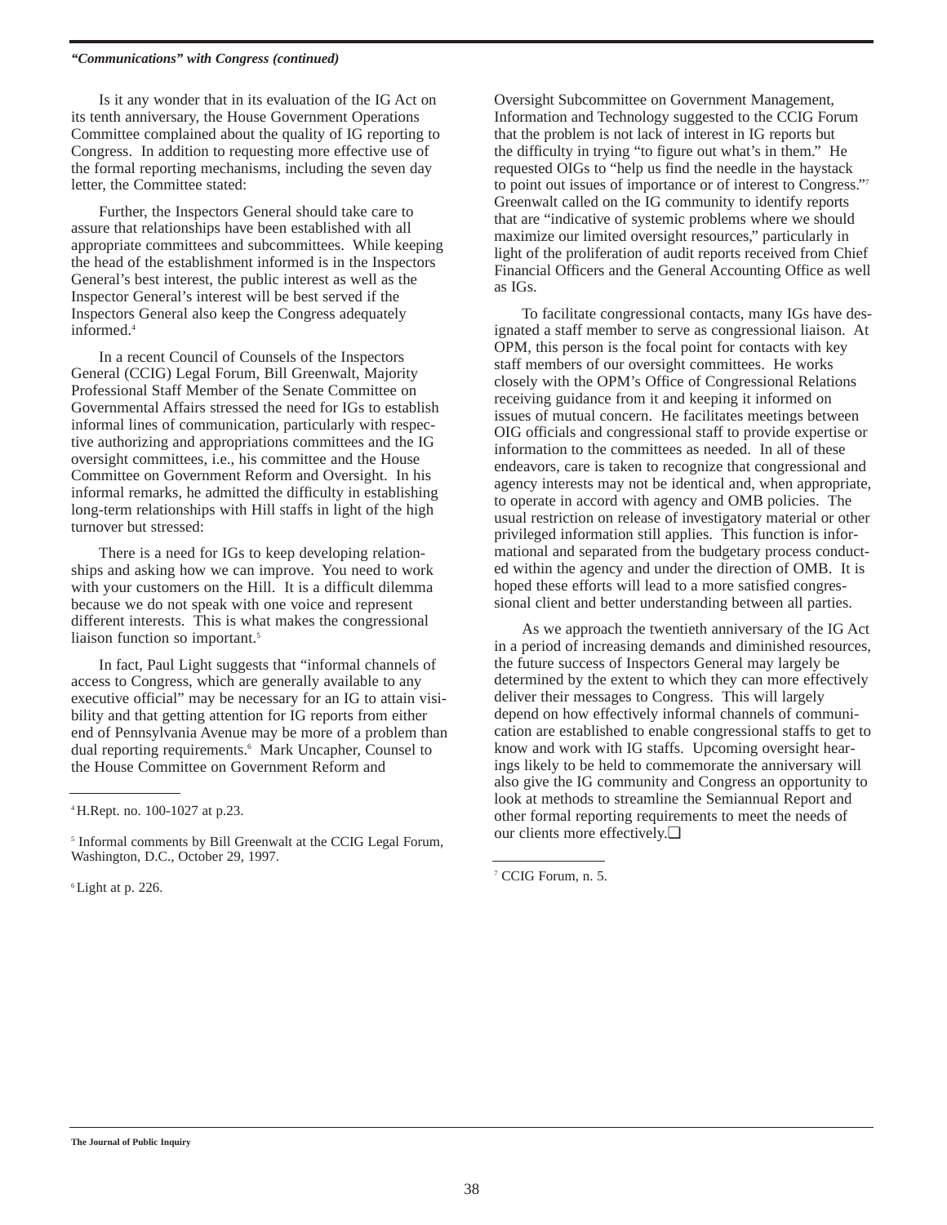#### *"Communications" with Congress (continued)*

Is it any wonder that in its evaluation of the IG Act on its tenth anniversary, the House Government Operations Committee complained about the quality of IG reporting to Congress. In addition to requesting more effective use of the formal reporting mechanisms, including the seven day letter, the Committee stated:

Further, the Inspectors General should take care to assure that relationships have been established with all appropriate committees and subcommittees. While keeping the head of the establishment informed is in the Inspectors General's best interest, the public interest as well as the Inspector General's interest will be best served if the Inspectors General also keep the Congress adequately informed.4

In a recent Council of Counsels of the Inspectors General (CCIG) Legal Forum, Bill Greenwalt, Majority Professional Staff Member of the Senate Committee on Governmental Affairs stressed the need for IGs to establish informal lines of communication, particularly with respective authorizing and appropriations committees and the IG oversight committees, i.e., his committee and the House Committee on Government Reform and Oversight. In his informal remarks, he admitted the difficulty in establishing long-term relationships with Hill staffs in light of the high turnover but stressed:

There is a need for IGs to keep developing relationships and asking how we can improve. You need to work with your customers on the Hill. It is a difficult dilemma because we do not speak with one voice and represent different interests. This is what makes the congressional liaison function so important.<sup>5</sup>

In fact, Paul Light suggests that "informal channels of access to Congress, which are generally available to any executive official" may be necessary for an IG to attain visibility and that getting attention for IG reports from either end of Pennsylvania Avenue may be more of a problem than dual reporting requirements.<sup>6</sup> Mark Uncapher, Counsel to the House Committee on Government Reform and

6 Light at p. 226.

Oversight Subcommittee on Government Management, Information and Technology suggested to the CCIG Forum that the problem is not lack of interest in IG reports but the difficulty in trying "to figure out what's in them." He requested OIGs to "help us find the needle in the haystack to point out issues of importance or of interest to Congress."7 Greenwalt called on the IG community to identify reports that are "indicative of systemic problems where we should maximize our limited oversight resources," particularly in light of the proliferation of audit reports received from Chief Financial Officers and the General Accounting Office as well as IGs.

To facilitate congressional contacts, many IGs have designated a staff member to serve as congressional liaison. At OPM, this person is the focal point for contacts with key staff members of our oversight committees. He works closely with the OPM's Office of Congressional Relations receiving guidance from it and keeping it informed on issues of mutual concern. He facilitates meetings between OIG officials and congressional staff to provide expertise or information to the committees as needed. In all of these endeavors, care is taken to recognize that congressional and agency interests may not be identical and, when appropriate, to operate in accord with agency and OMB policies. The usual restriction on release of investigatory material or other privileged information still applies. This function is informational and separated from the budgetary process conducted within the agency and under the direction of OMB. It is hoped these efforts will lead to a more satisfied congressional client and better understanding between all parties.

As we approach the twentieth anniversary of the IG Act in a period of increasing demands and diminished resources, the future success of Inspectors General may largely be determined by the extent to which they can more effectively deliver their messages to Congress. This will largely depend on how effectively informal channels of communication are established to enable congressional staffs to get to know and work with IG staffs. Upcoming oversight hearings likely to be held to commemorate the anniversary will also give the IG community and Congress an opportunity to look at methods to streamline the Semiannual Report and other formal reporting requirements to meet the needs of our clients more effectively.❏

<sup>4</sup> H.Rept. no. 100-1027 at p.23.

<sup>&</sup>lt;sup>5</sup> Informal comments by Bill Greenwalt at the CCIG Legal Forum, Washington, D.C., October 29, 1997.

<sup>7</sup> CCIG Forum, n. 5.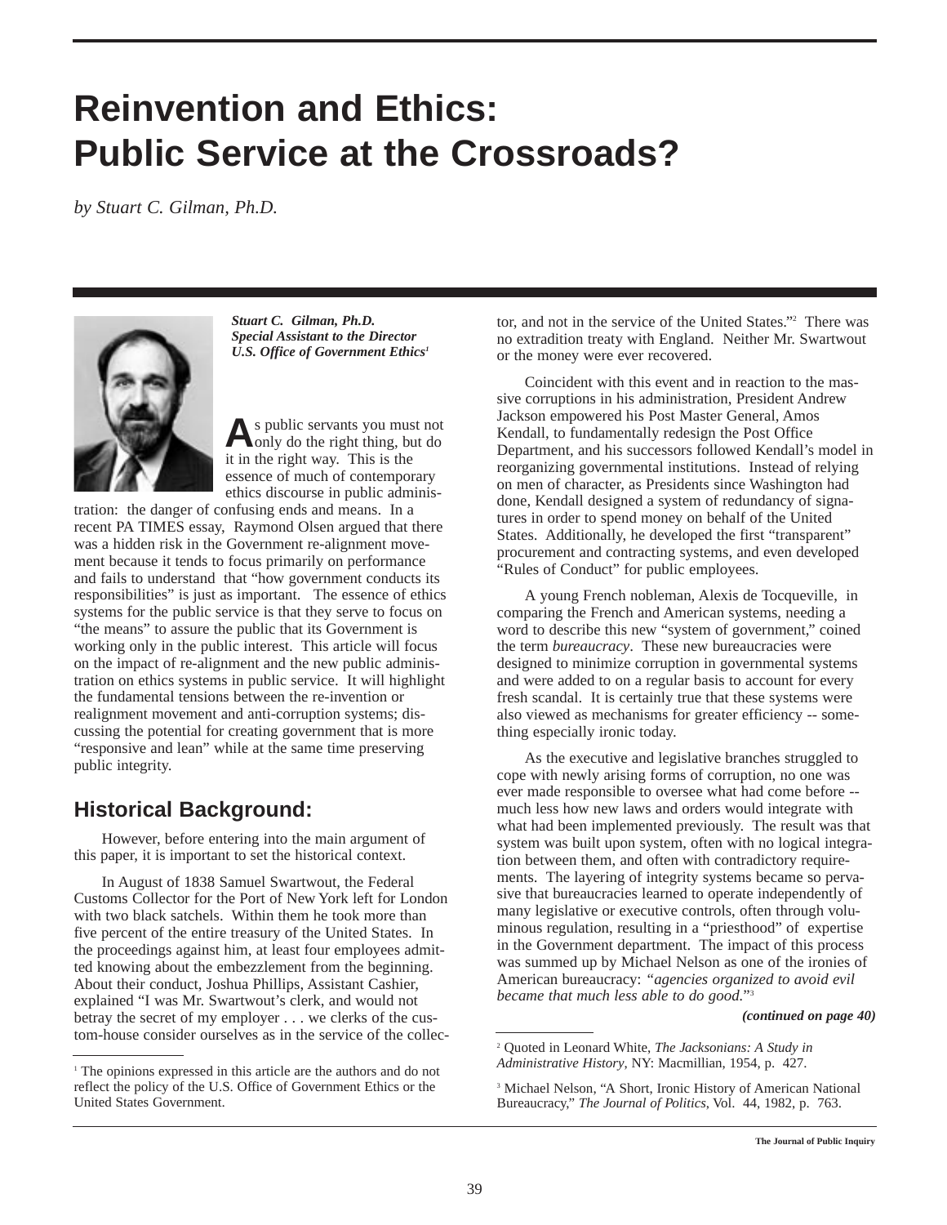## **Reinvention and Ethics: Public Service at the Crossroads?**

*by Stuart C. Gilman, Ph.D.*



*Stuart C. Gilman, Ph.D. Special Assistant to the Director U.S. Office of Government Ethics1*

As public servants you must not<br>
only do the right thing, but do it in the right way. This is the essence of much of contemporary ethics discourse in public adminis-

tration: the danger of confusing ends and means. In a recent PA TIMES essay, Raymond Olsen argued that there was a hidden risk in the Government re-alignment movement because it tends to focus primarily on performance and fails to understand that "how government conducts its responsibilities" is just as important. The essence of ethics systems for the public service is that they serve to focus on "the means" to assure the public that its Government is working only in the public interest. This article will focus on the impact of re-alignment and the new public administration on ethics systems in public service. It will highlight the fundamental tensions between the re-invention or realignment movement and anti-corruption systems; discussing the potential for creating government that is more "responsive and lean" while at the same time preserving public integrity.

## **Historical Background:**

However, before entering into the main argument of this paper, it is important to set the historical context.

In August of 1838 Samuel Swartwout, the Federal Customs Collector for the Port of New York left for London with two black satchels. Within them he took more than five percent of the entire treasury of the United States. In the proceedings against him, at least four employees admitted knowing about the embezzlement from the beginning. About their conduct, Joshua Phillips, Assistant Cashier, explained "I was Mr. Swartwout's clerk, and would not betray the secret of my employer . . . we clerks of the custom-house consider ourselves as in the service of the collector, and not in the service of the United States."2 There was no extradition treaty with England. Neither Mr. Swartwout or the money were ever recovered.

Coincident with this event and in reaction to the massive corruptions in his administration, President Andrew Jackson empowered his Post Master General, Amos Kendall, to fundamentally redesign the Post Office Department, and his successors followed Kendall's model in reorganizing governmental institutions. Instead of relying on men of character, as Presidents since Washington had done, Kendall designed a system of redundancy of signatures in order to spend money on behalf of the United States. Additionally, he developed the first "transparent" procurement and contracting systems, and even developed "Rules of Conduct" for public employees.

A young French nobleman, Alexis de Tocqueville, in comparing the French and American systems, needing a word to describe this new "system of government," coined the term *bureaucracy*. These new bureaucracies were designed to minimize corruption in governmental systems and were added to on a regular basis to account for every fresh scandal. It is certainly true that these systems were also viewed as mechanisms for greater efficiency -- something especially ironic today.

As the executive and legislative branches struggled to cope with newly arising forms of corruption, no one was ever made responsible to oversee what had come before - much less how new laws and orders would integrate with what had been implemented previously. The result was that system was built upon system, often with no logical integration between them, and often with contradictory requirements. The layering of integrity systems became so pervasive that bureaucracies learned to operate independently of many legislative or executive controls, often through voluminous regulation, resulting in a "priesthood" of expertise in the Government department. The impact of this process was summed up by Michael Nelson as one of the ironies of American bureaucracy: *"agencies organized to avoid evil became that much less able to do good.*"3

*(continued on page 40)*

<sup>&</sup>lt;sup>1</sup> The opinions expressed in this article are the authors and do not reflect the policy of the U.S. Office of Government Ethics or the United States Government.

<sup>2</sup> Quoted in Leonard White, *The Jacksonians: A Study in Administrative History*, NY: Macmillian, 1954, p. 427.

<sup>&</sup>lt;sup>3</sup> Michael Nelson, "A Short, Ironic History of American National Bureaucracy," *The Journal of Politics*, Vol. 44, 1982, p. 763.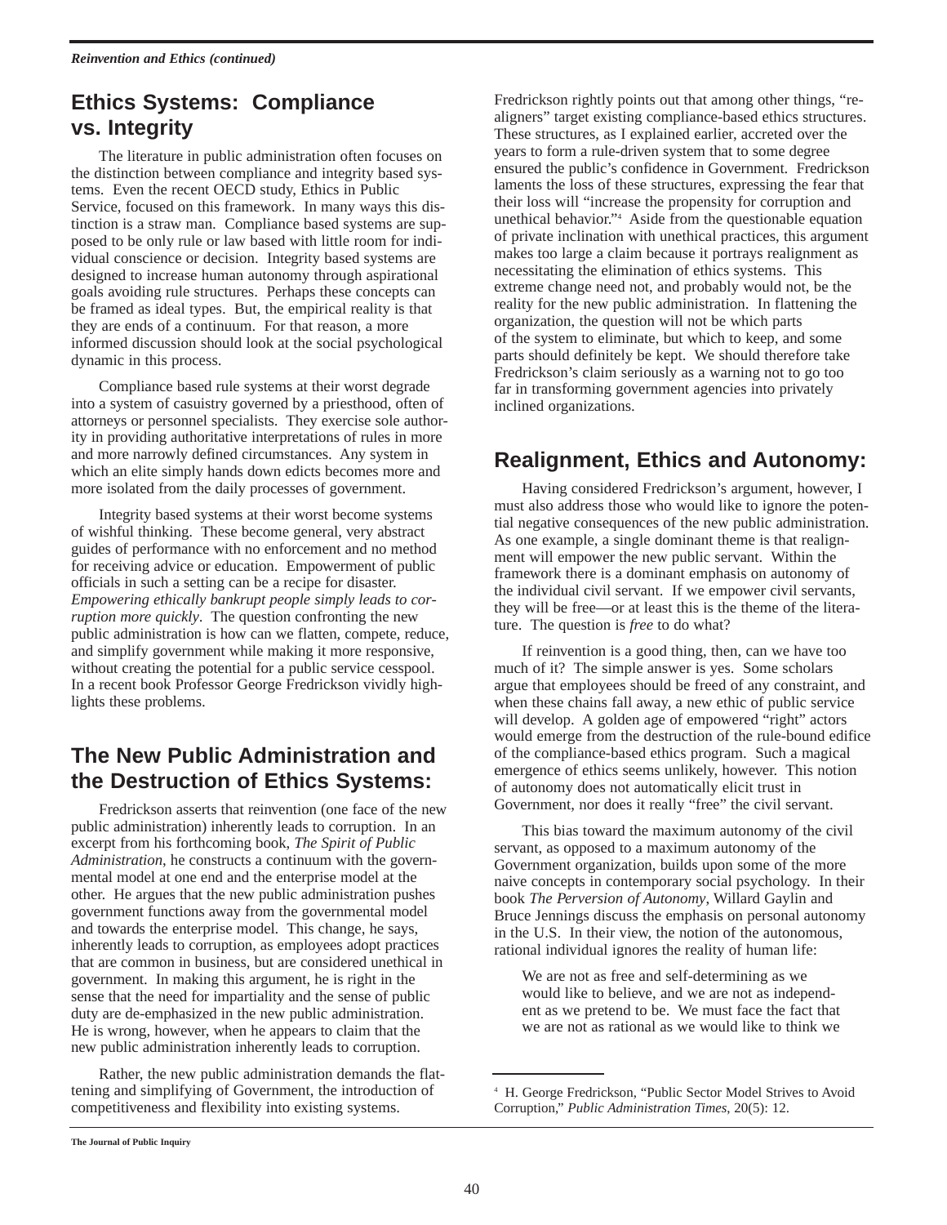## **Ethics Systems: Compliance vs. Integrity**

The literature in public administration often focuses on the distinction between compliance and integrity based systems. Even the recent OECD study, Ethics in Public Service, focused on this framework. In many ways this distinction is a straw man. Compliance based systems are supposed to be only rule or law based with little room for individual conscience or decision. Integrity based systems are designed to increase human autonomy through aspirational goals avoiding rule structures. Perhaps these concepts can be framed as ideal types. But, the empirical reality is that they are ends of a continuum. For that reason, a more informed discussion should look at the social psychological dynamic in this process.

Compliance based rule systems at their worst degrade into a system of casuistry governed by a priesthood, often of attorneys or personnel specialists. They exercise sole authority in providing authoritative interpretations of rules in more and more narrowly defined circumstances. Any system in which an elite simply hands down edicts becomes more and more isolated from the daily processes of government.

Integrity based systems at their worst become systems of wishful thinking. These become general, very abstract guides of performance with no enforcement and no method for receiving advice or education. Empowerment of public officials in such a setting can be a recipe for disaster. *Empowering ethically bankrupt people simply leads to corruption more quickly*. The question confronting the new public administration is how can we flatten, compete, reduce, and simplify government while making it more responsive, without creating the potential for a public service cesspool. In a recent book Professor George Fredrickson vividly highlights these problems.

## **The New Public Administration and the Destruction of Ethics Systems:**

Fredrickson asserts that reinvention (one face of the new public administration) inherently leads to corruption. In an excerpt from his forthcoming book, *The Spirit of Public Administration*, he constructs a continuum with the governmental model at one end and the enterprise model at the other. He argues that the new public administration pushes government functions away from the governmental model and towards the enterprise model. This change, he says, inherently leads to corruption, as employees adopt practices that are common in business, but are considered unethical in government. In making this argument, he is right in the sense that the need for impartiality and the sense of public duty are de-emphasized in the new public administration. He is wrong, however, when he appears to claim that the new public administration inherently leads to corruption.

Rather, the new public administration demands the flattening and simplifying of Government, the introduction of competitiveness and flexibility into existing systems.

Fredrickson rightly points out that among other things, "realigners" target existing compliance-based ethics structures. These structures, as I explained earlier, accreted over the years to form a rule-driven system that to some degree ensured the public's confidence in Government. Fredrickson laments the loss of these structures, expressing the fear that their loss will "increase the propensity for corruption and unethical behavior."4 Aside from the questionable equation of private inclination with unethical practices, this argument makes too large a claim because it portrays realignment as necessitating the elimination of ethics systems. This extreme change need not, and probably would not, be the reality for the new public administration. In flattening the organization, the question will not be which parts of the system to eliminate, but which to keep, and some parts should definitely be kept. We should therefore take Fredrickson's claim seriously as a warning not to go too far in transforming government agencies into privately inclined organizations.

## **Realignment, Ethics and Autonomy:**

Having considered Fredrickson's argument, however, I must also address those who would like to ignore the potential negative consequences of the new public administration. As one example, a single dominant theme is that realignment will empower the new public servant. Within the framework there is a dominant emphasis on autonomy of the individual civil servant. If we empower civil servants, they will be free—or at least this is the theme of the literature. The question is *free* to do what?

If reinvention is a good thing, then, can we have too much of it? The simple answer is yes. Some scholars argue that employees should be freed of any constraint, and when these chains fall away, a new ethic of public service will develop. A golden age of empowered "right" actors would emerge from the destruction of the rule-bound edifice of the compliance-based ethics program. Such a magical emergence of ethics seems unlikely, however. This notion of autonomy does not automatically elicit trust in Government, nor does it really "free" the civil servant.

This bias toward the maximum autonomy of the civil servant, as opposed to a maximum autonomy of the Government organization, builds upon some of the more naive concepts in contemporary social psychology. In their book *The Perversion of Autonomy*, Willard Gaylin and Bruce Jennings discuss the emphasis on personal autonomy in the U.S. In their view, the notion of the autonomous, rational individual ignores the reality of human life:

We are not as free and self-determining as we would like to believe, and we are not as independent as we pretend to be. We must face the fact that we are not as rational as we would like to think we

<sup>4</sup> H. George Fredrickson, "Public Sector Model Strives to Avoid Corruption," *Public Administration Times*, 20(5): 12.

**The Journal of Public Inquiry**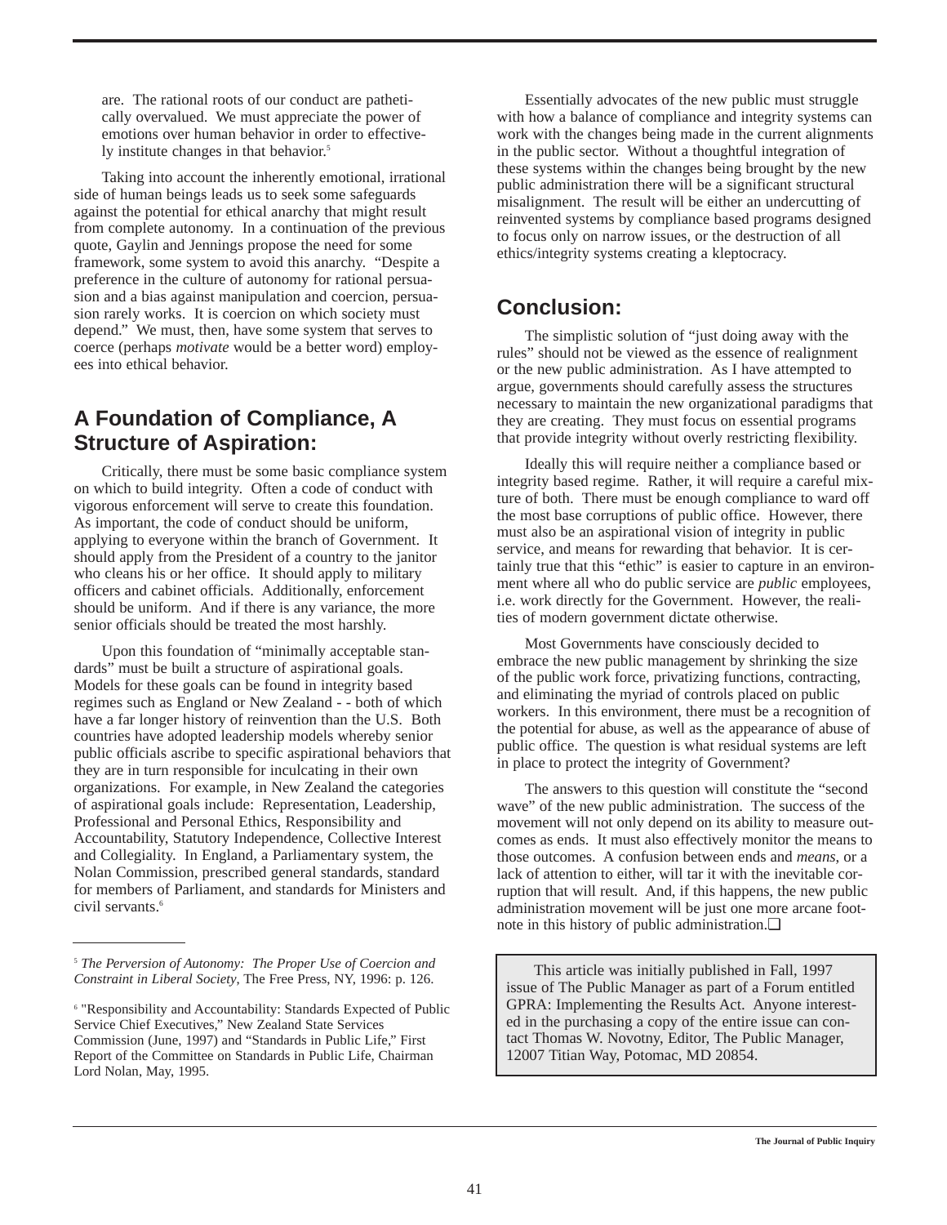are. The rational roots of our conduct are pathetically overvalued. We must appreciate the power of emotions over human behavior in order to effectively institute changes in that behavior.<sup>5</sup>

Taking into account the inherently emotional, irrational side of human beings leads us to seek some safeguards against the potential for ethical anarchy that might result from complete autonomy. In a continuation of the previous quote, Gaylin and Jennings propose the need for some framework, some system to avoid this anarchy. "Despite a preference in the culture of autonomy for rational persuasion and a bias against manipulation and coercion, persuasion rarely works. It is coercion on which society must depend." We must, then, have some system that serves to coerce (perhaps *motivate* would be a better word) employees into ethical behavior.

## **A Foundation of Compliance, A Structure of Aspiration:**

Critically, there must be some basic compliance system on which to build integrity. Often a code of conduct with vigorous enforcement will serve to create this foundation. As important, the code of conduct should be uniform, applying to everyone within the branch of Government. It should apply from the President of a country to the janitor who cleans his or her office. It should apply to military officers and cabinet officials. Additionally, enforcement should be uniform. And if there is any variance, the more senior officials should be treated the most harshly.

Upon this foundation of "minimally acceptable standards" must be built a structure of aspirational goals. Models for these goals can be found in integrity based regimes such as England or New Zealand - - both of which have a far longer history of reinvention than the U.S. Both countries have adopted leadership models whereby senior public officials ascribe to specific aspirational behaviors that they are in turn responsible for inculcating in their own organizations. For example, in New Zealand the categories of aspirational goals include: Representation, Leadership, Professional and Personal Ethics, Responsibility and Accountability, Statutory Independence, Collective Interest and Collegiality. In England, a Parliamentary system, the Nolan Commission, prescribed general standards, standard for members of Parliament, and standards for Ministers and civil servants.<sup>6</sup>

Essentially advocates of the new public must struggle with how a balance of compliance and integrity systems can work with the changes being made in the current alignments in the public sector. Without a thoughtful integration of these systems within the changes being brought by the new public administration there will be a significant structural misalignment. The result will be either an undercutting of reinvented systems by compliance based programs designed to focus only on narrow issues, or the destruction of all ethics/integrity systems creating a kleptocracy.

## **Conclusion:**

The simplistic solution of "just doing away with the rules" should not be viewed as the essence of realignment or the new public administration. As I have attempted to argue, governments should carefully assess the structures necessary to maintain the new organizational paradigms that they are creating. They must focus on essential programs that provide integrity without overly restricting flexibility.

Ideally this will require neither a compliance based or integrity based regime. Rather, it will require a careful mixture of both. There must be enough compliance to ward off the most base corruptions of public office. However, there must also be an aspirational vision of integrity in public service, and means for rewarding that behavior. It is certainly true that this "ethic" is easier to capture in an environment where all who do public service are *public* employees, i.e. work directly for the Government. However, the realities of modern government dictate otherwise.

Most Governments have consciously decided to embrace the new public management by shrinking the size of the public work force, privatizing functions, contracting, and eliminating the myriad of controls placed on public workers. In this environment, there must be a recognition of the potential for abuse, as well as the appearance of abuse of public office. The question is what residual systems are left in place to protect the integrity of Government?

The answers to this question will constitute the "second wave" of the new public administration. The success of the movement will not only depend on its ability to measure outcomes as ends. It must also effectively monitor the means to those outcomes. A confusion between ends and *means*, or a lack of attention to either, will tar it with the inevitable corruption that will result. And, if this happens, the new public administration movement will be just one more arcane footnote in this history of public administration.❏

This article was initially published in Fall, 1997 issue of The Public Manager as part of a Forum entitled GPRA: Implementing the Results Act. Anyone interested in the purchasing a copy of the entire issue can contact Thomas W. Novotny, Editor, The Public Manager, 12007 Titian Way, Potomac, MD 20854.

<sup>5</sup> *The Perversion of Autonomy: The Proper Use of Coercion and Constraint in Liberal Society*, The Free Press, NY, 1996: p. 126.

<sup>6</sup> "Responsibility and Accountability: Standards Expected of Public Service Chief Executives," New Zealand State Services Commission (June, 1997) and "Standards in Public Life," First Report of the Committee on Standards in Public Life, Chairman Lord Nolan, May, 1995.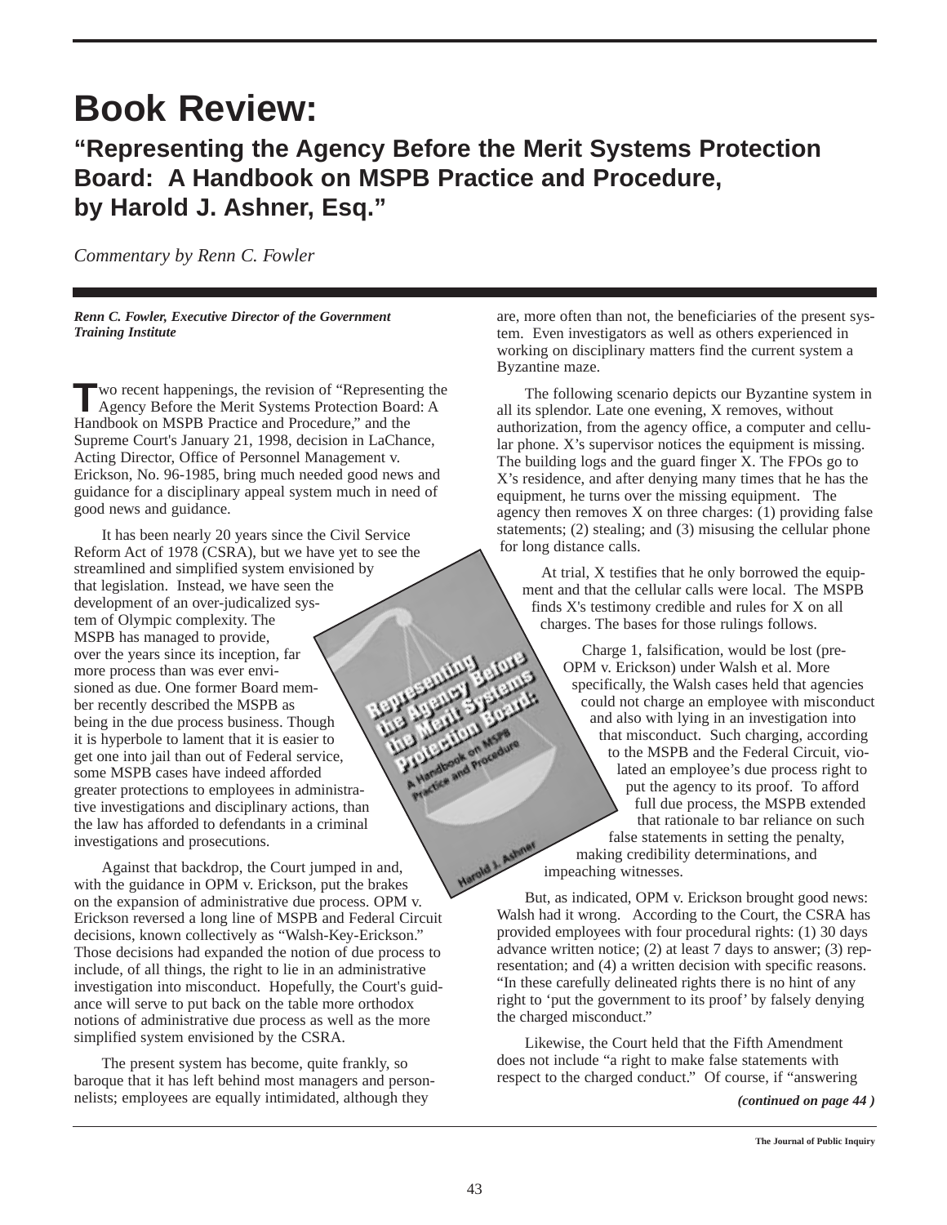## **Book Review:**

## **"Representing the Agency Before the Merit Systems Protection Board: A Handbook on MSPB Practice and Procedure, by Harold J. Ashner, Esq."**

*Commentary by Renn C. Fowler*

*Renn C. Fowler, Executive Director of the Government Training Institute*

**T**wo recent happenings, the revision of "Representing the Agency Before the Merit Systems Protection Board: A Handbook on MSPB Practice and Procedure," and the Supreme Court's January 21, 1998, decision in LaChance, Acting Director, Office of Personnel Management v. Erickson, No. 96-1985, bring much needed good news and guidance for a disciplinary appeal system much in need of good news and guidance.

It has been nearly 20 years since the Civil Service Reform Act of 1978 (CSRA), but we have yet to see the streamlined and simplified system envisioned by that legislation. Instead, we have seen the development of an over-judicalized system of Olympic complexity. The MSPB has managed to provide, over the years since its inception, far more process than was ever envisioned as due. One former Board member recently described the MSPB as being in the due process business. Though it is hyperbole to lament that it is easier to get one into jail than out of Federal service, some MSPB cases have indeed afforded greater protections to employees in administrative investigations and disciplinary actions, than the law has afforded to defendants in a criminal investigations and prosecutions.

Against that backdrop, the Court jumped in and, with the guidance in OPM v. Erickson, put the brakes on the expansion of administrative due process. OPM v. Erickson reversed a long line of MSPB and Federal Circuit decisions, known collectively as "Walsh-Key-Erickson." Those decisions had expanded the notion of due process to include, of all things, the right to lie in an administrative investigation into misconduct. Hopefully, the Court's guidance will serve to put back on the table more orthodox notions of administrative due process as well as the more simplified system envisioned by the CSRA.

The present system has become, quite frankly, so baroque that it has left behind most managers and personnelists; employees are equally intimidated, although they

are, more often than not, the beneficiaries of the present system. Even investigators as well as others experienced in working on disciplinary matters find the current system a Byzantine maze.

The following scenario depicts our Byzantine system in all its splendor. Late one evening, X removes, without authorization, from the agency office, a computer and cellular phone. X's supervisor notices the equipment is missing. The building logs and the guard finger X. The FPOs go to X's residence, and after denying many times that he has the equipment, he turns over the missing equipment. The agency then removes  $X$  on three charges: (1) providing false statements; (2) stealing; and (3) misusing the cellular phone for long distance calls.

At trial, X testifies that he only borrowed the equipment and that the cellular calls were local. The MSPB finds X's testimony credible and rules for X on all charges. The bases for those rulings follows.

Charge 1, falsification, would be lost (pre-OPM v. Erickson) under Walsh et al. More specifically, the Walsh cases held that agencies could not charge an employee with misconduct and also with lying in an investigation into that misconduct. Such charging, according to the MSPB and the Federal Circuit, violated an employee's due process right to put the agency to its proof. To afford full due process, the MSPB extended that rationale to bar reliance on such false statements in setting the penalty, making credibility determinations, and impeaching witnesses.

But, as indicated, OPM v. Erickson brought good news: Walsh had it wrong. According to the Court, the CSRA has provided employees with four procedural rights: (1) 30 days advance written notice; (2) at least 7 days to answer; (3) representation; and (4) a written decision with specific reasons. "In these carefully delineated rights there is no hint of any right to 'put the government to its proof' by falsely denying the charged misconduct."

Likewise, the Court held that the Fifth Amendment does not include "a right to make false statements with respect to the charged conduct." Of course, if "answering

*(continued on page 44 )*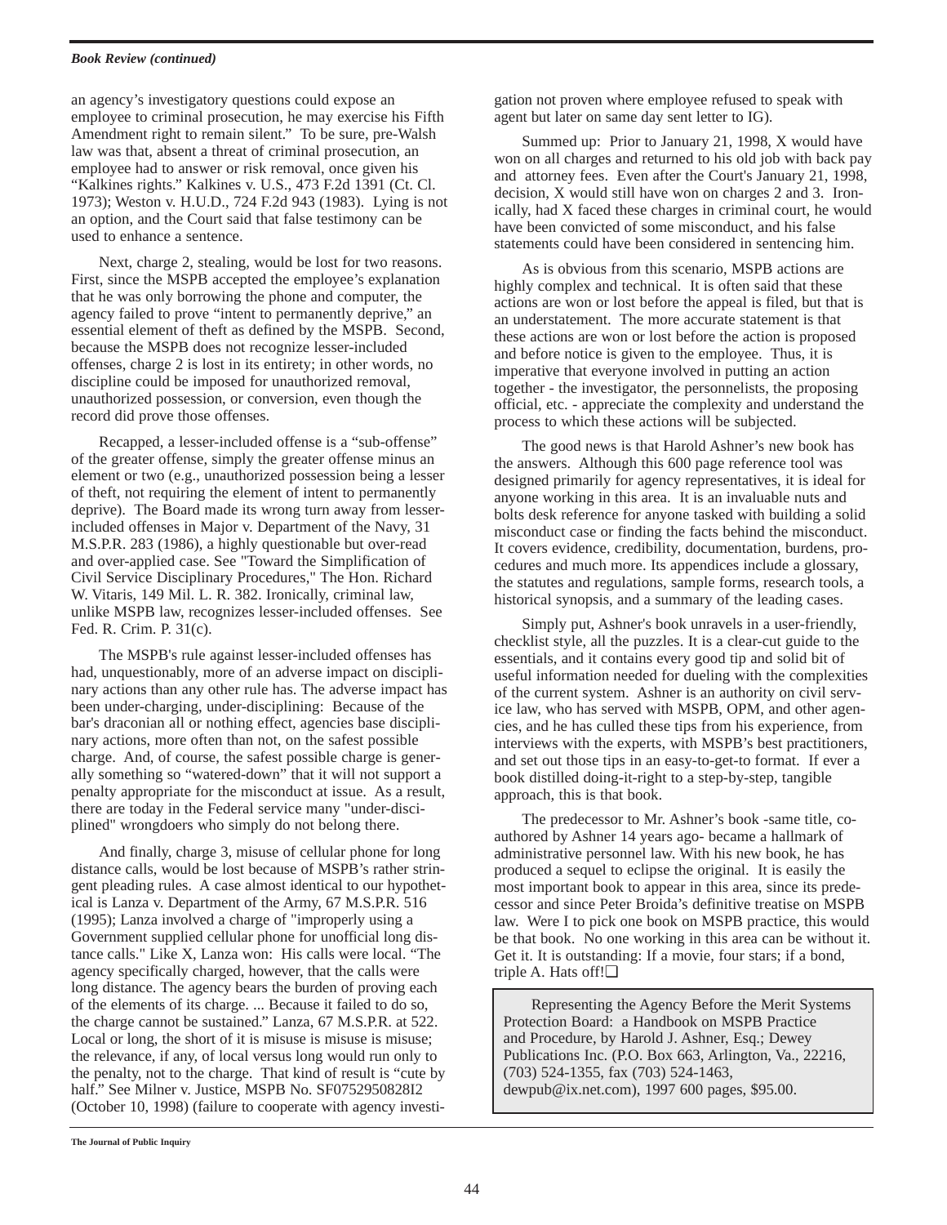#### *Book Review (continued)*

an agency's investigatory questions could expose an employee to criminal prosecution, he may exercise his Fifth Amendment right to remain silent." To be sure, pre-Walsh law was that, absent a threat of criminal prosecution, an employee had to answer or risk removal, once given his "Kalkines rights." Kalkines v. U.S., 473 F.2d 1391 (Ct. Cl. 1973); Weston v. H.U.D., 724 F.2d 943 (1983). Lying is not an option, and the Court said that false testimony can be used to enhance a sentence.

Next, charge 2, stealing, would be lost for two reasons. First, since the MSPB accepted the employee's explanation that he was only borrowing the phone and computer, the agency failed to prove "intent to permanently deprive," an essential element of theft as defined by the MSPB. Second, because the MSPB does not recognize lesser-included offenses, charge 2 is lost in its entirety; in other words, no discipline could be imposed for unauthorized removal, unauthorized possession, or conversion, even though the record did prove those offenses.

Recapped, a lesser-included offense is a "sub-offense" of the greater offense, simply the greater offense minus an element or two (e.g., unauthorized possession being a lesser of theft, not requiring the element of intent to permanently deprive). The Board made its wrong turn away from lesserincluded offenses in Major v. Department of the Navy, 31 M.S.P.R. 283 (1986), a highly questionable but over-read and over-applied case. See "Toward the Simplification of Civil Service Disciplinary Procedures," The Hon. Richard W. Vitaris, 149 Mil. L. R. 382. Ironically, criminal law, unlike MSPB law, recognizes lesser-included offenses. See Fed. R. Crim. P. 31(c).

The MSPB's rule against lesser-included offenses has had, unquestionably, more of an adverse impact on disciplinary actions than any other rule has. The adverse impact has been under-charging, under-disciplining: Because of the bar's draconian all or nothing effect, agencies base disciplinary actions, more often than not, on the safest possible charge. And, of course, the safest possible charge is generally something so "watered-down" that it will not support a penalty appropriate for the misconduct at issue. As a result, there are today in the Federal service many "under-disciplined" wrongdoers who simply do not belong there.

And finally, charge 3, misuse of cellular phone for long distance calls, would be lost because of MSPB's rather stringent pleading rules. A case almost identical to our hypothetical is Lanza v. Department of the Army, 67 M.S.P.R. 516 (1995); Lanza involved a charge of "improperly using a Government supplied cellular phone for unofficial long distance calls." Like X, Lanza won: His calls were local. "The agency specifically charged, however, that the calls were long distance. The agency bears the burden of proving each of the elements of its charge. ... Because it failed to do so, the charge cannot be sustained." Lanza, 67 M.S.P.R. at 522. Local or long, the short of it is misuse is misuse is misuse; the relevance, if any, of local versus long would run only to the penalty, not to the charge. That kind of result is "cute by half." See Milner v. Justice, MSPB No. SF0752950828I2 (October 10, 1998) (failure to cooperate with agency investi-

gation not proven where employee refused to speak with agent but later on same day sent letter to IG).

Summed up: Prior to January 21, 1998, X would have won on all charges and returned to his old job with back pay and attorney fees. Even after the Court's January 21, 1998, decision, X would still have won on charges 2 and 3. Ironically, had X faced these charges in criminal court, he would have been convicted of some misconduct, and his false statements could have been considered in sentencing him.

As is obvious from this scenario, MSPB actions are highly complex and technical. It is often said that these actions are won or lost before the appeal is filed, but that is an understatement. The more accurate statement is that these actions are won or lost before the action is proposed and before notice is given to the employee. Thus, it is imperative that everyone involved in putting an action together - the investigator, the personnelists, the proposing official, etc. - appreciate the complexity and understand the process to which these actions will be subjected.

The good news is that Harold Ashner's new book has the answers. Although this 600 page reference tool was designed primarily for agency representatives, it is ideal for anyone working in this area. It is an invaluable nuts and bolts desk reference for anyone tasked with building a solid misconduct case or finding the facts behind the misconduct. It covers evidence, credibility, documentation, burdens, procedures and much more. Its appendices include a glossary, the statutes and regulations, sample forms, research tools, a historical synopsis, and a summary of the leading cases.

Simply put, Ashner's book unravels in a user-friendly, checklist style, all the puzzles. It is a clear-cut guide to the essentials, and it contains every good tip and solid bit of useful information needed for dueling with the complexities of the current system. Ashner is an authority on civil service law, who has served with MSPB, OPM, and other agencies, and he has culled these tips from his experience, from interviews with the experts, with MSPB's best practitioners, and set out those tips in an easy-to-get-to format. If ever a book distilled doing-it-right to a step-by-step, tangible approach, this is that book.

The predecessor to Mr. Ashner's book -same title, coauthored by Ashner 14 years ago- became a hallmark of administrative personnel law. With his new book, he has produced a sequel to eclipse the original. It is easily the most important book to appear in this area, since its predecessor and since Peter Broida's definitive treatise on MSPB law. Were I to pick one book on MSPB practice, this would be that book. No one working in this area can be without it. Get it. It is outstanding: If a movie, four stars; if a bond, triple A. Hats off!❏

Representing the Agency Before the Merit Systems Protection Board: a Handbook on MSPB Practice and Procedure, by Harold J. Ashner, Esq.; Dewey Publications Inc. (P.O. Box 663, Arlington, Va., 22216, (703) 524-1355, fax (703) 524-1463, dewpub@ix.net.com), 1997 600 pages, \$95.00.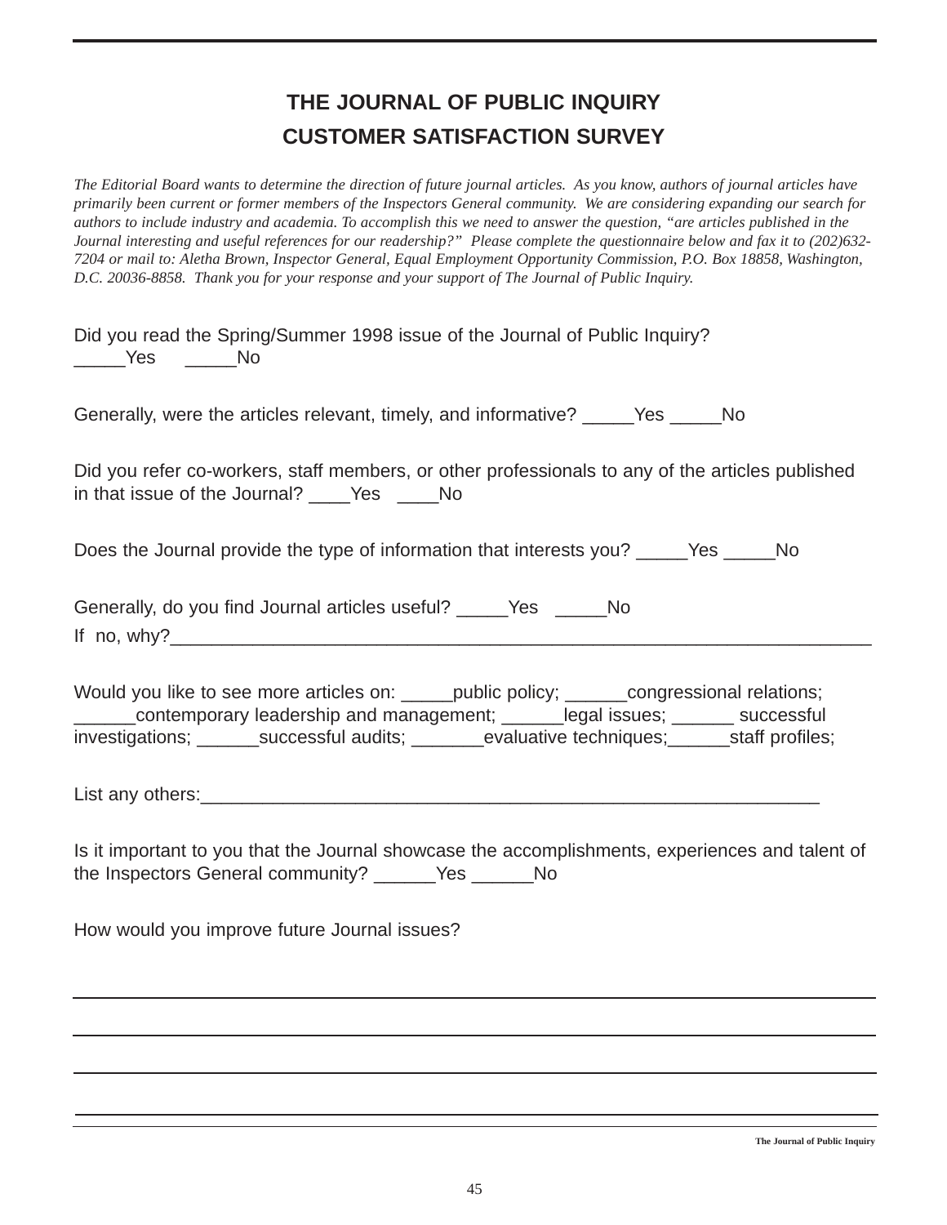## **THE JOURNAL OF PUBLIC INQUIRY CUSTOMER SATISFACTION SURVEY**

*The Editorial Board wants to determine the direction of future journal articles. As you know, authors of journal articles have primarily been current or former members of the Inspectors General community. We are considering expanding our search for authors to include industry and academia. To accomplish this we need to answer the question, "are articles published in the Journal interesting and useful references for our readership?" Please complete the questionnaire below and fax it to (202)632- 7204 or mail to: Aletha Brown, Inspector General, Equal Employment Opportunity Commission, P.O. Box 18858, Washington, D.C. 20036-8858. Thank you for your response and your support of The Journal of Public Inquiry.*

| Did you read the Spring/Summer 1998 issue of the Journal of Public Inquiry?<br>_____Yes _____No                                                                                                                                                                                   |  |  |  |
|-----------------------------------------------------------------------------------------------------------------------------------------------------------------------------------------------------------------------------------------------------------------------------------|--|--|--|
| Generally, were the articles relevant, timely, and informative? _____Yes _____No                                                                                                                                                                                                  |  |  |  |
| Did you refer co-workers, staff members, or other professionals to any of the articles published                                                                                                                                                                                  |  |  |  |
| Does the Journal provide the type of information that interests you? _____Yes _____No                                                                                                                                                                                             |  |  |  |
| Generally, do you find Journal articles useful? ______Yes ______No                                                                                                                                                                                                                |  |  |  |
| Would you like to see more articles on: _____ public policy; ______ congressional relations;<br>contemporary leadership and management; _____legal issues; ______ successful<br>investigations; ________successful audits; _________evaluative techniques; _______staff profiles; |  |  |  |
|                                                                                                                                                                                                                                                                                   |  |  |  |
| Is it important to you that the Journal showcase the accomplishments, experiences and talent of<br>the Inspectors General community? ______Yes ______No                                                                                                                           |  |  |  |
| How would you improve future Journal issues?                                                                                                                                                                                                                                      |  |  |  |
|                                                                                                                                                                                                                                                                                   |  |  |  |
|                                                                                                                                                                                                                                                                                   |  |  |  |
|                                                                                                                                                                                                                                                                                   |  |  |  |

**The Journal of Public Inquiry**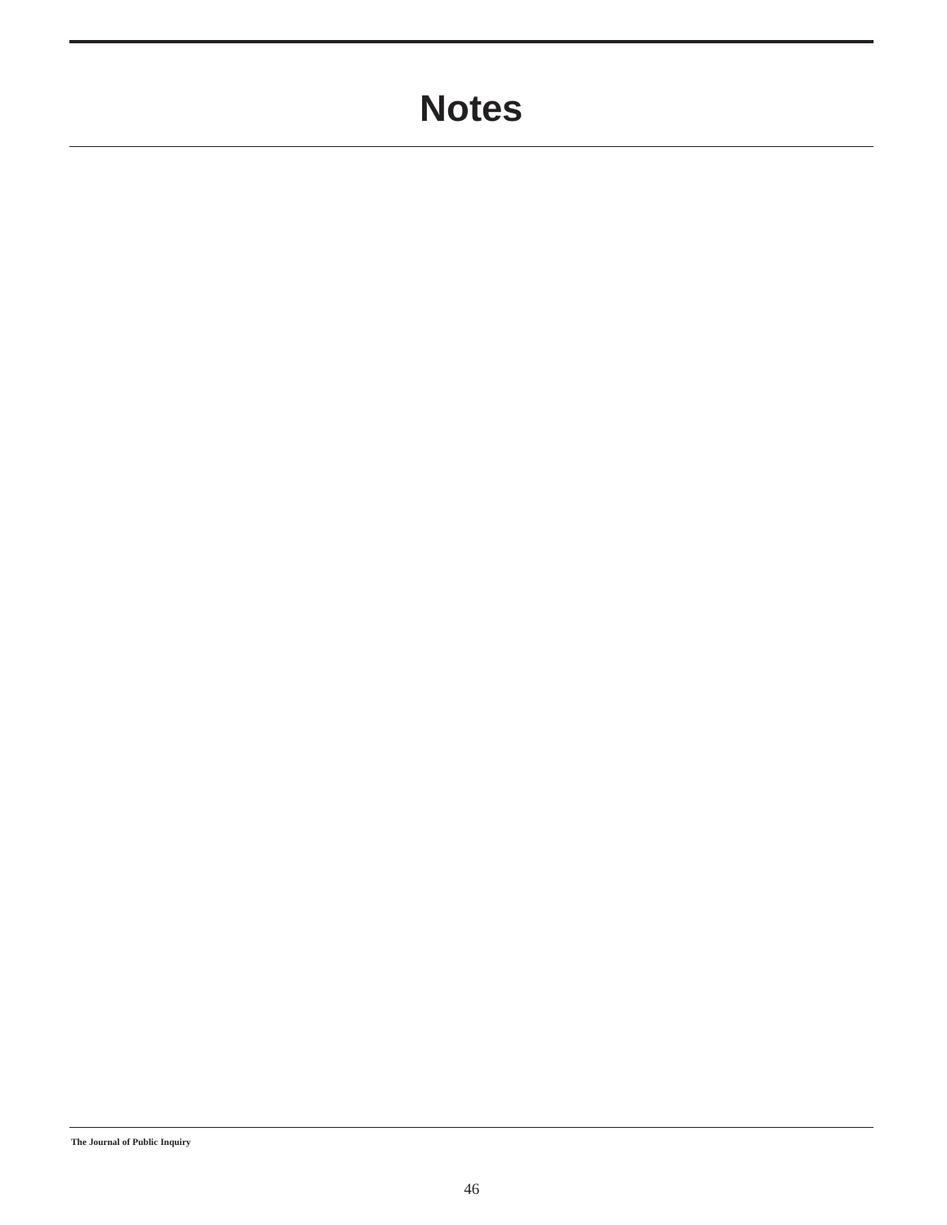## **Notes**

**The Journal of Public Inquiry**